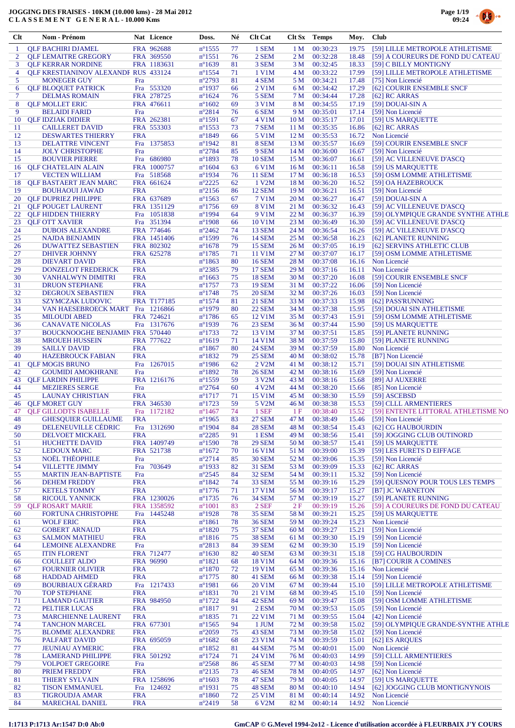

| Clt      | Nom - Prénom                                                      |                          | Nat Licence            | Doss.                                | Né       | <b>Clt Cat</b>               |                         | <b>Clt Sx</b> Temps  | Moy.           | <b>Club</b>                                            |
|----------|-------------------------------------------------------------------|--------------------------|------------------------|--------------------------------------|----------|------------------------------|-------------------------|----------------------|----------------|--------------------------------------------------------|
| -1       | <b>QLF BACHIRI DJAMEL</b>                                         |                          | FRA 962688             | $n^{\circ}$ 1555                     | 77       | 1 SEM                        | 1 M                     | 00:30:23             | 19.75          | [59] LILLE METROPOLE ATHLETISME                        |
| 2        | <b>QLF LEMAITRE GREGORY</b>                                       |                          | FRA 369550             | $n^{\circ}1551$                      | 76       | 2 SEM                        | 2 <sub>M</sub>          | 00:32:28             | 18.48          | [59] A COUREURS DE FOND DU CATEAU                      |
| 3        | <b>QLF KERRAR NORDINE</b>                                         |                          | FRA 1183631            | $n^{\circ}1639$                      | 81       | 3 SEM                        | 3 M                     | 00:32:45             | 18.33          | [59] C BILLY MONTIGNY                                  |
| 4        | <b>QLF KRESTIANINOV ALEXANDF RUS 433124</b>                       |                          |                        | $n^{\circ}$ 1554                     | 71       | 1 V1M                        | 4 M                     | 00:33:22             | 17.99          | [59] LILLE METROPOLE ATHLETISME                        |
| 5<br>6   | <b>MONEGER GUY</b>                                                | Fra                      | Fra 553320             | $n^{\circ}2793$<br>$n^{\circ}1937$   | 81<br>66 | 4 SEM<br>2 V1M               | 5 M<br>6 M              | 00:34:21<br>00:34:42 | 17.48<br>17.29 | [75] Non Licencié<br>[62] COURIR ENSEMBLE SNCF         |
| 7        | <b>QLF BLOQUET PATRICK</b><br><b>DELMAS ROMAIN</b>                |                          | FRA 278725             | $n^{\circ}1624$                      | 76       | 5 SEM                        | 7 M                     | 00:34:44             | 17.28          | $[62]$ RC ARRAS                                        |
| 8        | <b>OLF MOLLET ERIC</b>                                            |                          | FRA 476611             | $n^{\circ}1602$                      | 69       | 3 V1M                        | 8 M                     | 00:34:55             | 17.19          | [59] DOUAI-SIN A                                       |
| 9        | <b>BELAIDI FARID</b>                                              | Fra                      |                        | $n^{\circ}2814$                      | 76       | 6 SEM                        | 9 M                     | 00:35:01             | 17.14          | [59] Non Licencié                                      |
| 10       | <b>QLF IDZIAK DIDIER</b>                                          |                          | FRA 262381             | $n^{\circ}1591$                      | 67       | 4 V1M                        | 10 <sub>M</sub>         | 00:35:17             | 17.01          | [59] US MARQUETTE                                      |
| 11       | <b>CAILLERET DAVID</b>                                            |                          | FRA 553303             | $n^{\circ}$ 1553                     | 73       | 7 SEM                        | 11 M                    | 00:35:35             | 16.86          | $[62]$ RC ARRAS                                        |
| 12<br>13 | <b>DESWARTES THIERRY</b><br>DELATTRE VINCENT                      | <b>FRA</b>               | Fra 1375853            | $n^{\circ}1849$<br>$n^{\circ}$ 1942  | 66<br>81 | 5 V1M<br>8 SEM               | 12 <sub>M</sub><br>13 M | 00:35:53<br>00:35:57 | 16.72<br>16.69 | Non Licencié<br>[59] COURIR ENSEMBLE SNCF              |
| 14       | <b>JOLY CHRISTOPHE</b>                                            | Fra                      |                        | $n^{\circ}2784$                      | 85       | 9 SEM                        | 14 M                    | 00:36:00             | 16.67          | [59] Non Licencié                                      |
| 15       | <b>BOUVIER PIERRE</b>                                             |                          | Fra 686980             | $n^{\circ}$ 1893                     | 78       | <b>10 SEM</b>                | 15 M                    | 00:36:07             | 16.61          | [59] AC VILLENEUVE D'ASCQ                              |
| 16       | <b>QLF CHATELAIN ALAIN</b>                                        |                          | FRA 1000757            | $n^{\circ}1604$                      | 63       | 6 V1M                        | 16 <sub>M</sub>         | 00:36:11             | 16.58          | [59] US MARQUETTE                                      |
| 17       | <b>VECTEN WILLIAM</b>                                             |                          | Fra 518568             | $n^{\circ}$ 1934                     | 76       | <b>11 SEM</b>                | 17 <sub>M</sub>         | 00:36:18             | 16.53          | [59] OSM LOMME ATHLETISME                              |
| 18       | <b>QLF BASTAERT JEAN MARC</b>                                     |                          | FRA 661624             | $n^{\circ}2225$                      | 62       | 1 V2M                        | 18 M                    | 00:36:20             | 16.52          | [59] OA HAZEBROUCK                                     |
| 19<br>20 | <b>BOUHAOUI JAWAD</b><br><b>OLF DUPRIEZ PHILIPPE</b>              | <b>FRA</b>               | FRA 637689             | $n^{\circ}2156$<br>$n^{\circ}1563$   | 86<br>67 | <b>12 SEM</b><br>7 V1M       | 19 <sub>M</sub><br>20 M | 00:36:21<br>00:36:27 | 16.51<br>16.47 | [59] Non Licencié<br>[59] DOUAI-SIN A                  |
| 21       | <b>QLF POUGET LAURENT</b>                                         |                          | FRA 1351129            | $n^{\circ}1756$                      | 69       | 8 V1M                        | 21 M                    | 00:36:32             | 16.43          | [59] AC VILLENEUVE D'ASCQ                              |
| 22       | <b>QLF HIDDEN THIERRY</b>                                         |                          | Fra 1051838            | $n^{\circ}1994$                      | 64       | 9 V1M                        | 22 M                    | 00:36:37             | 16.39          | [59] OLYMPIOUE GRANDE SYNTHE ATHLE                     |
| 23       | <b>OLF OTT XAVIER</b>                                             |                          | Fra 351394             | $n^{\circ}$ 1908                     | 66       | 10 V1M                       | 23 M                    | 00:36:49             | 16.30          | [59] AC VILLENEUVE D'ASCO                              |
| 24       | <b>DUBOIS ALEXANDRE</b>                                           |                          | FRA 774646             | $n^{\circ}2462$                      | 74       | <b>13 SEM</b>                | 24 M                    | 00:36:54             | 16.26          | [59] AC VILLENEUVE D'ASCQ                              |
| 25       | <b>NAJDA BENJAMIN</b>                                             |                          | FRA 1451406            | $n^{\circ}$ 1599                     | 76       | <b>14 SEM</b>                | 25 M                    | 00:36:58             | 16.23          | [62] PLANETE RUNNING                                   |
| 26       | <b>DUWATTEZ SEBASTIEN</b>                                         |                          | FRA 802302             | $n^{\circ}1678$                      | 79       | <b>15 SEM</b>                | 26 M                    | 00:37:05             | 16.19          | [62] SERVINS ATHLETIC CLUB                             |
| 27<br>28 | DHIVER JOHNNY<br><b>DIEVART DAVID</b>                             | <b>FRA</b>               | FRA 625278             | $n^{\circ}1785$<br>$n^{\circ}$ 1863  | 71<br>80 | 11 V1M<br><b>16 SEM</b>      | 27 M<br>28 M            | 00:37:07<br>00:37:08 | 16.17<br>16.16 | [59] OSM LOMME ATHLETISME<br>Non Licencié              |
| 29       | <b>DONZELOT FREDERICK</b>                                         | <b>FRA</b>               |                        | $n^{\circ}2385$                      | 79       | <b>17 SEM</b>                | 29 M                    | 00:37:16             | 16.11          | Non Licencié                                           |
| 30       | <b>VANHALWYN DIMITRI</b>                                          | <b>FRA</b>               |                        | $n^{\circ}1663$                      | 75       | <b>18 SEM</b>                | 30 M                    | 00:37:20             | 16.08          | [59] COURIR ENSEMBLE SNCF                              |
| 31       | <b>DRUON STEPHANE</b>                                             | <b>FRA</b>               |                        | $n^{\circ}$ 1757                     | 73       | <b>19 SEM</b>                | 31 M                    | 00:37:22             | 16.06          | [59] Non Licencié                                      |
| 32       | <b>DEGROUX SEBASTIEN</b>                                          | <b>FRA</b>               |                        | $n^{\circ}$ 1748                     | 75       | <b>20 SEM</b>                | 32 M                    | 00:37:26             | 16.03          | [59] Non Licencié                                      |
| 33       | <b>SZYMCZAK LUDOVIC</b>                                           |                          | FRA T177185            | $n^{\circ}1574$                      | 81       | <b>21 SEM</b>                | 33 M                    | 00:37:33             | 15.98          | [62] PASS'RUNNING                                      |
| 34       | VAN HAESEBROECK MART Fra 1216866                                  |                          |                        | $n^{\circ}1979$                      | 80       | <b>22 SEM</b>                | 34 M                    | 00:37:38             | 15.95          | [59] DOUAI SIN ATHLETISME                              |
| 35       | <b>MILOUDI ABED</b>                                               |                          | FRA 724621             | $n^{\circ}$ 1786                     | 65       | 12 V1M<br>23 SEM             | 35 M                    | 00:37:43             | 15.91          | [59] OSM LOMME ATHLETISME                              |
| 36<br>37 | <b>CANAVATE NICOLAS</b><br><b>BOUCKNOOGHE BENJAMIN FRA 570440</b> |                          | Fra 1317676            | $n^{\circ}$ 1939<br>$n^{\circ}$ 1733 | 76<br>72 | 13 V1M                       | 36 M<br>37 M            | 00:37:44<br>00:37:51 | 15.90<br>15.85 | [59] US MARQUETTE<br>[59] PLANETE RUNNING              |
| 38       | <b>MROUEH HUSSEIN</b>                                             |                          | FRA 777622             | $n^{\circ}1619$                      | 71       | 14 V1M                       | 38 M                    | 00:37:59             | 15.80          | [59] PLANETE RUNNING                                   |
| 39       | <b>SAILLY DAVID</b>                                               | <b>FRA</b>               |                        | $n^{\circ}$ 1867                     | 80       | <b>24 SEM</b>                | 39 M                    | 00:37:59             | 15.80          | Non Licencié                                           |
| 40       | <b>HAZEBROUCK FABIAN</b>                                          | <b>FRA</b>               |                        | $n^{\circ}$ 1832                     | 79       | <b>25 SEM</b>                | 40 M                    | 00:38:02             | 15.78          | [B7] Non Licencié                                      |
| 41       | <b>OLF MOGIS BRUNO</b>                                            |                          | Fra 1267015            | $n^{\circ}$ 1986                     | 62       | 2 V <sub>2</sub> M           | 41 M                    | 00:38:12             | 15.71          | [59] DOUAI SIN ATHLETISME                              |
| 42       | <b>GOUMIDI AMOKHRANE</b>                                          | Fra                      |                        | $n^{\circ}1892$                      | 78       | <b>26 SEM</b>                | 42 M                    | 00:38:16             | 15.69          | [59] Non Licencié                                      |
| 43       | <b>OLF LARDIN PHILIPPE</b>                                        |                          | FRA 1216176            | $n^{\circ}$ 1559                     | 59       | 3 V <sub>2</sub> M           | 43 M                    | 00:38:16             | 15.68          | [89] AJ AUXERRE                                        |
| 44<br>45 | <b>MEZIERES SERGE</b><br><b>LAUNAY CHRISTIAN</b>                  | Fra<br><b>FRA</b>        |                        | $n^{\circ}2764$<br>$n^{\circ}1717$   | 60<br>71 | 4 V <sub>2</sub> M<br>15 V1M | 44 M<br>45 M            | 00:38:20<br>00:38:30 | 15.66<br>15.59 | [85] Non Licencié<br>[59] ASCEBSD                      |
| 46       | <b>OLF MORET GUY</b>                                              |                          | FRA 346530             | $n^{\circ}1723$                      | 59       | 5 V <sub>2</sub> M           | 46 M                    | 00:38:38             | 15.53          | [59] CLLL ARMENTIERES                                  |
| 47       | <b>OLF GILLODTS ISABELLE</b>                                      |                          | Fra 1172182            | $n^{\circ}$ 1467                     | 74       | 1 SEF                        | 1F                      | 00:38:40             | 15.52          | [59] ENTENTE LITTORAL ATHLETISME NO                    |
| 48       | <b>GHESOUIER GUILLAUME</b>                                        | <b>FRA</b>               |                        | $n^{\circ}$ 1965                     | 83       | <b>27 SEM</b>                | 47 M                    | 00:38:49             | 15.46          | [59] Non Licencié                                      |
| 49       | <b>DELENEUVILLE CÉDRIC</b>                                        |                          | Fra 1312690            | $n^{\circ}$ 1904                     | 84       | <b>28 SEM</b>                | 48 M                    | 00:38:54             | 15.43          | [62] CG HAUBOURDIN                                     |
| 50       | <b>DELVOET MICKAEL</b>                                            | <b>FRA</b>               |                        | $n^{\circ}2285$                      | 91       | 1 ESM                        | 49 M                    | 00:38:56             | 15.41          | [59] JOGGING CLUB OUTINORD                             |
| 51       | <b>HUCHETTE DAVID</b>                                             |                          | FRA 1409749            | $n^{\circ}$ 1590                     | 78       | <b>29 SEM</b><br>16 V1M      | 50 M                    | 00:38:57             | 15.41          | [59] US MAROUETTE                                      |
| 52<br>53 | <b>LEDOUX MARC</b><br><b>NOËL THÉOPHILE</b>                       | Fra                      | FRA 521738             | $n^{\circ}1672$<br>$n^{\circ}2714$   | 70<br>85 | <b>30 SEM</b>                | 51 M<br>52 M            | 00:39:00<br>00:39:06 | 15.39<br>15.35 | [59] LES FURETS D EIFFAGE<br>[59] Non Licencié         |
| 54       | <b>VILLETTE JIMMY</b>                                             | Fra                      | 703649                 | $n^{\circ}$ 1933                     | 82       | <b>31 SEM</b>                | 53 M                    | 00:39:09             | 15.33          | $[62]$ RC ARRAS                                        |
| 55       | <b>MARTIN JEAN-BAPTISTE</b>                                       | Fra                      |                        | $n^{\circ}2545$                      | 84       | 32 SEM                       | 54 M                    | 00:39:11             | 15.32          | [59] Non Licencié                                      |
| 56       | <b>DEHEM FREDDY</b>                                               | <b>FRA</b>               |                        | $n^{\circ}1842$                      | 74       | 33 SEM                       | 55 M                    | 00:39:16             | 15.29          | [59] OUESNOY POUR TOUS LES TEMPS                       |
| 57       | <b>KETELS TOMMY</b>                                               | <b>FRA</b>               |                        | $n^{\circ}1776$                      | 71       | 17 V1M                       | 56 M                    | 00:39:17             | 15.27          | [B7] JC WARNETON                                       |
| 58       | <b>RICOUL YANNICK</b>                                             |                          | FRA 1230026            | $n^{\circ}$ 1735                     | 76       | <b>34 SEM</b>                | 57 M                    | 00:39:19             | 15.27          | [59] PLANETE RUNNING                                   |
| 59<br>60 | <b>OLF ROSART MARIE</b><br><b>FORTUNA CHRISTOPHE</b>              | Fra                      | FRA 1358592<br>1445248 | $n^{\circ}1001$<br>$n^{\circ}$ 1928  | 83<br>78 | 2 SEF<br>35 SEM              | 2F<br>58 M              | 00:39:19<br>00:39:21 | 15.26<br>15.25 | [59] A COUREURS DE FOND DU CATEAU<br>[59] US MARQUETTE |
| 61       | <b>WOLF ERIC</b>                                                  | <b>FRA</b>               |                        | $n^{\circ}1861$                      | 78       | <b>36 SEM</b>                | 59 M                    | 00:39:24             | 15.23          | Non Licencié                                           |
| 62       | <b>GOBERT ARNAUD</b>                                              | <b>FRA</b>               |                        | $n^{\circ}1820$                      | 75       | <b>37 SEM</b>                | 60 M                    | 00:39:27             | 15.21          | [59] Non Licencié                                      |
| 63       | <b>SALMON MATHIEU</b>                                             | <b>FRA</b>               |                        | $n^{\circ}1816$                      | 75       | <b>38 SEM</b>                | 61 M                    | 00:39:30             | 15.19          | [59] Non Licencié                                      |
| 64       | <b>LEMOINE ALEXANDRE</b>                                          | Fra                      |                        | $n^{\circ}2813$                      | 84       | <b>39 SEM</b>                | 62 M                    | 00:39:30             | 15.19          | [59] Non Licencié                                      |
| 65       | <b>ITIN FLORENT</b>                                               |                          | FRA 712477             | $n^{\circ}1630$                      | 82       | <b>40 SEM</b>                | 63 M                    | 00:39:31             | 15.18          | [59] CG HAUBOURDIN                                     |
| 66       | <b>COULLEIT ALDO</b>                                              |                          | FRA 96990              | $n^{\circ}1821$                      | 68       | 18 V1M                       | 64 M                    | 00:39:36             | 15.16          | [B7] COURIR A COMINES                                  |
| 67<br>68 | <b>FOURNIER OLIVIER</b><br><b>HADDAD AHMED</b>                    | <b>FRA</b><br><b>FRA</b> |                        | $n^{\circ}1870$<br>$n^{\circ}$ 1775  | 72<br>80 | 19 V1M<br>41 SEM             | 65 M<br>66 M            | 00:39:36<br>00:39:38 | 15.16<br>15.14 | Non Licencié<br>[59] Non Licencié                      |
| 69       | <b>BOURBIAUX GÉRARD</b>                                           |                          | Fra 1217433            | $n^{\circ}$ 1981                     | 66       | 20 V1M                       | 67 M                    | 00:39:44             | 15.10          | [59] LILLE METROPOLE ATHLETISME                        |
| 70       | <b>TOP STEPHANE</b>                                               | <b>FRA</b>               |                        | $n^{\circ}1831$                      | 70       | 21 V1M                       | 68 M                    | 00:39:45             | 15.10          | [59] Non Licencié                                      |
| 71       | <b>LAMAND GAUTIER</b>                                             |                          | FRA 984950             | $n^{\circ}$ 1722                     | 84       | 42 SEM                       | 69 M                    | 00:39:47             | 15.08          | [59] OSM LOMME ATHLETISME                              |
| 72       | PELTIER LUCAS                                                     | <b>FRA</b>               |                        | $n^{\circ}1817$                      | 91       | 2 ESM                        | 70 M                    | 00:39:53             | 15.05          | [59] Non Licencié                                      |
| 73       | <b>MARCHIENNE LAURENT</b>                                         | <b>FRA</b>               |                        | $n^{\circ}$ 1835                     | 71       | 22 V1M                       | 71 M                    | 00:39:55             | 15.04          | [42] Non Licencié                                      |
| 74       | <b>TANCHON MARCEL</b>                                             |                          | FRA 677301             | $n^{\circ}$ 1565                     | 94       | 1 JUM                        | 72 M                    | 00:39:58             | 15.02          | [59] OLYMPIQUE GRANDE-SYNTHE ATHLE                     |
| 75       | <b>BLOMME ALEXANDRE</b>                                           | <b>FRA</b>               |                        | $n^{\circ}2059$                      | 75       | 43 SEM                       | 73 M                    | 00:39:58             | 15.02          | [59] Non Licencié                                      |
| 76<br>77 | PALFART DAVID<br><b>JEUNIAU AYMERIC</b>                           | <b>FRA</b>               | FRA 695059             | $n^{\circ}1682$<br>$n^{\circ}$ 1852  | 68<br>81 | 23 V1M<br>44 SEM             | 74 M<br>75 M            | 00:39:59<br>00:40:01 | 15.01<br>15.00 | [62] ES ARQUES<br>Non Licencié                         |
| 78       | <b>LAMERAND PHILIPPE</b>                                          |                          | FRA 501292             | $n^{\circ}1724$                      | 71       | 24 V1M                       | 76 M                    | 00:40:03             | 14.99          | [59] CLLL ARMENTIERES                                  |
| 79       | <b>VOLPOET GREGOIRE</b>                                           | Fra                      |                        | $n^{\circ}2568$                      | 86       | 45 SEM                       | 77 M                    | 00:40:03             | 14.98          | [59] Non Licencié                                      |
| 80       | PRIEM FREDDY                                                      | <b>FRA</b>               |                        | $n^{\circ}2135$                      | 73       | <b>46 SEM</b>                | 78 M                    | 00:40:05             | 14.97          | [62] Non Licencié                                      |
| 81       | <b>THIERY SYLVAIN</b>                                             |                          | FRA 1258696            | $n^{\circ}1603$                      | 78       | 47 SEM                       | 79 M                    | 00:40:05             | 14.97          | [59] US MAROUETTE                                      |
| 82       | <b>TISON EMMANUEL</b>                                             |                          | Fra 124692             | $n^{\circ}1931$                      | 75       | 48 SEM                       | 80 M                    | 00:40:10             | 14.94          | [62] JOGGING CLUB MONTIGNYNOIS                         |
| 83<br>84 | <b>TIGROUDJA AMAR</b><br><b>MARECHAL DANIEL</b>                   | <b>FRA</b><br><b>FRA</b> |                        | $n^{\circ}1860$<br>$n^{\circ}2419$   | 72<br>58 | 25 V1M<br>6 V2M              | 81 M<br>82 M            | 00:40:14<br>00:40:14 | 14.92<br>14.92 | Non Licencié<br>Non Licencié                           |
|          |                                                                   |                          |                        |                                      |          |                              |                         |                      |                |                                                        |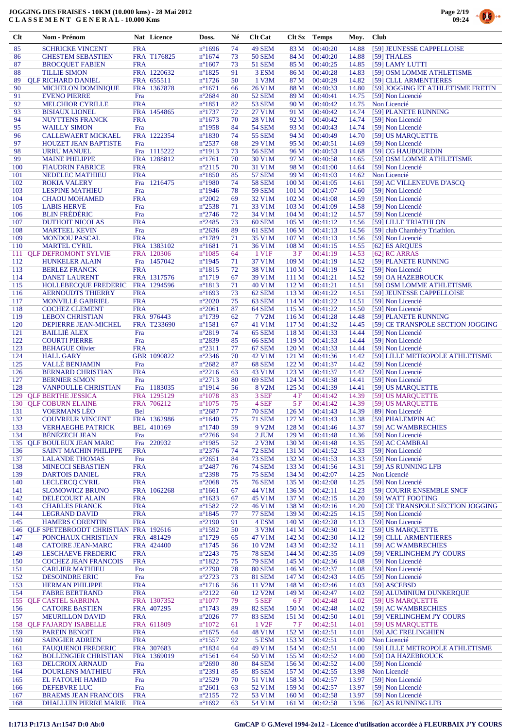

| Clt        | Nom - Prénom                                                      |                   | Nat Licence                | Doss.                              | Né       | <b>Clt Cat</b>                     | Clt Sx                               | <b>Temps</b>         | Moy.           | <b>Club</b>                                            |
|------------|-------------------------------------------------------------------|-------------------|----------------------------|------------------------------------|----------|------------------------------------|--------------------------------------|----------------------|----------------|--------------------------------------------------------|
| 85         | <b>SCHRICKE VINCENT</b>                                           | <b>FRA</b>        |                            | $n^{\circ}1696$                    | 74       | 49 SEM                             | 83 M                                 | 00:40:20             | 14.88          | [59] JEUNESSE CAPPELLOISE                              |
| 86         | <b>GHESTEM SEBASTIEN</b>                                          |                   | FRA T176825                | $n^{\circ}1674$                    | 73       | <b>50 SEM</b>                      | 84 M                                 | 00:40:20             | 14.88          | [59] THALES                                            |
| 87         | <b>BROCQUET FABIEN</b>                                            | <b>FRA</b>        |                            | $n^{\circ}1607$                    | 73       | <b>51 SEM</b>                      | 85 M                                 | 00:40:25             | 14.85          | [59] LAMY LUTTI                                        |
| 88<br>89   | <b>TILLIE SIMON</b><br><b>QLF RICHARD DANIEL</b>                  |                   | FRA 1220632<br>FRA 655511  | $n^{\circ}1825$<br>$n^{\circ}1726$ | 91<br>50 | 3 ESM<br>1 V3M                     | 86 M<br>87 M                         | 00:40:28<br>00:40:29 | 14.83<br>14.82 | [59] OSM LOMME ATHLETISME<br>[59] CLLL ARMENTIERES     |
| 90         | <b>MICHELON DOMINIQUE</b>                                         |                   | FRA 1367878                | $n^{\circ}1671$                    | 66       | 26 V1M                             | 88 M                                 | 00:40:33             | 14.80          | [59] JOGGING ET ATHLETISME FRETIN                      |
| 91         | <b>EVENO PIERRE</b>                                               | Fra               |                            | $n^{\circ}2684$                    | 80       | <b>52 SEM</b>                      | 89 M                                 | 00:40:41             | 14.75          | [59] Non Licencié                                      |
| 92         | <b>MELCHIOR CYRILLE</b>                                           | <b>FRA</b>        |                            | $n^{\circ}1851$                    | 82       | <b>53 SEM</b>                      | 90 M                                 | 00:40:42             | 14.75          | Non Licencié                                           |
| 93<br>94   | <b>BISIAUX LIONEL</b><br><b>NUYTTENS FRANCK</b>                   | <b>FRA</b>        | FRA 1454865                | $n^{\circ}1737$<br>$n^{\circ}1673$ | 72<br>70 | 27 V1M<br>28 V1M                   | 91 M<br>92 M                         | 00:40:42<br>00:40:42 | 14.74<br>14.74 | [59] PLANETE RUNNING<br>[59] Non Licencié              |
| 95         | <b>WAILLY SIMON</b>                                               | Fra               |                            | $n^{\circ}$ 1958                   | 84       | <b>54 SEM</b>                      | 93 M                                 | 00:40:43             | 14.74          | [59] Non Licencié                                      |
| 96         | <b>CALLEWAERT MICKAEL</b>                                         |                   | FRA 1222354                | $n^{\circ}1830$                    | 74       | <b>55 SEM</b>                      | 94 M                                 | 00:40:49             | 14.70          | [59] US MARQUETTE                                      |
| 97         | <b>HOUZET JEAN BAPTISTE</b>                                       | Fra               |                            | $n^{\circ}2537$                    | 68       | 29 V1M                             | 95 M                                 | 00:40:51             | 14.69          | [59] Non Licencié                                      |
| 98<br>99   | <b>URRU MANUEL</b><br><b>MAINE PHILIPPE</b>                       |                   | Fra 1115222<br>FRA 1288812 | $n^{\circ}1913$                    | 73<br>70 | <b>56 SEM</b><br>30 V1M            | 96 M<br>97 M                         | 00:40:53             | 14.68<br>14.65 | [59] CG HAUBOURDIN                                     |
| 100        | <b>FIAUDRIN FABRICE</b>                                           | <b>FRA</b>        |                            | $n^{\circ}1761$<br>$n^{\circ}2115$ | 70       | 31 V1M                             | 98 M                                 | 00:40:58<br>00:41:00 | 14.64          | [59] OSM LOMME ATHLETISME<br>[59] Non Licencié         |
| 101        | NEDELEC MATHIEU                                                   | <b>FRA</b>        |                            | $n^{\circ}1850$                    | 85       | <b>57 SEM</b>                      | 99 M                                 | 00:41:03             | 14.62          | Non Licencié                                           |
| 102        | <b>ROKIA VALERY</b>                                               | Fra               | 1216475                    | $n^{\circ}$ 1980                   | 74       | <b>58 SEM</b>                      | 100 M                                | 00:41:05             | 14.61          | [59] AC VILLENEUVE D'ASCQ                              |
| 103        | <b>LESPINE MATHIEU</b>                                            | Fra               |                            | $n^{\circ}$ 1946                   | 78       | <b>59 SEM</b>                      | 101 <sub>M</sub>                     | 00:41:07             | 14.60          | [59] Non Licencié                                      |
| 104<br>105 | <b>CHAOU MOHAMED</b><br><b>LABIS HERVE</b>                        | <b>FRA</b><br>Fra |                            | $n^{\circ}2002$<br>$n^{\circ}2538$ | 69<br>71 | 32 V1M<br>33 V1M                   | 102 <sub>M</sub><br>103 <sub>M</sub> | 00:41:08<br>00:41:09 | 14.59<br>14.58 | [59] Non Licencié<br>[59] Non Licencié                 |
| 106        | <b>BLIN FRÉDÉRIC</b>                                              | Fra               |                            | $n^{\circ}2746$                    | 72       | 34 V1M                             | 104 <sub>M</sub>                     | 00:41:12             | 14.57          | [59] Non Licencié                                      |
| 107        | <b>DUTHOIT NICOLAS</b>                                            | <b>FRA</b>        |                            | $n^{\circ}2485$                    | 73       | 60 SEM                             | 105 <sub>M</sub>                     | 00:41:12             | 14.56          | [59] LILLE TRIATHLON                                   |
| 108        | <b>MARTEEL KEVIN</b>                                              | Fra               |                            | $n^{\circ}2636$                    | 89       | 61 SEM                             | 106 <sub>M</sub>                     | 00:41:13             | 14.56          | [59] club Chambéry Triathlon.                          |
| 109<br>110 | <b>MONDOU PASCAL</b><br><b>MARTEL CYRIL</b>                       | <b>FRA</b>        | FRA 1383102                | $n^{\circ}1789$<br>$n^{\circ}1681$ | 71<br>71 | 35 V1M<br>36 V1M                   | 107 <sub>M</sub><br>108 M            | 00:41:13<br>00:41:15 | 14.56<br>14.55 | [59] Non Licencié<br>[62] ES AROUES                    |
| 111        | <b>QLF DEFROMONT SYLVIE</b>                                       |                   | FRA 120306                 | $n^{\circ}1085$                    | 64       | 1 V1F                              | 3 F                                  | 00:41:19             | 14.53          | [62] RC ARRAS                                          |
| 112        | <b>HUNKELER ALAIN</b>                                             |                   | Fra 1457042                | $n^{\circ}$ 1945                   | 71       | 37 V1M                             | 109 M                                | 00:41:19             | 14.52          | [59] PLANETE RUNNING                                   |
| 113        | <b>BERLEZ FRANCK</b>                                              | <b>FRA</b>        |                            | $n^{\circ}1815$                    | 72       | 38 V1M                             | 110 <sub>M</sub>                     | 00:41:19             | 14.52          | [59] Non Licencié                                      |
| 114        | <b>DANET LAURENT</b>                                              |                   | FRA 1317576                | $n^{\circ}1719$                    | 67       | 39 V1M                             | 111 M                                | 00:41:21             | 14.52          | [59] OA HAZEBROUCK                                     |
| 115<br>116 | HOLLEBECQUE FREDERIC FRA 1294596<br><b>AERNOUDTS THIERRY</b>      | <b>FRA</b>        |                            | $n^{\circ}1813$<br>$n^{\circ}1693$ | 71<br>73 | 40 V1M<br>62 SEM                   | 112 M<br>113 M                       | 00:41:21<br>00:41:22 | 14.51<br>14.51 | [59] OSM LOMME ATHLETISME<br>[59] JEUNESSE CAPPELLOISE |
| 117        | <b>MONVILLE GABRIEL</b>                                           | <b>FRA</b>        |                            | $n^{\circ}2020$                    | 75       | 63 SEM                             | 114M                                 | 00:41:22             | 14.51          | [59] Non Licencié                                      |
| 118        | <b>COCHEZ CLEMENT</b>                                             | <b>FRA</b>        |                            | $n^{\circ}2061$                    | 87       | 64 SEM                             | 115 M                                | 00:41:22             | 14.50          | [59] Non Licencié                                      |
| 119        | <b>LEBON CHRISTIAN</b>                                            |                   | FRA 976443                 | $n^{\circ}1739$                    | 62       | 7 V2M                              | 116M                                 | 00:41:28             | 14.48          | [59] PLANETE RUNNING                                   |
| 120<br>121 | DEPIERRE JEAN-MICHEL<br><b>BAILLIE ALEX</b>                       | Fra               | FRA T233690                | $n^{\circ}1581$<br>$n^{\circ}2819$ | 67<br>74 | 41 V1M<br>65 SEM                   | 117 M<br>118M                        | 00:41:32<br>00:41:33 | 14.45<br>14.44 | [59] CE TRANSPOLE SECTION JOGGING<br>[59] Non Licencié |
| 122        | <b>COURTI PIERRE</b>                                              | Fra               |                            | n°2839                             | 85       | <b>66 SEM</b>                      | 119 <sub>M</sub>                     | 00:41:33             | 14.44          | [59] Non Licencié                                      |
| 123        | <b>BEHAGUE Olivier</b>                                            | <b>FRA</b>        |                            | $n^{\circ}2311$                    | 77       | 67 SEM                             | 120 M                                | 00:41:33             | 14.44          | [59] Non Licencié                                      |
| 124        | <b>HALL GARY</b>                                                  |                   | GBR 1090822                | $n^{\circ}2346$                    | 70       | 42 V1M                             | 121 M                                | 00:41:36             | 14.42          | [59] LILLE METROPOLE ATHLETISME                        |
| 125        | <b>VALLÉ BENJAMIN</b>                                             | Fra               |                            | $n^{\circ}2682$                    | 87       | 68 SEM                             | 122 M                                | 00:41:37             | 14.42          | [59] Non Licencié                                      |
| 126<br>127 | <b>BERNARD CHRISTIAN</b><br><b>BERNIER SIMON</b>                  | <b>FRA</b><br>Fra |                            | $n^{\circ}2216$<br>$n^{\circ}2713$ | 63<br>80 | 43 V1M<br>69 SEM                   | 123 M<br>124M                        | 00:41:37<br>00:41:38 | 14.42<br>14.41 | [59] Non Licencié<br>[59] Non Licencié                 |
| 128        | <b>VANPOULLE CHRISTIAN</b>                                        |                   | Fra 1183035                | $n^{\circ}1914$                    | 56       | 8 V <sub>2</sub> M                 | 125 <sub>M</sub>                     | 00:41:39             | 14.41          | [59] US MARQUETTE                                      |
| 129        | <b>QLF BERTHE JESSICA</b>                                         |                   | FRA 1295129                | $n^{\circ}1078$                    | 83       | 3 SEF                              | 4 F                                  | 00:41:42             | 14.39          | [59] US MAROUETTE                                      |
| 130        | <b>QLF COBURN ELAINE</b>                                          |                   | FRA 706212                 | $n^{\circ}1075$                    | 75       | 4 SEF                              | 5F                                   | 00:41:42             | 14.39          | [59] US MARQUETTE                                      |
| 131<br>132 | <b>VOERMANS LEO</b><br><b>COUVREUR VINCENT</b>                    | <b>Bel</b>        | FRA 1362986                | $n^{\circ}2687$<br>$n^{\circ}1640$ | 77<br>75 | <b>70 SEM</b><br>71 SEM            | 126M<br>127 <sub>M</sub>             | 00:41:43<br>00:41:43 | 14.39<br>14.38 | [89] Non Licencié<br>[59] PHALEMPIN AC                 |
| 133        | <b>VERHAEGHE PATRICK</b>                                          |                   | <b>BEL 410169</b>          | $n^{\circ}1740$                    | 59       | 9 V <sub>2</sub> M                 | 128 <sub>M</sub>                     | 00:41:46             | 14.37          | [59] AC WAMBRECHIES                                    |
| 134        | <b>BÉNÉZECH JEAN</b>                                              | Fra               |                            | $n^{\circ}2766$                    | 94       | 2 JUM                              | 129 <sub>M</sub>                     | 00:41:48             | 14.36          | [59] Non Licencié                                      |
|            | 135 QLF BOULEUX JEAN MARC                                         | Fra               | 220932                     | $n^{\circ}$ 1985                   | 52       | 2 V3M                              | 130 M                                | 00:41:48             | 14.35          | [59] AC CAMBRAI                                        |
| 136<br>137 | <b>SAINT MACHIN PHILIPPE</b><br><b>LALANDE THOMAS</b>             | <b>FRA</b><br>Fra |                            | $n^{\circ}2376$<br>$n^{\circ}2651$ | 74<br>84 | <b>72 SEM</b><br><b>73 SEM</b>     | 131 M<br>132 M                       | 00:41:52<br>00:41:53 | 14.33<br>14.33 | [59] Non Licencié<br>[59] Non Licencié                 |
| 138        | <b>MINECCI SEBASTIEN</b>                                          | <b>FRA</b>        |                            | $n^{\circ}2487$                    | 76       | <b>74 SEM</b>                      | 133 M                                | 00:41:56             | 14.31          | [59] AS RUNNING LFB                                    |
| 139        | <b>DARTOIS DANIEL</b>                                             | <b>FRA</b>        |                            | $n^{\circ}2398$                    | 75       | <b>75 SEM</b>                      | 134 M                                | 00:42:07             | 14.25          | Non Licencié                                           |
| 140        | <b>LECLERCO CYRIL</b>                                             | <b>FRA</b>        |                            | $n^{\circ}2068$                    | 75       | <b>76 SEM</b>                      | 135 M                                | 00:42:08             | 14.25          | [59] Non Licencié                                      |
| 141<br>142 | <b>SLOMOWICZ BRUNO</b><br><b>DELECOURT ALAIN</b>                  | <b>FRA</b>        | FRA 1062268                | $n^{\circ}1661$<br>$n^{\circ}1633$ | 67<br>67 | 44 V1M<br>45 V1M                   | 136 M<br>137 M                       | 00:42:11<br>00:42:15 | 14.23<br>14.20 | [59] COURIR ENSEMBLE SNCF<br>[59] WATT FOOTING         |
| 143        | <b>CHARLES FRANCK</b>                                             | <b>FRA</b>        |                            | $n^{\circ}1582$                    | 72       | 46 V1M                             | 138 M                                | 00:42:16             | 14.20          | [59] CE TRANSPOLE SECTION JOGGING                      |
| 144        | <b>LEGRAND DAVID</b>                                              | <b>FRA</b>        |                            | $n^{\circ}$ 1845                   | 77       | <b>77 SEM</b>                      | 139 M                                | 00:42:25             | 14.15          | [59] Non Licencié                                      |
| 145        | <b>HAMERS CORENTIN</b>                                            | <b>FRA</b>        |                            | $n^{\circ}2190$                    | 91       | 4 ESM                              | 140 M                                | 00:42:28             | 14.13          | [59] Non Licencié                                      |
| 146<br>147 | <b>QLF SPETEBROODT CHRISTIAN FRA 192616</b><br>PONCHAUX CHRISTIAN |                   | FRA 481429                 | $n^{\circ}1592$<br>$n^{\circ}1729$ | 50<br>65 | 3 V3M<br>47 V1M                    | 141 M<br>142 M                       | 00:42:30<br>00:42:30 | 14.12<br>14.12 | [59] US MARQUETTE<br>[59] CLLL ARMENTIERES             |
| 148        | <b>CATOIRE JEAN-MARC</b>                                          |                   | FRA 424400                 | $n^{\circ}$ 1745                   | 56       | 10 V2M                             | 143 M                                | 00:42:32             | 14.11          | [59] AC WAMBRECHIES                                    |
| 149        | <b>LESCHAEVE FREDERIC</b>                                         | <b>FRA</b>        |                            | $n^{\circ}2243$                    | 75       | <b>78 SEM</b>                      | 144 M                                | 00:42:35             | 14.09          | [59] VERLINGHEM J'Y COURS                              |
| 150        | <b>COCHEZ JEAN FRANCOIS</b>                                       | <b>FRA</b>        |                            | $n^{\circ}1822$                    | 75       | <b>79 SEM</b>                      | 145 M                                | 00:42:36             | 14.08          | [59] Non Licencié                                      |
| 151        | <b>CARLIER MATHIEU</b>                                            | Fra               |                            | $n^{\circ}2790$                    | 78       | <b>80 SEM</b>                      | 146 M                                | 00:42:37             | 14.08          | [59] Non Licencié                                      |
| 152<br>153 | <b>DESOINDRE ERIC</b><br><b>HERMAN PHILIPPE</b>                   | Fra<br><b>FRA</b> |                            | $n^{\circ}2723$<br>$n^{\circ}1716$ | 73<br>56 | <b>81 SEM</b><br>11 V2M            | 147 M<br>148 M                       | 00:42:43<br>00:42:46 | 14.05<br>14.03 | [59] Non Licencié<br>[59] ASCEBSD                      |
| 154        | <b>FABRE BERTRAND</b>                                             | <b>FRA</b>        |                            | $n^{\circ}2122$                    | 60       | 12 V <sub>2</sub> M                | 149 M                                | 00:42:47             | 14.02          | [59] ALUMINIUM DUNKERQUE                               |
|            | 155 QLF CASTEL SABRINA                                            |                   | FRA 1307352                | $n^{\circ}1077$                    | 79       | 5 SEF                              | 6 F                                  | 00:42:48             | 14.02          | [59] US MARQUETTE                                      |
| 156        | <b>CATOIRE BASTIEN</b>                                            |                   | FRA 407295                 | $n^{\circ}1743$                    | 89       | <b>82 SEM</b>                      | 150 <sub>M</sub>                     | 00:42:48             | 14.02          | [59] AC WAMBRECHIES                                    |
| 157<br>158 | <b>MEURILLON DAVID</b><br><b>OLF FAJARDY ISABELLE</b>             | <b>FRA</b>        | FRA 611809                 | $n^{\circ}2026$<br>$n^{\circ}1072$ | 77<br>61 | <b>83 SEM</b><br>1 V <sub>2F</sub> | 151 M<br>7 F                         | 00:42:50<br>00:42:51 | 14.01<br>14.01 | [59] VERLINGHEM J'Y COURS<br>[59] US MARQUETTE         |
| 159        | <b>PAREIN BENOIT</b>                                              | <b>FRA</b>        |                            | $n^{\circ}1675$                    | 64       | 48 V1M                             | 152 M                                | 00:42:51             | 14.01          | [59] AJC FRELINGHIEN                                   |
| 160        | <b>SAINGIER ADRIEN</b>                                            | <b>FRA</b>        |                            | $n^{\circ}$ 1557                   | 92       | 5 ESM                              | 153 M                                | 00:42:51             | 14.00          | Non Licencié                                           |
| 161        | <b>FAUQUENOI FREDERIC</b>                                         |                   | FRA 307683                 | $n^{\circ}$ 1834                   | 64       | 49 V1M                             | 154 M                                | 00:42:51             | 14.00          | [59] LILLE METROPOLE ATHLETISME                        |
| 162        | <b>BOLLENGIER CHRISTIAN</b>                                       |                   | FRA 1369019                | $n^{\circ}1561$                    | 64       | 50 V1M<br><b>84 SEM</b>            | 155 M                                | 00:42:52<br>00:42:52 | 14.00<br>14.00 | [59] OA HAZEBROUCK                                     |
| 163<br>164 | <b>DELCROIX ARNAUD</b><br><b>DOURLENS MATHIEU</b>                 | Fra<br><b>FRA</b> |                            | $n^{\circ}2690$<br>$n^{\circ}2391$ | 80<br>85 | <b>85 SEM</b>                      | 156 M<br>157 M                       | 00:42:55             | 13.98          | [59] Non Licencié<br>Non Licencié                      |
| 165        | EL FATOUHI HAMID                                                  | Fra               |                            | $n^{\circ}2529$                    | 70       | 51 V1M                             | 158 M                                | 00:42:57             | 13.97          | [59] Non Licencié                                      |
| 166        | DEFEBVRE LUC                                                      | Fra               |                            | $n^{\circ}2601$                    | 63       | 52 V1M                             | 159 M                                | 00:42:57             | 13.97          | [59] Non Licencié                                      |
| 167        | <b>BRAEMS JEAN FRANCOIS</b>                                       | <b>FRA</b>        |                            | $n^{\circ}2155$                    | 72       | 53 V1M                             | 160 <sub>M</sub>                     | 00:42:58             | 13.97          | [59] Non Licencié                                      |
| 168        | DHALLUIN PIERRE MARIE                                             | <b>FRA</b>        |                            | $n^{\circ}1692$                    | 63       | 54 V1M                             | 161 M                                | 00:42:58             | 13.96          | [62] AS RUNNING LFB                                    |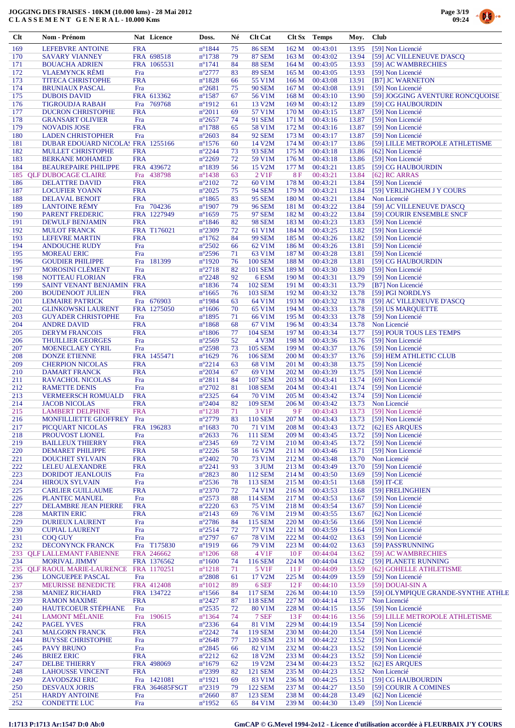



 $0.6 +$ 

| $Cl$       | Nom - Prénom                                         |                          | Nat Licence           | Doss.                               | Né       | <b>Clt Cat</b>                   |                    | Clt Sx Temps         | Moy.           | <b>Club</b>                                  |
|------------|------------------------------------------------------|--------------------------|-----------------------|-------------------------------------|----------|----------------------------------|--------------------|----------------------|----------------|----------------------------------------------|
| 169        | <b>LEFEBVRE ANTOINE</b>                              | <b>FRA</b>               |                       | $n^{\circ}1844$                     | 75       | <b>86 SEM</b>                    | 162 M              | 00:43:01             | 13.95          | [59] Non Licencié                            |
| 170        | <b>SAVARY VIANNEY</b>                                |                          | FRA 698518            | $n^{\circ}$ 1738                    | 79       | <b>87 SEM</b>                    | 163 M              | 00:43:02             | 13.94          | [59] AC VILLENEUVE D'ASCO                    |
| 171        | <b>BOUACHA ADRIEN</b>                                |                          | FRA 1065531           | $n^{\circ}1741$                     | 84       | <b>88 SEM</b>                    | 164 M              | 00:43:05             | 13.93          | [59] AC WAMBRECHIES                          |
| 172<br>173 | <b>VLAEMYNCK RÉMI</b><br><b>TITECA CHRISTOPHE</b>    | Fra<br><b>FRA</b>        |                       | $n^{\circ}2777$<br>$n^{\circ}1828$  | 83<br>66 | <b>89 SEM</b><br>55 V1M          | 165 M<br>166 M     | 00:43:05<br>00:43:08 | 13.93<br>13.91 | [59] Non Licencié<br>[B7] JC WARNETON        |
| 174        | <b>BRUNIAUX PASCAL</b>                               | Fra                      |                       | $n^{\circ}2681$                     | 75       | <b>90 SEM</b>                    | 167 <sub>M</sub>   | 00:43:08             | 13.91          | [59] Non Licencié                            |
| 175        | <b>DUBOIS DAVID</b>                                  |                          | FRA 613362            | $n^{\circ}$ 1587                    | 67       | 56 V1M                           | 168 M              | 00:43:10             | 13.90          | [59] JOGGING AVENTURE RONCQUOISE             |
| 176        | <b>TIGROUDJA RABAH</b>                               |                          | Fra 769768            | $n^{\circ}1912$                     | 61       | 13 V2M                           | 169 M              | 00:43:12             | 13.89          | [59] CG HAUBOURDIN                           |
| 177        | <b>DUCRON CHRISTOPHE</b>                             | <b>FRA</b>               |                       | $n^{\circ}2011$                     | 69       | 57 V1M                           | 170 M              | 00:43:15             | 13.87          | [59] Non Licencié                            |
| 178        | <b>GRANSART OLIVIER</b><br><b>NOVADIS JOSE</b>       | Fra                      |                       | $n^{\circ}2657$                     | 74       | <b>91 SEM</b>                    | 171 M<br>172 M     | 00:43:16<br>00:43:16 | 13.87          | [59] Non Licencié                            |
| 179<br>180 | <b>LADEN CHRISTOPHER</b>                             | <b>FRA</b><br>Fra        |                       | $n^{\circ}$ 1788<br>$n^{\circ}2603$ | 65<br>84 | 58 V1M<br><b>92 SEM</b>          | 173 M              | 00:43:17             | 13.87<br>13.87 | [59] Non Licencié<br>[59] Non Licencié       |
| 181        | DUBAR EDOUARD NICOLA! FRA 1255166                    |                          |                       | $n^{\circ}1576$                     | 60       | 14 V2M                           | 174 M              | 00:43:17             | 13.86          | [59] LILLE METROPOLE ATHLETISME              |
| 182        | <b>MULLET CHRISTOPHE</b>                             | <b>FRA</b>               |                       | $n^{\circ}2244$                     | 73       | <b>93 SEM</b>                    | 175 M              | 00:43:18             | 13.86          | [62] Non Licencié                            |
| 183        | <b>BERKANE MOHAMED</b>                               | <b>FRA</b>               |                       | $n^{\circ}2269$                     | 72       | 59 V1M                           | 176 M              | 00:43:18             | 13.86          | [59] Non Licencié                            |
| 184        | <b>BEAUREPAIRE PHILIPPE</b>                          |                          | FRA 439672            | $n^{\circ}1839$                     | 56       | 15 V2M                           | 177 M              | 00:43:21             | 13.85          | [59] CG HAUBOURDIN                           |
| 186        | 185 QLF DUBOCAGE CLAIRE<br><b>DELATTRE DAVID</b>     | <b>FRA</b>               | Fra 438798            | $n^{\circ}$ 1438<br>$n^{\circ}2102$ | 63<br>72 | 2 V1F<br>60 V1M                  | <b>8F</b><br>178 M | 00:43:21<br>00:43:21 | 13.84<br>13.84 | $[62]$ RC ARRAS<br>[59] Non Licencié         |
| 187        | <b>LOCUFIER YOANN</b>                                | <b>FRA</b>               |                       | $n^{\circ}2025$                     | 75       | <b>94 SEM</b>                    | 179 M              | 00:43:21             | 13.84          | [59] VERLINGHEM J Y COURS                    |
| 188        | <b>DELAVAL BENOIT</b>                                | <b>FRA</b>               |                       | $n^{\circ}1865$                     | 83       | <b>95 SEM</b>                    | 180 M              | 00:43:21             | 13.84          | Non Licencié                                 |
| 189        | <b>LANTOINE RÉMY</b>                                 |                          | Fra 704236            | $n^{\circ}1907$                     | 79       | <b>96 SEM</b>                    | 181 M              | 00:43:22             | 13.84          | [59] AC VILLENEUVE D'ASCQ                    |
| 190        | <b>PARENT FREDERIC</b>                               |                          | FRA 1227949           | $n^{\circ}1659$                     | 75       | <b>97 SEM</b>                    | 182 M              | 00:43:22             | 13.84          | [59] COURIR ENSEMBLE SNCF                    |
| 191        | <b>DEWULF BENJAMIN</b>                               | <b>FRA</b>               |                       | $n^{\circ}$ 1846                    | 82       | <b>98 SEM</b>                    | 183 M              | 00:43:23             | 13.83          | [59] Non Licencié                            |
| 192<br>193 | <b>MULOT FRANCK</b><br><b>LEFEVRE MARTIN</b>         | <b>FRA</b>               | FRA T176021           | $n^{\circ}2309$<br>$n^{\circ}1762$  | 72<br>84 | 61 V1M<br><b>99 SEM</b>          | 184 M<br>185 M     | 00:43:25<br>00:43:26 | 13.82<br>13.82 | [59] Non Licencié<br>[59] Non Licencié       |
| 194        | <b>ANDOUCHE RUDY</b>                                 | Fra                      |                       | $n^{\circ}2502$                     | 66       | 62 V1M                           | 186 M              | 00:43:26             | 13.81          | [59] Non Licencié                            |
| 195        | <b>MOREAU ERIC</b>                                   | Fra                      |                       | $n^{\circ}2596$                     | 71       | 63 V1M                           | 187 M              | 00:43:28             | 13.81          | [59] Non Licencié                            |
| 196        | <b>GOUDIER PHILIPPE</b>                              | Fra                      | 181399                | $n^{\circ}1920$                     | 76       | <b>100 SEM</b>                   | 188 M              | 00:43:28             | 13.81          | [59] CG HAUBOURDIN                           |
| 197        | <b>MOROSINI CLÉMENT</b>                              | Fra                      |                       | $n^{\circ}2718$                     | 82       | 101 SEM                          | 189 M              | 00:43:30             | 13.80          | [59] Non Licencié                            |
| 198        | <b>NOTTEAU FLORIAN</b>                               | <b>FRA</b>               |                       | $n^{\circ}2248$                     | 92       | 6ESM                             | 190 M              | 00:43:31             | 13.79          | [59] Non Licencié                            |
| 199<br>200 | SAINT VENANT BENJAMIN FRA<br><b>BOUDENOOT JULIEN</b> | <b>FRA</b>               |                       | $n^{\circ}$ 1836<br>$n^{\circ}1665$ | 74<br>76 | <b>102 SEM</b><br>103 SEM        | 191 M<br>192 M     | 00:43:31<br>00:43:32 | 13.79<br>13.78 | [B7] Non Licencié<br>[59] PGI NORDLYS        |
| 201        | <b>LEMAIRE PATRICK</b>                               |                          | Fra 676903            | $n^{\circ}$ 1984                    | 63       | 64 V1M                           | 193 M              | 00:43:32             | 13.78          | [59] AC VILLENEUVE D'ASCQ                    |
| 202        | <b>GLINKOWSKI LAURENT</b>                            |                          | FRA 1275050           | $n^{\circ}1606$                     | 70       | 65 V1M                           | 194 M              | 00:43:33             | 13.78          | [59] US MARQUETTE                            |
| 203        | <b>GUYADER CHRISTOPHE</b>                            | Fra                      |                       | $n^{\circ}$ 1895                    | 71       | 66 V1M                           | 195 M              | 00:43:33             | 13.78          | [59] Non Licencié                            |
| 204        | <b>ANDRE DAVID</b>                                   | <b>FRA</b>               |                       | $n^{\circ}$ 1868                    | 68       | 67 V1M                           | 196 M              | 00:43:34             | 13.78          | Non Licencié                                 |
| 205        | <b>DERYM FRANCOIS</b>                                | <b>FRA</b>               |                       | $n^{\circ}1806$                     | 77       | <b>104 SEM</b>                   | 197 M              | 00:43:34             | 13.77          | [59] POUR TOUS LES TEMPS                     |
| 206        | <b>THUILLIER GEORGES</b>                             | Fra                      |                       | $n^{\circ}2569$                     | 52       | 4 V3M                            | 198 M              | 00:43:36             | 13.76          | [59] Non Licencié                            |
| 207<br>208 | <b>MOENECLAEY CYRIL</b><br><b>DONZE ETIENNE</b>      | Fra                      | FRA 1455471           | $n^{\circ}2598$<br>$n^{\circ}1629$  | 73<br>76 | <b>105 SEM</b><br><b>106 SEM</b> | 199 M<br>200 M     | 00:43:37<br>00:43:37 | 13.76<br>13.76 | [59] Non Licencié<br>[59] HEM ATHLETIC CLUB  |
| 209        | <b>CHERPION NICOLAS</b>                              | <b>FRA</b>               |                       | $n^{\circ}2214$                     | 63       | 68 V1M                           | 201 M              | 00:43:38             | 13.75          | [59] Non Licencié                            |
| 210        | <b>DAMART FRANCK</b>                                 | <b>FRA</b>               |                       | $n^{\circ}2034$                     | 67       | 69 V1M                           | 202 M              | 00:43:39             | 13.75          | [59] Non Licencié                            |
| 211        | <b>RAVACHOL NICOLAS</b>                              | Fra                      |                       | $n^{\circ}2811$                     | 84       | <b>107 SEM</b>                   | 203 M              | 00:43:41             | 13.74          | [69] Non Licencié                            |
| 212        | <b>RAMETTE DENIS</b>                                 | Fra                      |                       | $n^{\circ}2702$                     | 81       | <b>108 SEM</b>                   | 204 M              | 00:43:41             | 13.74          | [59] Non Licencié                            |
| 213        | <b>VERMEERSCH ROMUALD</b>                            | <b>FRA</b>               |                       | $n^{\circ}2325$                     | 64       | 70 V1M                           | 205 M              | 00:43:42             | 13.74          | [59] Non Licencié                            |
| 214<br>215 | <b>JACOB NICOLAS</b><br><b>LAMBERT DELPHINE</b>      | <b>FRA</b><br><b>FRA</b> |                       | $n^{\circ}2404$<br>$n^{\circ}1238$  | 82<br>71 | <b>109 SEM</b><br>3 V1F          | 206 M<br>9F        | 00:43:42<br>00:43:43 | 13.73<br>13.73 | Non Licencié<br>[59] Non Licencié            |
| 216        | MONFILLIETTE GEOFFREY                                | Fra                      |                       | $n^{\circ}2779$                     | 83       | 110 SEM                          | 207 M              | 00:43:43             | 13.73          | [59] Non Licencié                            |
| 217        | PICQUART NICOLAS                                     |                          | FRA 196283            | $n^{\circ}1683$                     | 70       | 71 V1M                           | 208 M              | 00:43:43             | 13.72          | [62] ES AROUES                               |
| 218        | PROUVOST LIONEL                                      | Fra                      |                       | $n^{\circ}2633$                     | 76       | 111 SEM                          | 209 M              | 00:43:45             | 13.72          | [59] Non Licencié                            |
| 219        | <b>BAILLEUX THIERRY</b>                              | <b>FRA</b>               |                       | $n^{\circ}2345$                     | 69       | 72 V1M                           | 210 M              | 00:43:45             | 13.72          | [59] Non Licencié                            |
| 220        | DEMARET PHILIPPE                                     | <b>FRA</b>               |                       | $n^{\circ}2226$                     | 58       | 16 V2M                           | 211 M              | 00:43:46             | 13.71          | [59] Non Licencié                            |
| 221<br>222 | <b>DOUCHET SYLVAIN</b><br>LELEU ALEXANDRE            | <b>FRA</b><br><b>FRA</b> |                       | $n^{\circ}2402$<br>$n^{\circ}2241$  | 70<br>93 | 73 V1M<br>3 JUM                  | 212 M<br>213 M     | 00:43:48<br>00:43:49 | 13.70<br>13.70 | Non Licencié<br>[59] Non Licencié            |
| 223        | <b>DORIDOT JEANLOUIS</b>                             | Fra                      |                       | $n^{\circ}2823$                     | 80       | 112 SEM                          | 214 M              | 00:43:50             | 13.69          | [59] Non Licencié                            |
| 224        | <b>HIROUX SYLVAIN</b>                                | Fra                      |                       | $n^{\circ}2536$                     | 78       | 113 SEM                          | 215 M              | 00:43:51             | 13.68          | $[59]$ IT-CE                                 |
| 225        | <b>CARLIER GUILLAUME</b>                             | <b>FRA</b>               |                       | $n^{\circ}2370$                     | 72       | 74 V1M                           | 216 M              | 00:43:53             | 13.68          | [59] FRELINGHIEN                             |
| 226        | <b>PLANTEC MANUEL</b>                                | Fra                      |                       | $n^{\circ}2573$                     | 88       | 114 SEM                          | 217 M              | 00:43:53             | 13.67          | [59] Non Licencié                            |
| 227<br>228 | DELAMBRE JEAN PIERRE<br><b>MARTIN ERIC</b>           | <b>FRA</b><br><b>FRA</b> |                       | $n^{\circ}2220$<br>$n^{\circ}2143$  | 63<br>69 | 75 V1M<br>76 V1M                 | 218 M<br>219 M     | 00:43:54<br>00:43:55 | 13.67          | [59] Non Licencié<br>[62] Non Licencié       |
| 229        | <b>DURIEUX LAURENT</b>                               | Fra                      |                       | $n^{\circ}2786$                     | 84       | 115 SEM                          | 220 M              | 00:43:56             | 13.67<br>13.66 | [59] Non Licencié                            |
| 230        | <b>CUPIAL LAURENT</b>                                | Fra                      |                       | $n^{\circ}2514$                     | 72       | 77 V1M                           | 221 M              | 00:43:59             | 13.64          | [59] Non Licencié                            |
| 231        | <b>COQ GUY</b>                                       | Fra                      |                       | $n^{\circ}2797$                     | 67       | 78 V1M                           | 222 M              | 00:44:02             | 13.63          | [59] Non Licencié                            |
| 232        | DECONYNCK FRANCK                                     |                          | Fra T175830           | $n^{\circ}1919$                     | 66       | 79 V1M                           | 223 M              | 00:44:02             | 13.63          | [59] PASS'RUNNING                            |
| 233        | <b>QLF LALLEMANT FABIENNE</b>                        |                          | FRA 246662            | $n^{\circ}1206$                     | 68       | 4 V1F                            | 10F                | 00:44:04             | 13.62          | [59] AC WAMBRECHIES                          |
| 234        | <b>MORIVAL JIMMY</b>                                 |                          | FRA 1376562           | $n^{\circ}1600$                     | 74       | 116 SEM                          | 224 M              | 00:44:04             | 13.62          | [59] PLANETE RUNNING                         |
| 236        | 235 QLF RAOUL MARIE-LAURENCE<br>LONGUEPEE PASCAL     | Fra                      | FRA 1170251           | $n^{\circ}1218$<br>$n^{\circ}2808$  | 71<br>61 | 5 V1F<br>17 V2M                  | 11F<br>225 M       | 00:44:09<br>00:44:09 | 13.59<br>13.59 | [62] GOHELLE ATHLETISME<br>[59] Non Licencié |
| 237        | MEURISSE BENEDICTE                                   |                          | FRA 412408            | $n^{\circ}1012$                     | 89       | 6 SEF                            | 12F                | 00:44:10             | 13.59          | [59] DOUAI-SIN A                             |
| 238        | <b>MANIEZ RICHARD</b>                                |                          | FRA 134722            | $n^{\circ}1566$                     | 84       | 117 SEM                          | 226 M              | 00:44:10             | 13.59          | [59] OLYMPIQUE GRANDE-SYNTHE ATHLE           |
| 239        | <b>RAMON MAXIME</b>                                  | <b>FRA</b>               |                       | $n^{\circ}2427$                     | 87       | 118 SEM                          | 227 M              | 00:44:14             | 13.57          | Non Licencié                                 |
| 240        | <b>HAUTECOEUR STÉPHANE</b>                           | Fra                      |                       | $n^{\circ}2535$                     | 72       | 80 V1M                           | 228 M              | 00:44:15             | 13.56          | [59] Non Licencié                            |
| 241        | <b>LAMONT MELANIE</b>                                | Fra                      | 190615                | $n^{\circ}$ 1364                    | 74       | 7 SEF                            | 13F                | 00:44:16             | 13.56          | [59] LILLE METROPOLE ATHLETISME              |
| 242<br>243 | <b>PAGEL YVES</b><br><b>MALGORN FRANCK</b>           | <b>FRA</b><br><b>FRA</b> |                       | $n^{\circ}2336$<br>$n^{\circ}2242$  | 64<br>74 | 81 V1M<br>119 SEM                | 229 M<br>230 M     | 00:44:19<br>00:44:20 | 13.54<br>13.54 | [59] Non Licencié<br>[59] Non Licencié       |
| 244        | <b>BUYSSE CHRISTOPHE</b>                             | Fra                      |                       | $n^{\circ}2648$                     | 77       | <b>120 SEM</b>                   | 231 M              | 00:44:22             | 13.52          | [59] Non Licencié                            |
| 245        | <b>PAVY BRUNO</b>                                    | Fra                      |                       | $n^{\circ}2845$                     | 66       | 82 V1M                           | 232 M              | 00:44:23             | 13.52          | [59] Non Licencié                            |
| 246        | <b>BRIEZ ERIC</b>                                    | <b>FRA</b>               |                       | $n^{\circ}2212$                     | 62       | 18 V2M                           | 233 M              | 00:44:23             | 13.52          | [59] Non Licencié                            |
| 247        | <b>DELBE THIERRY</b>                                 |                          | FRA 498069            | $n^{\circ}1679$                     | 62       | 19 V2M                           | 234 M              | 00:44:23             | 13.52          | [62] ES ARQUES                               |
| 248        | <b>LAHOUSSE VINCENT</b>                              | <b>FRA</b>               |                       | n°2399                              | 82       | 121 SEM                          | 235 M              | 00:44:23             | 13.52          | Non Licencié                                 |
| 249        | <b>ZAVODSZKI ERIC</b>                                | Fra                      | 1421081               | $n^{\circ}1921$                     | 69       | 83 V1M                           | 236 M              | 00:44:25             | 13.51          | [59] CG HAUBOURDIN                           |
| 250<br>251 | <b>DESVAUX JORIS</b><br><b>HARDY ANTOINE</b>         | Fra                      | <b>FRA 364685FSGT</b> | $n^{\circ}2319$<br>$n^{\circ}2660$  | 79<br>87 | 122 SEM<br><b>123 SEM</b>        | 237 M<br>238 M     | 00:44:27<br>00:44:28 | 13.50<br>13.49 | [59] COURIR A COMINES<br>[62] Non Licencié   |
| 252        | <b>CONDETTE LUC</b>                                  | Fra                      |                       | $n^{\circ}$ 1952                    | 65       | 84 V1M                           | 239 M              | 00:44:30             | 13.49          | [59] Non Licencié                            |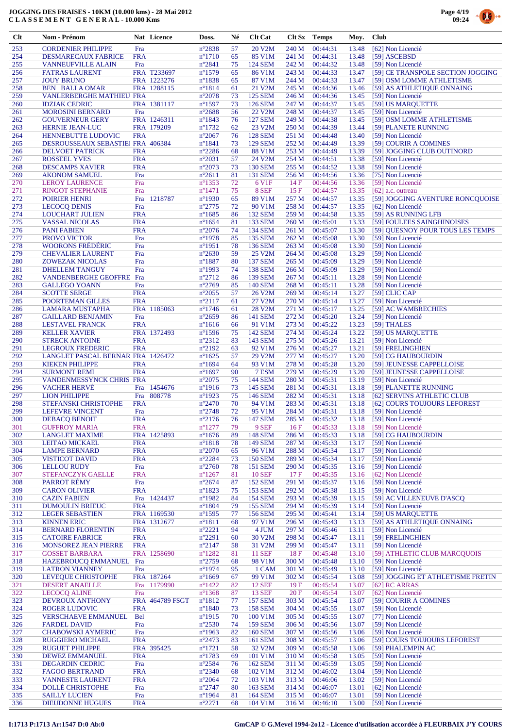



| $Cl$       | Nom - Prénom                                         |                          | Nat Licence                | Doss.                               | Né       | <b>Clt Cat</b>                   | Clt Sx         | <b>Temps</b>         | Moy.           | <b>Club</b>                                                    |
|------------|------------------------------------------------------|--------------------------|----------------------------|-------------------------------------|----------|----------------------------------|----------------|----------------------|----------------|----------------------------------------------------------------|
| 253        | <b>CORDENIER PHILIPPE</b>                            | Fra                      |                            | $n^{\circ}2838$                     | 57       | 20 V2M                           | 240 M          | 00:44:31             | 13.48          | [62] Non Licencié                                              |
| 254        | <b>DESMARECAUX FABRICE</b>                           | <b>FRA</b>               |                            | $n^{\circ}1710$                     | 65       | 85 V1M                           | 241 M          | 00:44:31             | 13.48          | [59] ASCEBSD                                                   |
| 255        | <b>VANNEUFVILLE ALAIN</b>                            | Fra                      |                            | $n^{\circ}2841$                     | 75       | <b>124 SEM</b>                   | 242 M          | 00:44:32             | 13.48          | [59] Non Licencié                                              |
| 256<br>257 | <b>FATRAS LAURENT</b><br><b>JOUY BRUNO</b>           |                          | FRA T233697<br>FRA 1223276 | $n^{\circ}1579$<br>$n^{\circ}1838$  | 65<br>65 | 86 V1M<br>87 V1M                 | 243 M<br>244 M | 00:44:33<br>00:44:33 | 13.47<br>13.47 | [59] CE TRANSPOLE SECTION JOGGING<br>[59] OSM LOMME ATHLETISME |
| 258        | <b>BEN BALLA OMAR</b>                                |                          | FRA 1288115                | $n^{\circ}1814$                     | 61       | 21 V2M                           | 245 M          | 00:44:36             | 13.46          | [59] AS ATHLETIQUE ONNAING                                     |
| 259        | <b>VANLERBERGHE MATHIEU FRA</b>                      |                          |                            | $n^{\circ}2078$                     | 73       | <b>125 SEM</b>                   | 246 M          | 00:44:36             | 13.45          | [59] Non Licencié                                              |
| 260        | <b>IDZIAK CEDRIC</b>                                 |                          | FRA 1381117                | $n^{\circ}$ 1597                    | 73       | <b>126 SEM</b>                   | 247 M          | 00:44:37             | 13.45          | [59] US MARQUETTE                                              |
| 261        | <b>MOROSINI BERNARD</b>                              | Fra                      |                            | $n^{\circ}2688$                     | 56       | 22 V <sub>2</sub> M              | 248 M          | 00:44:37             | 13.45          | [59] Non Licencié                                              |
| 262<br>263 | <b>GOUVERNEUR GERY</b><br><b>HERNIE JEAN-LUC</b>     |                          | FRA 1246311<br>FRA 179209  | $n^{\circ}1843$<br>$n^{\circ}1732$  | 76<br>62 | <b>127 SEM</b><br>23 V2M         | 249 M<br>250 M | 00:44:38<br>00:44:39 | 13.45<br>13.44 | [59] OSM LOMME ATHLETISME<br>[59] PLANETE RUNNING              |
| 264        | <b>HENNEBUTTE LUDOVIC</b>                            | <b>FRA</b>               |                            | $n^{\circ}2067$                     | 76       | <b>128 SEM</b>                   | 251 M          | 00:44:48             | 13.40          | [59] Non Licencié                                              |
| 265        | DESROUSSEAUX SEBASTIE FRA 406384                     |                          |                            | $n^{\circ}1841$                     | 73       | <b>129 SEM</b>                   | 252 M          | 00:44:49             | 13.39          | [59] COURIR A COMINES                                          |
| 266        | <b>DELVOET PATRICK</b>                               | <b>FRA</b>               |                            | $n^{\circ}2286$                     | 68       | <b>88 V1M</b>                    | 253 M          | 00:44:49             | 13.39          | [59] JOGGING CLUB OUTINORD                                     |
| 267        | <b>ROSSEEL YVES</b>                                  | <b>FRA</b>               |                            | $n^{\circ}2031$                     | 57       | 24 V2M                           | 254 M          | 00:44:51             | 13.38          | [59] Non Licencié                                              |
| 268<br>269 | <b>DESCAMPS XAVIER</b><br><b>AKONOM SAMUEL</b>       | <b>FRA</b><br>Fra        |                            | $n^{\circ}2073$<br>$n^{\circ}2611$  | 73<br>81 | <b>130 SEM</b><br>131 SEM        | 255 M<br>256 M | 00:44:52<br>00:44:56 | 13.38<br>13.36 | [59] Non Licencié<br>[75] Non Licencié                         |
| 270        | <b>LEROY LAURENCE</b>                                | Fra                      |                            | $n^{\circ}$ 1353                    | 72       | 6 V1F                            | 14F            | 00:44:56             | 13.36          | [59] Non Licencié                                              |
| 271        | <b>RINGOT STEPHANIE</b>                              | Fra                      |                            | $n^{\circ}1471$                     | 75       | 8 SEF                            | 15F            | 00:44:57             | 13.35          | $[62]$ a.c. outreau                                            |
| 272        | <b>POIRIER HENRI</b>                                 | Fra                      | 1218787                    | $n^{\circ}$ 1930                    | 65       | 89 V1M                           | 257 M          | 00:44:57             | 13.35          | [59] JOGGING AVENTURE RONCQUOISE                               |
| 273        | <b>LECOCQ DENIS</b>                                  | Fra                      |                            | $n^{\circ}2775$                     | 72       | 90 V1M                           | 258 M          | 00:44:57             | 13.35          | [62] Non Licencié                                              |
| 274<br>275 | <b>LOUCHART JULIEN</b><br><b>VASSAL NICOLAS</b>      | <b>FRA</b><br><b>FRA</b> |                            | $n^{\circ}1685$<br>$n^{\circ}1654$  | 86<br>81 | <b>132 SEM</b><br>133 SEM        | 259 M<br>260 M | 00:44:58<br>00:45:01 | 13.35<br>13.33 | [59] AS RUNNING LFB<br>[59] FOULEES SAINGHINOISES              |
| 276        | <b>PANI FABIEN</b>                                   | <b>FRA</b>               |                            | $n^{\circ}2076$                     | 74       | 134 SEM                          | 261 M          | 00:45:07             | 13.30          | [59] QUESNOY POUR TOUS LES TEMPS                               |
| 277        | PROVO VICTOR                                         | Fra                      |                            | $n^{\circ}$ 1978                    | 85       | <b>135 SEM</b>                   | 262 M          | 00:45:08             | 13.30          | [59] Non Licencié                                              |
| 278        | <b>WOORONS FRÉDÉRIC</b>                              | Fra                      |                            | $n^{\circ}1951$                     | 78       | 136 SEM                          | 263 M          | 00:45:08             | 13.30          | [59] Non Licencié                                              |
| 279        | <b>CHEVALIER LAURENT</b>                             | Fra                      |                            | $n^{\circ}2630$                     | 59       | 25 V2M                           | 264 M          | 00:45:08             | 13.29          | [59] Non Licencié                                              |
| 280<br>281 | <b>ZOWEZAK NICOLAS</b>                               | Fra                      |                            | $n^{\circ}1887$                     | 80<br>74 | <b>137 SEM</b><br><b>138 SEM</b> | 265 M          | 00:45:09             | 13.29          | [59] Non Licencié                                              |
| 282        | <b>DHELLEM TANGUY</b><br><b>VANDENBERGHE GEOFFRE</b> | Fra<br>Fra               |                            | $n^{\circ}$ 1993<br>$n^{\circ}2712$ | 86       | <b>139 SEM</b>                   | 266 M<br>267 M | 00:45:09<br>00:45:11 | 13.29<br>13.28 | [59] Non Licencié<br>[59] Non Licencié                         |
| 283        | <b>GALLEGO YOANN</b>                                 | Fra                      |                            | $n^{\circ}2769$                     | 85       | 140 SEM                          | 268 M          | 00:45:11             | 13.28          | [59] Non Licencié                                              |
| 284        | <b>SCOTTE SERGE</b>                                  | <b>FRA</b>               |                            | $n^{\circ}2055$                     | 57       | 26 V <sub>2</sub> M              | 269 M          | 00:45:14             | 13.27          | $[59]$ CLIC CAP                                                |
| 285        | POORTEMAN GILLES                                     | <b>FRA</b>               |                            | $n^{\circ}2117$                     | 61       | 27 V2M                           | 270 M          | 00:45:14             | 13.27          | [59] Non Licencié                                              |
| 286        | LAMARA MUSTAPHA                                      |                          | FRA 1185063                | $n^{\circ}$ 1746                    | 61       | 28 V <sub>2</sub> M              | 271 M          | 00:45:17             | 13.25          | [59] AC WAMBRECHIES                                            |
| 287<br>288 | <b>GAILLARD BENJAMIN</b><br><b>LESTAVEL FRANCK</b>   | Fra<br><b>FRA</b>        |                            | $n^{\circ}2659$<br>$n^{\circ}1616$  | 86<br>66 | 141 SEM<br>91 V1M                | 272 M<br>273 M | 00:45:20<br>00:45:22 | 13.24<br>13.23 | [59] Non Licencié<br>[59] THALES                               |
| 289        | <b>KELLER XAVIER</b>                                 |                          | FRA 1372493                | $n^{\circ}$ 1596                    | 75       | 142 SEM                          | 274 M          | 00:45:24             | 13.22          | [59] US MARQUETTE                                              |
| 290        | <b>STRECK ANTOINE</b>                                | <b>FRA</b>               |                            | $n^{\circ}2312$                     | 83       | 143 SEM                          | 275 M          | 00:45:26             | 13.21          | [59] Non Licencié                                              |
| 291        | <b>LEGROUX FREDERIC</b>                              | <b>FRA</b>               |                            | $n^{\circ}2192$                     | 63       | 92 V1M                           | 276 M          | 00:45:27             | 13.21          | [59] FRELINGHIEN                                               |
| 292        | LANGLET PASCAL BERNAR FRA 1426472                    |                          |                            | $n^{\circ}1625$                     | 57       | 29 V2M                           | 277 M          | 00:45:27             | 13.20          | [59] CG HAUBOURDIN                                             |
| 293<br>294 | <b>KIEKEN PHILIPPE</b><br><b>SURMONT REMI</b>        | <b>FRA</b><br><b>FRA</b> |                            | $n^{\circ}1694$<br>$n^{\circ}1697$  | 64<br>90 | 93 V1M<br>7 ESM                  | 278 M<br>279 M | 00:45:28<br>00:45:29 | 13.20<br>13.20 | [59] JEUNESSE CAPPELLOISE<br>[59] JEUNESSE CAPPELLOISE         |
| 295        | VANDENMESSYNCK CHRIS FRA                             |                          |                            | $n^{\circ}2075$                     | 75       | <b>144 SEM</b>                   | 280 M          | 00:45:31             | 13.19          | [59] Non Licencié                                              |
| 296        | <b>VACHER HERVE</b>                                  | Fra                      | 1454676                    | $n^{\circ}1916$                     | 73       | 145 SEM                          | 281 M          | 00:45:31             | 13.18          | [59] PLANETTE RUNNING                                          |
| 297        | <b>LION PHILIPPE</b>                                 | Fra                      | 808778                     | $n^{\circ}1923$                     | 75       | 146 SEM                          | 282 M          | 00:45:31             | 13.18          | [62] SERVINS ATHLETIC CLUB                                     |
| 298        | <b>STEFANSKI CHRISTOPHE</b>                          | <b>FRA</b>               |                            | $n^{\circ}2470$                     | 70       | 94 V1M                           | 283 M          | 00:45:31             | 13.18          | [62] COURS TOUJOURS LEFOREST                                   |
| 299<br>300 | <b>LEFEVRE VINCENT</b>                               | Fra                      |                            | $n^{\circ}2748$                     | 72<br>76 | 95 V1M<br>147 SEM                | 284 M<br>285 M | 00:45:31<br>00:45:32 | 13.18<br>13.18 | [59] Non Licencié                                              |
| 301        | <b>DEBACQ BENOIT</b><br><b>GUFFROY MARIA</b>         | FRA<br><b>FRA</b>        |                            | $n^{\circ}2176$<br>$n^{\circ}1277$  | 79       | 9 SEF                            | 16F            | 00:45:33             | 13.18          | [59] Non Licencié<br>[59] Non Licencié                         |
| 302        | <b>LANGLET MAXIME</b>                                |                          | FRA 1425893                | $n^{\circ}1676$                     | 89       | <b>148 SEM</b>                   | 286 M          | 00:45:33             | 13.18          | [59] CG HAUBOURDIN                                             |
| 303        | <b>LEITAO MICKAEL</b>                                | <b>FRA</b>               |                            | $n^{\circ}1818$                     | 78       | <b>149 SEM</b>                   | 287 M          | 00:45:33             | 13.17          | [59] Non Licencié                                              |
| 304        | <b>LAMPE BERNARD</b>                                 | <b>FRA</b>               |                            | $n^{\circ}2070$                     | 65       | 96 V1M                           | 288 M          | 00:45:34             | 13.17          | [59] Non Licencié                                              |
| 305<br>306 | <b>VISTICOT DAVID</b><br><b>LELLOU RUDY</b>          | <b>FRA</b><br>Fra        |                            | $n^{\circ}2284$<br>$n^{\circ}2760$  | 73<br>78 | <b>150 SEM</b><br>151 SEM        | 289 M<br>290 M | 00:45:34<br>00:45:35 | 13.17<br>13.16 | [59] Non Licencié<br>[59] Non Licencié                         |
| 307        | STEFANCZYK GAELLE                                    | <b>FRA</b>               |                            | $n^{\circ}1267$                     | 81       | <b>10 SEF</b>                    | 17F            | 00:45:35             | 13.16          | [62] Non Licencié                                              |
| 308        | <b>PARROT RÉMY</b>                                   | Fra                      |                            | $n^{\circ}2674$                     | 87       | <b>152 SEM</b>                   | 291 M          | 00:45:37             | 13.16          | [59] Non Licencié                                              |
| 309        | <b>CARON OLIVIER</b>                                 | <b>FRA</b>               |                            | $n^{\circ}1823$                     | 75       | <b>153 SEM</b>                   | 292 M          | 00:45:38             | 13.15          | [59] Non Licencié                                              |
| 310        | <b>CAZIN FABIEN</b>                                  |                          | Fra 1424437                | $n^{\circ}$ 1982                    | 84       | <b>154 SEM</b>                   | 293 M          | 00:45:39             | 13.15          | [59] AC VILLENEUVE D'ASCQ                                      |
| 311<br>312 | <b>DUMOULIN BRIEUC</b><br><b>LEGER SEBASTIEN</b>     | <b>FRA</b>               | FRA 1169530                | $n^{\circ}1804$<br>$n^{\circ}$ 1595 | 79<br>77 | <b>155 SEM</b><br><b>156 SEM</b> | 294 M<br>295 M | 00:45:39<br>00:45:41 | 13.14<br>13.14 | [59] Non Licencié<br>[59] US MARQUETTE                         |
| 313        | <b>KINNEN ERIC</b>                                   |                          | FRA 1312677                | $n^{\circ}1811$                     | 68       | 97 V1M                           | 296 M          | 00:45:43             | 13.13          | [59] AS ATHLETIQUE ONNAING                                     |
| 314        | <b>BERNARD FLORENTIN</b>                             | <b>FRA</b>               |                            | $n^{\circ}2221$                     | 94       | 4 JUM                            | 297 M          | 00:45:46             | 13.11          | [59] Non Licencié                                              |
| 315        | <b>CATOIRE FABRICE</b>                               | <b>FRA</b>               |                            | $n^{\circ}2291$                     | 60       | 30 V2M                           | 298 M          | 00:45:47             | 13.11          | [59] FRELINGHIEN                                               |
| 316        | <b>MONSOREZ JEAN PIERRE</b>                          | <b>FRA</b>               |                            | $n^{\circ}2147$                     | 58       | 31 V2M                           | 299 M          | 00:45:47             | 13.11          | [59] Non Licencié                                              |
| 317<br>318 | <b>GOSSET BARBARA</b><br>HAZEBROUCQ EMMANUEL Fra     |                          | FRA 1258690                | $n^{\circ}1282$<br>$n^{\circ}2759$  | 81<br>68 | <b>11 SEF</b><br>98 V1M          | 18F<br>300 M   | 00:45:48<br>00:45:48 | 13.10<br>13.10 | [59] ATHLETIC CLUB MARCQUOIS<br>[59] Non Licencié              |
| 319        | <b>LATRON VIANNEY</b>                                | Fra                      |                            | $n^{\circ}1974$                     | 95       | 1 CAM                            | 301 M          | 00:45:49             | 13.10          | [59] Non Licencié                                              |
| 320        | LEVEQUE CHRISTOPHE                                   |                          | FRA 187264                 | $n^{\circ}1669$                     | 67       | 99 V1M                           | 302 M          | 00:45:54             | 13.08          | [59] JOGGING ET ATHLETISME FRETIN                              |
| 321        | <b>DESERT ANAELLE</b>                                | Fra                      | 1179990                    | $n^{\circ}$ 1422                    | 82       | <b>12 SEF</b>                    | 19F            | 00:45:54             | 13.07          | [62] RC ARRAS                                                  |
| 322        | <b>LECOCQ ALINE</b>                                  | Fra                      |                            | $n^{\circ}$ 1368                    | 87       | <b>13 SEF</b>                    | 20 F           | 00:45:54             | 13.07          | [62] Non Licencié                                              |
| 323<br>324 | <b>DEVROUX ANTHONY</b>                               |                          | FRA 464789 FSGT            | $n^{\circ}1812$                     | 77       | <b>157 SEM</b><br><b>158 SEM</b> | 303 M          | 00:45:54<br>00:45:55 | 13.07          | [59] COURIR A COMINES<br>[59] Non Licencié                     |
| 325        | <b>ROGER LUDOVIC</b><br><b>VERSCHAEVE EMMANUEL</b>   | <b>FRA</b><br><b>Bel</b> |                            | $n^{\circ}1840$<br>$n^{\circ}$ 1915 | 73<br>70 | 100 V1M                          | 304 M<br>305 M | 00:45:55             | 13.07<br>13.07 | [77] Non Licencié                                              |
| 326        | <b>FARDEL DAVID</b>                                  | Fra                      |                            | $n^{\circ}2530$                     | 74       | <b>159 SEM</b>                   | 306 M          | 00:45:56             | 13.07          | [59] Non Licencié                                              |
| 327        | <b>CHABOWSKI AYMERIC</b>                             | Fra                      |                            | $n^{\circ}$ 1963                    | 82       | <b>160 SEM</b>                   | 307 M          | 00:45:56             | 13.06          | [59] Non Licencié                                              |
| 328        | <b>RUGGIERO MICHAEL</b>                              | <b>FRA</b>               |                            | $n^{\circ}2473$                     | 83       | 161 SEM                          | 308 M          | 00:45:57             | 13.06          | [59] COURS TOUJOURS LEFOREST                                   |
| 329        | <b>RUGUET PHILIPPE</b>                               |                          | FRA 395425                 | $n^{\circ}1721$                     | 58       | 32 V2M                           | 309 M          | 00:45:58             | 13.06          | [59] PHALEMPIN AC                                              |
| 330<br>331 | <b>DEWEZ EMMANUEL</b><br><b>DEGARDIN CEDRIC</b>      | <b>FRA</b><br>Fra        |                            | $n^{\circ}1783$<br>$n^{\circ}2584$  | 69<br>76 | 101 V1M<br><b>162 SEM</b>        | 310 M<br>311 M | 00:45:58<br>00:45:59 | 13.05<br>13.05 | [59] Non Licencié<br>[59] Non Licencié                         |
| 332        | <b>FAGOO BERTRAND</b>                                | <b>FRA</b>               |                            | $n^{\circ}2340$                     | 68       | 102 V1M                          | 312 M          | 00:46:02             | 13.04          | [59] Non Licencié                                              |
| 333        | <b>VANNESTE LAURENT</b>                              | <b>FRA</b>               |                            | $n^{\circ}2064$                     | 72       | 103 V1M                          | 313 M          | 00:46:06             | 13.02          | [59] Non Licencié                                              |
| 334        | <b>DOLLÉ CHRISTOPHE</b>                              | Fra                      |                            | $n^{\circ}2747$                     | 80       | 163 SEM                          | 314 M          | 00:46:07             | 13.01          | [62] Non Licencié                                              |
| 335        | <b>SAILLY LUCIEN</b>                                 | Fra                      |                            | $n^{\circ}$ 1964                    | 81       | 164 SEM                          | 315 M          | 00:46:07<br>00:46:10 | 13.01          | [59] Non Licencié                                              |
| 336        | <b>DIEUDONNE HUGUES</b>                              | <b>FRA</b>               |                            | $n^{\circ}2271$                     | 68       | 104 V1M                          | 316 M          |                      | 13.00          | [59] Non Licencié                                              |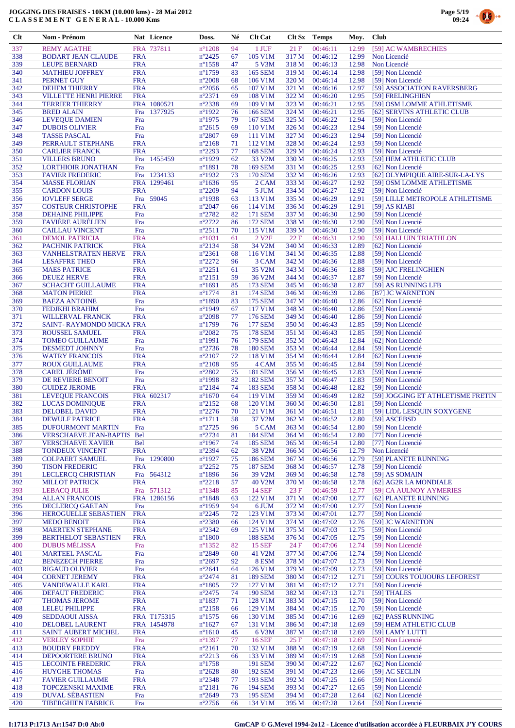

| <b>Clt</b> | <b>Nom - Prénom</b>                                |                          | Nat Licence | Doss.                               | Né       | <b>Clt Cat</b>                   |                | Clt Sx Temps         | Moy.           | <b>Club</b>                                       |
|------------|----------------------------------------------------|--------------------------|-------------|-------------------------------------|----------|----------------------------------|----------------|----------------------|----------------|---------------------------------------------------|
| 337        | <b>REMY AGATHE</b>                                 |                          | FRA 737811  | $n^{\circ}1208$                     | 94       | 1 JUF                            | 21F            | 00:46:11             | 12.99          | [59] AC WAMBRECHIES                               |
| 338        | <b>BODART JEAN CLAUDE</b>                          | <b>FRA</b>               |             | $n^{\circ}2425$                     | 67       | 105 V1M                          | 317 M          | 00:46:12             | 12.99          | Non Licencié                                      |
| 339        | <b>LEUPE BERNARD</b>                               | <b>FRA</b>               |             | $n^{\circ}$ 1558                    | 47       | 5 V3M                            | 318 M          | 00:46:13             | 12.98          | Non Licencié                                      |
| 340        | <b>MATHIEU JOFFREY</b>                             | <b>FRA</b>               |             | $n^{\circ}1759$                     | 83       | 165 SEM                          | 319 M          | 00:46:14             | 12.98          | [59] Non Licencié                                 |
| 341<br>342 | PERNET GUY<br><b>DEHEM THIERRY</b>                 | <b>FRA</b><br><b>FRA</b> |             | $n^{\circ}2008$<br>$n^{\circ}2056$  | 68<br>65 | 106 V1M<br>107 V1M               | 320 M<br>321 M | 00:46:14<br>00:46:16 | 12.98<br>12.97 | [59] Non Licencié<br>[59] ASSOCIATION RAVERSBERG  |
| 343        | <b>VILLETTE HENRI PIERRE</b>                       | <b>FRA</b>               |             | $n^{\circ}2371$                     | 69       | 108 V1M                          | 322 M          | 00:46:20             | 12.95          | [59] FRELINGHIEN                                  |
| 344        | <b>TERRIER THIERRY</b>                             |                          | FRA 1080521 | $n^{\circ}2338$                     | 69       | 109 V1M                          | 323 M          | 00:46:21             | 12.95          | [59] OSM LOMME ATHLETISME                         |
| 345        | <b>BRED ALAIN</b>                                  | Fra                      | 1377925     | $n^{\circ}1922$                     | 76       | 166 SEM                          | 324 M          | 00:46:21             | 12.95          | [62] SERVINS ATHLETIC CLUB                        |
| 346        | <b>LEVEOUE DAMIEN</b>                              | Fra                      |             | $n^{\circ}$ 1975                    | 79       | <b>167 SEM</b>                   | 325 M          | 00:46:22             | 12.94          | [59] Non Licencié                                 |
| 347<br>348 | <b>DUBOIS OLIVIER</b><br><b>TASSE PASCAL</b>       | Fra<br>Fra               |             | $n^{\circ}2615$<br>$n^{\circ}2807$  | 69<br>69 | 110 V1M<br>111 V1M               | 326 M<br>327 M | 00:46:23<br>00:46:23 | 12.94<br>12.94 | [59] Non Licencié<br>[59] Non Licencié            |
| 349        | PERRAULT STEPHANE                                  | <b>FRA</b>               |             | $n^{\circ}2168$                     | 71       | 112 V1M                          | 328 M          | 00:46:24             | 12.93          | [59] Non Licencié                                 |
| 350        | <b>CARLIER FRANCK</b>                              | <b>FRA</b>               |             | $n^{\circ}2293$                     | 77       | <b>168 SEM</b>                   | 329 M          | 00:46:24             | 12.93          | [59] Non Licencié                                 |
| 351        | <b>VILLERS BRUNO</b>                               | Fra                      | 1455459     | $n^{\circ}1929$                     | 62       | 33 V2M                           | 330 M          | 00:46:25             | 12.93          | [59] HEM ATHLETIC CLUB                            |
| 352        | <b>LORTHIOIR JONATHAN</b>                          | Fra                      |             | $n^{\circ}1891$                     | 78       | <b>169 SEM</b>                   | 331 M          | 00:46:25             | 12.93          | [62] Non Licencié                                 |
| 353        | <b>FAVIER FREDERIC</b>                             |                          | Fra 1234133 | $n^{\circ}1932$                     | 73       | <b>170 SEM</b>                   | 332 M          | 00:46:26             | 12.93          | [62] OLYMPIQUE AIRE-SUR-LA-LYS                    |
| 354<br>355 | <b>MASSE FLORIAN</b><br><b>CARDON LOUIS</b>        | <b>FRA</b>               | FRA 1299461 | $n^{\circ}1636$<br>$n^{\circ}2209$  | 95<br>94 | 2 CAM<br>5 JUM                   | 333 M<br>334 M | 00:46:27<br>00:46:27 | 12.92<br>12.92 | [59] OSM LOMME ATHLETISME<br>[59] Non Licencié    |
| 356        | <b>IOVLEFF SERGE</b>                               |                          | Fra 59045   | $n^{\circ}$ 1938                    | 63       | 113 V1M                          | 335 M          | 00:46:29             | 12.91          | [59] LILLE METROPOLE ATHLETISME                   |
| 357        | <b>COSTEUR CHRISTOPHE</b>                          | <b>FRA</b>               |             | $n^{\circ}2047$                     | 66       | 114 V1M                          | 336 M          | 00:46:29             | 12.91          | $[59]$ AS KIABI                                   |
| 358        | <b>DEHAINE PHILIPPE</b>                            | Fra                      |             | $n^{\circ}2782$                     | 82       | 171 SEM                          | 337 M          | 00:46:30             | 12.90          | [59] Non Licencié                                 |
| 359        | <b>FAVIÈRE AURÉLIEN</b>                            | Fra                      |             | $n^{\circ}2722$                     | 86       | 172 SEM                          | 338 M          | 00:46:30             | 12.90          | [59] Non Licencié                                 |
| 360        | <b>CAILLAU VINCENT</b>                             | Fra                      |             | $n^{\circ}2511$                     | 70       | 115 V1M                          | 339 M          | 00:46:30             | 12.90          | [59] Non Licencié                                 |
| 361<br>362 | <b>DEMOL PATRICIA</b><br>PACHNIK PATRICK           | <b>FRA</b><br><b>FRA</b> |             | $n^{\circ}1031$<br>$n^{\circ}2134$  | 61<br>58 | 2 V <sub>2F</sub><br>34 V2M      | 22F<br>340 M   | 00:46:31<br>00:46:33 | 12.90<br>12.89 | [59] HALLUIN TRIATHLON<br>[62] Non Licencié       |
| 363        | <b>VANHELSTRATEN HERVE</b>                         | <b>FRA</b>               |             | $n^{\circ}2361$                     | 68       | 116 V1M                          | 341 M          | 00:46:35             | 12.88          | [59] Non Licencié                                 |
| 364        | <b>LESAFFRE THEO</b>                               | <b>FRA</b>               |             | $n^{\circ}2272$                     | 96       | 3 CAM                            | 342 M          | 00:46:36             | 12.88          | [59] Non Licencié                                 |
| 365        | <b>MAES PATRICE</b>                                | <b>FRA</b>               |             | $n^{\circ}2251$                     | 61       | 35 V2M                           | 343 M          | 00:46:36             | 12.88          | [59] AJC FRELINGHIEN                              |
| 366        | <b>DEUEZ HERVE</b>                                 | <b>FRA</b>               |             | $n^{\circ}2151$                     | 59       | 36 V2M                           | 344 M          | 00:46:37             | 12.87          | [59] Non Licencié                                 |
| 367        | <b>SCHACHT GUILLAUME</b>                           | <b>FRA</b>               |             | $n^{\circ}1691$                     | 85       | 173 SEM                          | 345 M          | 00:46:38             | 12.87          | [59] AS RUNNING LFB                               |
| 368        | <b>MATON PIERRE</b>                                | <b>FRA</b>               |             | $n^{\circ}1774$                     | 81<br>83 | 174 SEM                          | 346 M<br>347 M | 00:46:39<br>00:46:40 | 12.86          | [B7] JC WARNETON                                  |
| 369<br>370 | <b>BAEZA ANTOINE</b><br><b>FEDJKHI BRAHIM</b>      | Fra<br>Fra               |             | $n^{\circ}1890$<br>$n^{\circ}$ 1949 | 67       | 175 SEM<br>117 V1M               | 348 M          | 00:46:40             | 12.86<br>12.86 | [62] Non Licencié<br>[59] Non Licencié            |
| 371        | <b>WILLERVAL FRANCK</b>                            | <b>FRA</b>               |             | $n^{\circ}2098$                     | 77       | 176 SEM                          | 349 M          | 00:46:40             | 12.86          | [59] Non Licencié                                 |
| 372        | SAINT-RAYMONDO MICKA FRA                           |                          |             | $n^{\circ}1799$                     | 76       | <b>177 SEM</b>                   | 350 M          | 00:46:43             | 12.85          | [59] Non Licencié                                 |
| 373        | <b>ROUSSEL SAMUEL</b>                              | <b>FRA</b>               |             | $n^{\circ}2082$                     | 75       | <b>178 SEM</b>                   | 351 M          | 00:46:43             | 12.85          | [59] Non Licencié                                 |
| 374        | <b>TOMEO GUILLAUME</b>                             | Fra                      |             | $n^{\circ}1991$                     | 76       | <b>179 SEM</b>                   | 352 M          | 00:46:43             | 12.84          | [62] Non Licencié                                 |
| 375        | <b>DESMEDT JOHNNY</b>                              | Fra                      |             | $n^{\circ}2736$                     | 78       | <b>180 SEM</b>                   | 353 M          | 00:46:44             | 12.84          | [59] Non Licencié                                 |
| 376<br>377 | <b>WATRY FRANCOIS</b><br><b>ROUX GUILLAUME</b>     | <b>FRA</b><br><b>FRA</b> |             | $n^{\circ}2107$<br>$n^{\circ}2108$  | 72<br>95 | 118 V1M<br>4 CAM                 | 354 M<br>355 M | 00:46:44<br>00:46:45 | 12.84<br>12.84 | [62] Non Licencié<br>[59] Non Licencié            |
| 378        | <b>CAREL JÉRÔME</b>                                | Fra                      |             | $n^{\circ}2802$                     | 75       | <b>181 SEM</b>                   | 356 M          | 00:46:45             | 12.83          | [59] Non Licencié                                 |
| 379        | DE REVIERE BENOIT                                  | Fra                      |             | $n^{\circ}$ 1998                    | 82       | <b>182 SEM</b>                   | 357 M          | 00:46:47             | 12.83          | [59] Non Licencié                                 |
| 380        | <b>GUIDEZ JEROME</b>                               | <b>FRA</b>               |             | $n^{\circ}2184$                     | 74       | <b>183 SEM</b>                   | 358 M          | 00:46:48             | 12.82          | [59] Non Licencié                                 |
| 381        | LEVEQUE FRANCOIS                                   |                          | FRA 602317  | $n^{\circ}1670$                     | 64       | 119 V1M                          | 359 M          | 00:46:49             | 12.82          | [59] JOGGING ET ATHLETISME FRETIN                 |
| 382        | <b>LUCAS DOMINIQUE</b>                             | <b>FRA</b>               |             | $n^{\circ}2152$                     | 68       | 120 V1M                          | 360 M          | 00:46:50             | 12.81          | [59] Non Licencié                                 |
| 383<br>384 | DELOBEL DAVID<br><b>DEWULF PATRICE</b>             | <b>FRA</b><br><b>FRA</b> |             | $n^{\circ}2276$<br>$n^{\circ}1711$  | 70<br>58 | 121 V1M<br>37 V2M                | 361 M<br>362 M | 00:46:51<br>00:46:52 | 12.81<br>12.80 | [59] LIDL LESOUIN S'OXYGENE<br>[59] ASCEBSD       |
| 385        | <b>DUFOURMONT MARTIN</b>                           | Fra                      |             | $n^{\circ}2725$                     | 96       | 5 CAM                            | 363 M          | 00:46:54             | 12.80          | [59] Non Licencié                                 |
| 386        | <b>VERSCHAEVE JEAN-BAPTIS</b>                      | Bel                      |             | $n^{\circ}2734$                     | 81       | <b>184 SEM</b>                   | 364 M          | 00:46:54             | 12.80          | [77] Non Licencié                                 |
| 387        | <b>VERSCHAEVE XAVIER</b>                           | <b>Bel</b>               |             | $n^{\circ}$ 1967                    | 74       | <b>185 SEM</b>                   | 365 M          | 00:46:54             | 12.80          | [77] Non Licencié                                 |
| 388        | <b>TONDEUX VINCENT</b>                             | <b>FRA</b>               |             | $n^{\circ}2394$                     | 62       | 38 V2M                           | 366 M          | 00:46:56             | 12.79          | Non Licencié                                      |
| 389        | <b>COLPAERT SAMUEL</b>                             | Fra<br><b>FRA</b>        | 1290800     | $n^{\circ}1927$<br>$n^{\circ}2252$  | 75       | <b>186 SEM</b>                   | 367 M          | 00:46:56             | 12.79          | [59] PLANETE RUNNING                              |
| 390<br>391 | <b>TISON FREDERIC</b><br><b>LECLERCQ CHRISTIAN</b> |                          | Fra 564312  | $n^{\circ}1896$                     | 75<br>56 | <b>187 SEM</b><br>39 V2M         | 368 M<br>369 M | 00:46:57<br>00:46:58 | 12.78<br>12.78 | [59] Non Licencié<br>[59] AS SOMAIN               |
| 392        | <b>MILLOT PATRICK</b>                              | <b>FRA</b>               |             | $n^{\circ}2218$                     | 57       | 40 V2M                           | 370 M          | 00:46:58             | 12.78          | [62] AG2R LA MONDIALE                             |
| 393        | <b>LEBACQ JULIE</b>                                |                          | Fra 571312  | $n^{\circ}$ 1348                    | 85       | <b>14 SEF</b>                    | 23F            | 00:46:59             | 12.77          | [59] CA AULNOY AYMERIES                           |
| 394        | <b>ALLAN FRANCOIS</b>                              |                          | FRA 1286156 | $n^{\circ}$ 1848                    | 63       | 122 V1M                          | 371 M          | 00:47:00             | 12.77          | [62] PLANETE RUNNING                              |
| 395        | <b>DECLERCQ GAETAN</b>                             | Fra                      |             | $n^{\circ}$ 1959                    | 94       | 6 JUM                            | 372 M          | 00:47:00             | 12.77          | [59] Non Licencié                                 |
| 396<br>397 | <b>HEROGUELLE SEBASTIEN</b><br><b>MEDO BENOIT</b>  | <b>FRA</b><br><b>FRA</b> |             | $n^{\circ}2245$<br>$n^{\circ}2380$  | 72<br>66 | 123 V1M<br>124 V1M               | 373 M<br>374 M | 00:47:01<br>00:47:02 | 12.77<br>12.76 | [59] Non Licencié<br>[59] JC WARNETON             |
| 398        | <b>MAERTEN STEPHANE</b>                            | <b>FRA</b>               |             | $n^{\circ}2342$                     | 69       | 125 V1M                          | 375 M          | 00:47:03             | 12.75          | [59] Non Licencié                                 |
| 399        | <b>BERTHELOT SEBASTIEN</b>                         | <b>FRA</b>               |             | $n^{\circ}1800$                     |          | <b>188 SEM</b>                   | 376 M          | 00:47:05             | 12.75          | [59] Non Licencié                                 |
| 400        | <b>DUBUS MÉLISSA</b>                               | Fra                      |             | $n^{\circ}$ 1352                    | 82       | <b>15 SEF</b>                    | 24 F           | 00:47:06             | 12.74          | [59] Non Licencié                                 |
| 401        | <b>MARTEEL PASCAL</b>                              | Fra                      |             | $n^{\circ}2849$                     | 60       | 41 V2M                           | 377 M          | 00:47:06             | 12.74          | [59] Non Licencié                                 |
| 402        | <b>BENEZECH PIERRE</b>                             | Fra                      |             | $n^{\circ}2697$                     | 92       | 8 ESM                            | 378 M          | 00:47:07             | 12.73          | [59] Non Licencié                                 |
| 403<br>404 | <b>RIGAUD OLIVIER</b><br><b>CORNET JEREMY</b>      | Fra<br><b>FRA</b>        |             | $n^{\circ}2641$<br>$n^{\circ}2474$  | 64<br>81 | 126 V1M<br><b>189 SEM</b>        | 379 M<br>380 M | 00:47:09<br>00:47:12 | 12.73<br>12.71 | [59] Non Licencié<br>[59] COURS TOUJOURS LEFOREST |
| 405        | <b>VANDEWALLE KARL</b>                             | <b>FRA</b>               |             | $n^{\circ}1805$                     | 72       | 127 V1M                          | 381 M          | 00:47:12             | 12.71          | [59] Non Licencié                                 |
| 406        | <b>DEFAUT FREDERIC</b>                             | <b>FRA</b>               |             | $n^{\circ}2475$                     | 74       | <b>190 SEM</b>                   | 382 M          | 00:47:13             | 12.71          | [59] THALES                                       |
| 407        | <b>THOMAS JEROME</b>                               | <b>FRA</b>               |             | $n^{\circ}1837$                     | 71       | 128 V1M                          | 383 M          | 00:47:15             | 12.70          | [59] Non Licencié                                 |
| 408        | <b>LELEU PHILIPPE</b>                              | <b>FRA</b>               |             | $n^{\circ}2158$                     | 66       | 129 V1M                          | 384 M          | 00:47:15             | 12.70          | [59] Non Licencié                                 |
| 409        | <b>SEDDAOUI AISSA</b>                              |                          | FRA T175315 | $n^{\circ}1575$                     | 66       | 130 V1M                          | 385 M          | 00:47:16             | 12.69          | [62] PASS'RUNNING                                 |
| 410        | <b>DELOBEL LAURENT</b>                             |                          | FRA 1454978 | $n^{\circ}1627$                     | 67       | 131 V1M                          | 386 M          | 00:47:18             | 12.69          | [59] HEM ATHLETIC CLUB                            |
| 411<br>412 | <b>SAINT AUBERT MICHEL</b><br><b>VERLEY SOPHIE</b> | <b>FRA</b><br>Fra        |             | $n^{\circ}1610$<br>$n^{\circ}1397$  | 45<br>77 | 6 V3M<br>16 SEF                  | 387 M<br>25 F  | 00:47:18<br>00:47:18 | 12.69<br>12.69 | [59] LAMY LUTTI<br>[59] Non Licencié              |
| 413        | <b>BOUDRY FREDDY</b>                               | <b>FRA</b>               |             | $n^{\circ}2161$                     | 70       | 132 V1M                          | 388 M          | 00:47:19             | 12.68          | [59] Non Licencié                                 |
| 414        | <b>DEPOORTERE BRUNO</b>                            | <b>FRA</b>               |             | $n^{\circ}2213$                     | 66       | 133 V1M                          | 389 M          | 00:47:19             | 12.68          | [59] Non Licencié                                 |
| 415        | <b>LECOINTE FREDERIC</b>                           | <b>FRA</b>               |             | $n^{\circ}$ 1758                    |          | <b>191 SEM</b>                   | 390 M          | 00:47:22             | 12.67          | [62] Non Licencié                                 |
| 416        | <b>HUYGHE THOMAS</b>                               | Fra                      |             | $n^{\circ}2628$                     | 80       | <b>192 SEM</b>                   | 391 M          | 00:47:23             | 12.66          | [59] AC SECLIN                                    |
| 417        | <b>FAVIER GUILLAUME</b>                            | <b>FRA</b>               |             | $n^{\circ}2348$                     | 77       | 193 SEM                          | 392 M          | 00:47:25             | 12.66          | [59] Non Licencié                                 |
| 418<br>419 | <b>TOPCZENSKI MAXIME</b><br><b>DUVAL SÉBASTIEN</b> | <b>FRA</b><br>Fra        |             | $n^{\circ}2181$<br>$n^{\circ}2649$  | 76<br>73 | <b>194 SEM</b><br><b>195 SEM</b> | 393 M<br>394 M | 00:47:27<br>00:47:28 | 12.65<br>12.64 | [59] Non Licencié<br>[62] Non Licencié            |
| 420        | <b>TIBERGHIEN FABRICE</b>                          | Fra                      |             | $n^{\circ}2756$                     | 66       | 134 V1M                          | 395 M          | 00:47:28             | 12.64          | [59] Non Licencié                                 |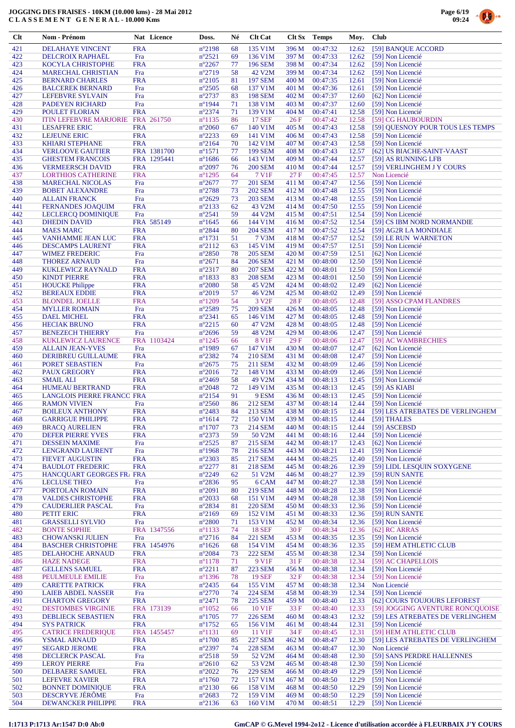

| Clt        | Nom - Prénom                                           |                          | Nat Licence | Doss.                               | Né       | <b>Clt Cat</b>            | Clt Sx         | <b>Temps</b>         | Moy.           | <b>Club</b>                                                          |
|------------|--------------------------------------------------------|--------------------------|-------------|-------------------------------------|----------|---------------------------|----------------|----------------------|----------------|----------------------------------------------------------------------|
| 421        | DELAHAYE VINCENT                                       | <b>FRA</b>               |             | $n^{\circ}2198$                     | 68       | 135 V1M                   | 396 M          | 00:47:32             | 12.62          | [59] BANQUE ACCORD                                                   |
| 422        | <b>DELCROIX RAPHAËL</b>                                | Fra                      |             | $n^{\circ}2521$                     | 69       | 136 V1M                   | 397 M          | 00:47:33             | 12.62          | [59] Non Licencié                                                    |
| 423        | <b>KOCYLA CHRISTOPHE</b>                               | <b>FRA</b>               |             | $n^{\circ}2267$                     | 77       | 196 SEM                   | 398 M          | 00:47:34             | 12.62          | [59] Non Licencié                                                    |
| 424        | <b>MARECHAL CHRISTIAN</b>                              | Fra                      |             | $n^{\circ}2719$                     | 58       | 42 V2M                    | 399 M          | 00:47:34             | 12.62          | [59] Non Licencié                                                    |
| 425        | <b>BERNARD CHARLES</b>                                 | <b>FRA</b>               |             | $n^{\circ}2105$                     | 81       | <b>197 SEM</b>            | 400 M          | 00:47:35             | 12.61          | [59] Non Licencié<br>[59] Non Licencié                               |
| 426<br>427 | <b>BALCEREK BERNARD</b><br>LEFEBVRE SYLVAIN            | Fra<br>Fra               |             | $n^{\circ}2505$<br>$n^{\circ}2737$  | 68<br>83 | 137 V1M<br><b>198 SEM</b> | 401 M<br>402 M | 00:47:36<br>00:47:37 | 12.61<br>12.60 | [62] Non Licencié                                                    |
| 428        | PADEYEN RICHARD                                        | Fra                      |             | $n^{\circ}$ 1944                    | 71       | 138 V1M                   | 403 M          | 00:47:37             | 12.60          | [59] Non Licencié                                                    |
| 429        | <b>POULET FLORIAN</b>                                  | <b>FRA</b>               |             | $n^{\circ}2374$                     | 71       | 139 V1M                   | 404 M          | 00:47:41             | 12.58          | [59] Non Licencié                                                    |
| 430        | <b>ITIN LEFEBVRE MARJORIE</b>                          |                          | FRA 261750  | $n^{\circ}1135$                     | 86       | <b>17 SEF</b>             | 26F            | 00:47:42             | 12.58          | [59] CG HAUBOURDIN                                                   |
| 431        | <b>LESAFFRE ERIC</b>                                   | <b>FRA</b>               |             | $n^{\circ}2060$                     | 67       | 140 V1M                   | 405 M          | 00:47:43             | 12.58          | [59] QUESNOY POUR TOUS LES TEMPS                                     |
| 432<br>433 | <b>LEJEUNE ERIC</b><br><b>KHIARI STEPHANE</b>          | <b>FRA</b><br><b>FRA</b> |             | $n^{\circ}2233$<br>$n^{\circ}2164$  | 69<br>70 | 141 V1M<br>142 V1M        | 406 M<br>407 M | 00:47:43<br>00:47:43 | 12.58<br>12.58 | [59] Non Licencié<br>[59] Non Licencié                               |
| 434        | <b>VERLOOVE GAUTIER</b>                                |                          | FRA 1381700 | $n^{\circ}1571$                     | 77       | <b>199 SEM</b>            | 408 M          | 00:47:43             | 12.57          | [62] US BIACHE-SAINT-VAAST                                           |
| 435        | <b>GHESTEM FRANCOIS</b>                                |                          | FRA 1295441 | $n^{\circ}1686$                     | 66       | 143 V1M                   | 409 M          | 00:47:44             | 12.57          | [59] AS RUNNING LFB                                                  |
| 436        | <b>VERMEERSCH DAVID</b>                                | <b>FRA</b>               |             | $n^{\circ}2097$                     | 76       | <b>200 SEM</b>            | 410 M          | 00:47:44             | 12.57          | [59] VERLINGHEM J Y COURS                                            |
| 437<br>438 | <b>LORTHIOS CATHERINE</b>                              | <b>FRA</b><br>Fra        |             | $n^{\circ}$ 1295<br>$n^{\circ}2677$ | 64<br>77 | 7 V1F<br><b>201 SEM</b>   | 27F<br>411 M   | 00:47:45<br>00:47:47 | 12.57<br>12.56 | Non Licencié<br>[59] Non Licencié                                    |
| 439        | <b>MARECHAL NICOLAS</b><br><b>BOBET ALEXANDRE</b>      | Fra                      |             | n°2788                              | 73       | <b>202 SEM</b>            | 412 M          | 00:47:48             | 12.55          | [59] Non Licencié                                                    |
| 440        | <b>ALLAIN FRANCK</b>                                   | Fra                      |             | $n^{\circ}2629$                     | 73       | <b>203 SEM</b>            | 413 M          | 00:47:48             | 12.55          | [59] Non Licencié                                                    |
| 441        | <b>FERNANDES JOAQUIM</b>                               | <b>FRA</b>               |             | $n^{\circ}2133$                     | 62       | 43 V2M                    | 414 M          | 00:47:50             | 12.55          | [59] Non Licencié                                                    |
| 442        | <b>LECLERCQ DOMINIQUE</b>                              | Fra                      |             | $n^{\circ}2541$                     | 59       | 44 V2M                    | 415 M          | 00:47:51             | 12.54          | [59] Non Licencié                                                    |
| 443<br>444 | <b>DHEDIN DAVID</b><br><b>MAES MARC</b>                | <b>FRA</b>               | FRA 585149  | $n^{\circ}1645$<br>n°2844           | 66<br>80 | 144 V1M<br><b>204 SEM</b> | 416 M<br>417 M | 00:47:52<br>00:47:52 | 12.54<br>12.54 | [59] CS IBM NORD NORMANDIE<br>[59] AG2R LA MONDIALE                  |
| 445        | VANHAMME JEAN LUC                                      | <b>FRA</b>               |             | $n^{\circ}1731$                     | 51       | 7 V3M                     | 418 M          | 00:47:57             | 12.52          | [59] LE RUN WARNETON                                                 |
| 446        | <b>DESCAMPS LAURENT</b>                                | <b>FRA</b>               |             | $n^{\circ}2112$                     | 63       | 145 V1M                   | 419 M          | 00:47:57             | 12.51          | [59] Non Licencié                                                    |
| 447        | <b>WIMEZ FREDERIC</b>                                  | Fra                      |             | $n^{\circ}2850$                     | 78       | <b>205 SEM</b>            | 420 M          | 00:47:59             | 12.51          | [62] Non Licencié                                                    |
| 448        | <b>THOREZ ARNAUD</b>                                   | Fra                      |             | $n^{\circ}2671$                     | 84       | <b>206 SEM</b>            | 421 M          | 00:48:00             | 12.50          | [59] Non Licencié                                                    |
| 449        | KUKLEWICZ RAYNALD                                      | <b>FRA</b>               |             | $n^{\circ}2317$                     | 80       | <b>207 SEM</b>            | 422 M          | 00:48:01             | 12.50          | [59] Non Licencié                                                    |
| 450<br>451 | <b>KINDT PIERRE</b><br><b>HOUCKE Philippe</b>          | <b>FRA</b><br><b>FRA</b> |             | $n^{\circ}$ 1833<br>$n^{\circ}2080$ | 83<br>58 | <b>208 SEM</b><br>45 V2M  | 423 M<br>424 M | 00:48:01<br>00:48:02 | 12.50<br>12.49 | [59] Non Licencié<br>[62] Non Licencié                               |
| 452        | <b>BEREAUX EDDIE</b>                                   | <b>FRA</b>               |             | $n^{\circ}2019$                     | 57       | 46 V2M                    | 425 M          | 00:48:02             | 12.49          | [59] Non Licencié                                                    |
| 453        | <b>BLONDEL JOELLE</b>                                  | <b>FRA</b>               |             | $n^{\circ}1209$                     | 54       | 3 V <sub>2F</sub>         | 28F            | 00:48:05             | 12.48          | [59] ASSO CPAM FLANDRES                                              |
| 454        | <b>MYLLER ROMAIN</b>                                   | Fra                      |             | $n^{\circ}2589$                     | 75       | <b>209 SEM</b>            | 426 M          | 00:48:05             | 12.48          | [59] Non Licencié                                                    |
| 455        | <b>DAEL MICHEL</b>                                     | <b>FRA</b>               |             | $n^{\circ}2341$                     | 65       | 146 V1M                   | 427 M          | 00:48:05             | 12.48          | [59] Non Licencié                                                    |
| 456<br>457 | <b>HECIAK BRUNO</b><br><b>BENEZECH THIERRY</b>         | <b>FRA</b><br>Fra        |             | $n^{\circ}2215$<br>$n^{\circ}2696$  | 60<br>59 | 47 V2M<br>48 V2M          | 428 M<br>429 M | 00:48:05<br>00:48:06 | 12.48<br>12.47 | [59] Non Licencié<br>[59] Non Licencié                               |
| 458        | KUKLEWICZ LAURENCE                                     |                          | FRA 1103424 | $n^{\circ}$ 1245                    | 66       | 8 V1F                     | 29F            | 00:48:06             | 12.47          | [59] AC WAMBRECHIES                                                  |
| 459        | <b>ALLAIN JEAN-YVES</b>                                | Fra                      |             | $n^{\circ}$ 1989                    | 67       | 147 V1M                   | 430 M          | 00:48:07             | 12.47          | [62] Non Licencié                                                    |
| 460        | DERIBREU GUILLAUME                                     | <b>FRA</b>               |             | $n^{\circ}2382$                     | 74       | <b>210 SEM</b>            | 431 M          | 00:48:08             | 12.47          | [59] Non Licencié                                                    |
| 461        | PORET SEBASTIEN                                        | Fra                      |             | $n^{\circ}2675$                     | 75       | 211 SEM                   | 432 M          | 00:48:09             | 12.46          | [59] Non Licencié                                                    |
| 462<br>463 | <b>PAUX GREGORY</b><br><b>SMAIL ALI</b>                | <b>FRA</b><br><b>FRA</b> |             | $n^{\circ}2016$<br>$n^{\circ}2469$  | 72<br>58 | 148 V1M<br>49 V2M         | 433 M<br>434 M | 00:48:09<br>00:48:13 | 12.46<br>12.45 | [59] Non Licencié<br>[59] Non Licencié                               |
| 464        | <b>HUMEAU BERTRAND</b>                                 | <b>FRA</b>               |             | $n^{\circ}2048$                     | 72       | 149 V1M                   | 435 M          | 00:48:13             | 12.45          | $[59]$ AS KIABI                                                      |
| 465        | <b>LANGLOIS PIERRE FRANCC FRA</b>                      |                          |             | $n^{\circ}2154$                     | 91       | 9 ESM                     | 436 M          | 00:48:13             | 12.45          | [59] Non Licencié                                                    |
| 466        | <b>RAMON VIVIEN</b>                                    | Fra                      |             | $n^{\circ}2560$                     | 86       | 212 SEM                   | 437 M          | 00:48:14             | 12.44          | [59] Non Licencié                                                    |
| 467        | <b>BOILEUX ANTHONY</b>                                 | <b>FRA</b>               |             | n°2483                              | 84       | 213 SEM                   | 438 M          | 00:48:15             | 12.44          | [59] LES ATREBATES DE VERLINGHEM                                     |
| 468<br>469 | <b>GARRIGUE PHILIPPE</b><br><b>BRACQ AURELIEN</b>      | <b>FRA</b><br><b>FRA</b> |             | $n^{\circ}1614$<br>$n^{\circ}$ 1707 | 72<br>73 | 150 V1M<br>214 SEM        | 439 M<br>440 M | 00:48:15<br>00:48:15 | 12.44<br>12.44 | [59] THALES<br>[59] ASCEBSD                                          |
| 470        | <b>DEFER PIERRE YVES</b>                               | <b>FRA</b>               |             | n°2373                              | 59       | 50 V2M                    | 441 M          | 00:48:16             | 12.44          | [59] Non Licencié                                                    |
| 471        | <b>DESSEIN MAXIME</b>                                  | Fra                      |             | n°2525                              | 87       | <b>215 SEM</b>            | 442 M          | 00:48:17             | 12.43          | [62] Non Licencié                                                    |
| 472        | LENGRAND LAURENT                                       | Fra                      |             | $n^{\circ}$ 1968                    | 78       | 216 SEM                   | 443 M          | 00:48:21             | 12.41          | [59] Non Licencié                                                    |
| 473        | <b>FIEVET AUGUSTIN</b>                                 | <b>FRA</b>               |             | $n^{\circ}2303$                     | 85       | 217 SEM                   | 444 M          | 00:48:25             | 12.40          | [59] Non Licencié                                                    |
| 474<br>475 | <b>BAUDLOT FREDERIC</b><br>HANCQUART GEORGES FR. FRA   | <b>FRA</b>               |             | $n^{\circ}2277$<br>$n^{\circ}2249$  | 81<br>62 | <b>218 SEM</b><br>51 V2M  | 445 M<br>446 M | 00:48:26<br>00:48:27 | 12.39<br>12.39 | [59] LIDL LESQUIN S'OXYGENE<br>[59] RUN SANTE                        |
| 476        | <b>LECLUSE THEO</b>                                    | Fra                      |             | $n^{\circ}2836$                     | 95       | 6 CAM                     | 447 M          | 00:48:27             | 12.38          | [59] Non Licencié                                                    |
| 477        | PORTOLAN ROMAIN                                        | <b>FRA</b>               |             | $n^{\circ}2091$                     | 80       | <b>219 SEM</b>            | 448 M          | 00:48:28             | 12.38          | [59] Non Licencié                                                    |
| 478        | <b>VALDES CHRISTOPHE</b>                               | <b>FRA</b>               |             | $n^{\circ}2033$                     | 68       | 151 V1M                   | 449 M          | 00:48:28             | 12.38          | [59] Non Licencié                                                    |
| 479        | <b>CAUDERLIER PASCAL</b>                               | Fra                      |             | $n^{\circ}2834$                     | 81       | <b>220 SEM</b>            | 450 M          | 00:48:33             | 12.36          | [59] Non Licencié                                                    |
| 480<br>481 | PETIT ERIC<br><b>GRASSELLI SYLVIO</b>                  | <b>FRA</b><br>Fra        |             | $n^{\circ}2169$<br>$n^{\circ}2800$  | 69<br>71 | 152 V1M<br>153 V1M        | 451 M<br>452 M | 00:48:33<br>00:48:34 | 12.36<br>12.36 | [59] RUN SANTE<br>[59] Non Licencié                                  |
| 482        | <b>BONTE SOPHIE</b>                                    |                          | FRA 1347556 | $n^{\circ}1133$                     | 74       | <b>18 SEF</b>             | 30 F           | 00:48:34             | 12.36          | [62] RC ARRAS                                                        |
| 483        | <b>CHOWANSKI JULIEN</b>                                | Fra                      |             | $n^{\circ}2716$                     | 84       | <b>221 SEM</b>            | 453 M          | 00:48:35             | 12.35          | [59] Non Licencié                                                    |
| 484        | <b>BASCHER CHRISTOPHE</b>                              |                          | FRA 1454976 | $n^{\circ}1626$                     | 68       | 154 V1M                   | 454 M          | 00:48:36             | 12.35          | [59] HEM ATHLETIC CLUB                                               |
| 485        | DELAHOCHE ARNAUD                                       | <b>FRA</b>               |             | $n^{\circ}2084$                     | 73       | <b>222 SEM</b>            | 455 M          | 00:48:38             | 12.34          | [59] Non Licencié                                                    |
| 486<br>487 | <b>HAZE NADEGE</b><br><b>GELLENS SAMUEL</b>            | <b>FRA</b><br><b>FRA</b> |             | $n^{\circ}$ 1178<br>$n^{\circ}2211$ | 71<br>87 | 9 V1F<br><b>223 SEM</b>   | 31F<br>456 M   | 00:48:38<br>00:48:38 | 12.34<br>12.34 | [59] AC CHAPELLOIS<br>[59] Non Licencié                              |
| 488        | PEULMEULE EMILIE                                       | Fra                      |             | n°1396                              | 78       | <b>19 SEF</b>             | 32 F           | 00:48:38             | 12.34          | [59] Non Licencié                                                    |
| 489        | <b>CARETTE PATRICK</b>                                 | <b>FRA</b>               |             | n°2435                              | 64       | 155 V1M                   | 457 M          | 00:48:38             | 12.34          | Non Licencié                                                         |
| 490        | <b>LAIEB ABDEL NASSER</b>                              | Fra                      |             | $n^{\circ}2770$                     | 74       | <b>224 SEM</b>            | 458 M          | 00:48:39             | 12.34          | [59] Non Licencié                                                    |
| 491        | <b>CHARTON GREGORY</b>                                 | <b>FRA</b>               |             | $n^{\circ}2471$                     | 78       | <b>225 SEM</b>            | 459 M          | 00:48:40             | 12.33          | [62] COURS TOUJOURS LEFOREST                                         |
| 492<br>493 | <b>DESTOMBES VIRGINIE</b><br><b>DEBLIECK SEBASTIEN</b> | <b>FRA</b>               | FRA 173139  | $n^{\circ}1052$<br>$n^{\circ}1705$  | 66<br>77 | 10 V1F<br><b>226 SEM</b>  | 33 F<br>460 M  | 00:48:40<br>00:48:43 | 12.33<br>12.32 | [59] JOGGING AVENTURE RONCQUOISE<br>[59] LES ATREBATES DE VERLINGHEM |
| 494        | <b>SYS PATRICK</b>                                     | <b>FRA</b>               |             | $n^{\circ}$ 1752                    | 65       | 156 V1M                   | 461 M          | 00:48:44             | 12.31          | [59] Non Licencié                                                    |
| 495        | <b>CATRICE FREDERIQUE</b>                              |                          | FRA 1455457 | $n^{\circ}1131$                     | 69       | 11 V1F                    | 34 F           | 00:48:45             | 12.31          | [59] HEM ATHLETIC CLUB                                               |
| 496        | YSMAL ARNAUD                                           | <b>FRA</b>               |             | $n^{\circ}1700$                     | 85       | <b>227 SEM</b>            | 462 M          | 00:48:47             | 12.30          | [59] LES ATREBATES DE VERLINGHEM                                     |
| 497        | <b>SEGARD JEROME</b>                                   | <b>FRA</b>               |             | n°2397                              | 74       | <b>228 SEM</b>            | 463 M          | 00:48:47             | 12.30          | Non Licencié                                                         |
| 498<br>499 | <b>DECLERCK PASCAL</b>                                 | Fra                      |             | $n^{\circ}2518$                     | 59<br>62 | 52 V <sub>2</sub> M       | 464 M          | 00:48:48             | 12.30          | [59] SANS PERDRE HALLENNES                                           |
| 500        | <b>LEROY PIERRE</b><br>DELBAERE SAMUEL                 | Fra<br><b>FRA</b>        |             | $n^{\circ}2610$<br>$n^{\circ}2022$  | 76       | 53 V2M<br><b>229 SEM</b>  | 465 M<br>466 M | 00:48:48<br>00:48:49 | 12.30<br>12.29 | [59] Non Licencié<br>[59] Non Licencié                               |
| 501        | <b>LEFEVRE XAVIER</b>                                  | <b>FRA</b>               |             | $n^{\circ}1760$                     | 72       | 157 V1M                   | 467 M          | 00:48:50             | 12.29          | [59] Non Licencié                                                    |
| 502        | <b>BONNET DOMINIQUE</b>                                | <b>FRA</b>               |             | $n^{\circ}2130$                     | 66       | 158 V1M                   | 468 M          | 00:48:50             | 12.29          | [59] Non Licencié                                                    |
| 503        | DESCRYVE JÉRÔME                                        | Fra                      |             | $n^{\circ}2683$                     | 72       | 159 V1M                   | 469 M          | 00:48:50             | 12.29          | [59] Non Licencié                                                    |
| 504        | <b>DEWANCKER PHILIPPE</b>                              | <b>FRA</b>               |             | $n^{\circ}2136$                     | 63       | 160 V1M                   | 470 M          | 00:48:51             | 12.29          | [59] Non Licencié                                                    |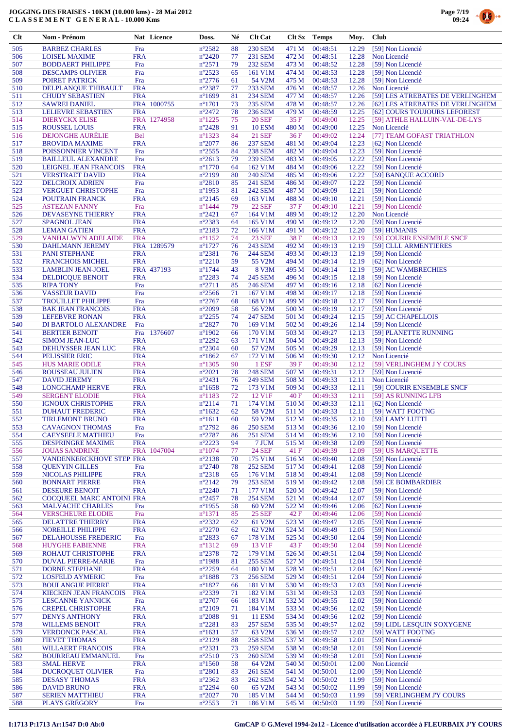

| $Cl$       | Nom - Prénom                                     |                          | Nat Licence | Doss.                              | Né       | <b>Clt Cat</b>            |                | Clt Sx Temps         | Moy.           | <b>Club</b>                             |
|------------|--------------------------------------------------|--------------------------|-------------|------------------------------------|----------|---------------------------|----------------|----------------------|----------------|-----------------------------------------|
| 505        | <b>BARBEZ CHARLES</b>                            | Fra                      |             | $n^{\circ}2582$                    | 88       | <b>230 SEM</b>            | 471 M          | 00:48:51             | 12.29          | [59] Non Licencié                       |
| 506        | <b>LOISEL MAXIME</b>                             | <b>FRA</b>               |             | $n^{\circ}2420$                    | 77       | 231 SEM                   | 472 M          | 00:48:51             | 12.28          | Non Licencié                            |
| 507        | <b>BODDAERT PHILIPPE</b>                         | Fra                      |             | $n^{\circ}2571$                    | 79       | <b>232 SEM</b>            | 473 M          | 00:48:52             | 12.28          | [59] Non Licencié                       |
| 508        | <b>DESCAMPS OLIVIER</b>                          | Fra                      |             | $n^{\circ}2523$                    | 65       | 161 V1M                   | 474 M          | 00:48:53             | 12.28          | [59] Non Licencié                       |
| 509        | POIRET PATRICK                                   | Fra                      |             | $n^{\circ}2776$                    | 61       | 54 V2M                    | 475 M          | 00:48:53             | 12.28          | [59] Non Licencié                       |
| 510        | DELPLANQUE THIBAULT                              | <b>FRA</b>               |             | $n^{\circ}2387$                    | 77       | <b>233 SEM</b>            | 476 M          | 00:48:57             | 12.26          | Non Licencié                            |
| 511        | <b>CHUDY SEBASTIEN</b>                           | <b>FRA</b>               |             | $n^{\circ}1699$                    | 81       | <b>234 SEM</b>            | 477 M          | 00:48:57             | 12.26          | [59] LES ATREBATES DE VERLINGHEM        |
| 512        | <b>SAWREI DANIEL</b>                             |                          | FRA 1000755 | $n^{\circ}1701$                    | 73       | <b>235 SEM</b>            | 478 M          | 00:48:57             | 12.26          | [62] LES ATREBATES DE VERLINGHEM        |
| 513        | <b>LELIEVRE SEBASTIEN</b>                        | <b>FRA</b>               |             | $n^{\circ}2472$                    | 78       | <b>236 SEM</b>            | 479 M          | 00:48:59             | 12.25          | [62] COURS TOUJOURS LEFOREST            |
| 514        | <b>DIERYCKX ELISE</b>                            |                          | FRA 1274958 | $n^{\circ}1225$                    | 75       | <b>20 SEF</b>             | 35 F           | 00:49:00             | 12.25          | [59] ATHLE HALLUIN-VAL-DE-LYS           |
| 515        | <b>ROUSSEL LOUIS</b>                             | <b>FRA</b>               |             | $n^{\circ}2428$                    | 91       | <b>10 ESM</b>             | 480 M          | 00:49:00             | 12.25          | Non Licencié                            |
| 516        | <b>DEJONGHE AURELIE</b>                          | <b>Bel</b>               |             | $n^{\circ}$ 1323                   | 84       | <b>21 SEF</b>             | 36F            | 00:49:02             | 12.24          | [77] TEAM GOFAST TRIATHLON              |
| 517        | <b>BROVIDA MAXIME</b>                            | <b>FRA</b>               |             | $n^{\circ}2077$                    | 86       | <b>237 SEM</b>            | 481 M          | 00:49:04             | 12.23          | [62] Non Licencié                       |
| 518        | POISSONNIER VINCENT                              | Fra                      |             | $n^{\circ}2555$                    | 84       | <b>238 SEM</b>            | 482 M          | 00:49:04             | 12.23          | [59] Non Licencié                       |
| 519        | <b>BAILLEUL ALEXANDRE</b>                        | Fra                      |             | $n^{\circ}2613$                    | 79       | <b>239 SEM</b>            | 483 M          | 00:49:05             | 12.22          | [59] Non Licencié                       |
| 520<br>521 | <b>LEIGNEL JEAN FRANCOIS</b>                     | <b>FRA</b><br><b>FRA</b> |             | $n^{\circ}1770$<br>$n^{\circ}2199$ | 64<br>80 | 162 V1M<br><b>240 SEM</b> | 484 M          | 00:49:06<br>00:49:06 | 12.22          | [59] Non Licencié                       |
| 522        | <b>VERSTRAET DAVID</b><br><b>DELCROIX ADRIEN</b> | Fra                      |             | $n^{\circ}2810$                    | 85       | <b>241 SEM</b>            | 485 M<br>486 M | 00:49:07             | 12.22<br>12.22 | [59] BANQUE ACCORD<br>[59] Non Licencié |
| 523        | <b>VERGUET CHRISTOPHE</b>                        | Fra                      |             | $n^{\circ}$ 1953                   | 81       | <b>242 SEM</b>            | 487 M          | 00:49:09             | 12.21          | [59] Non Licencié                       |
| 524        | POUTRAIN FRANCK                                  | <b>FRA</b>               |             | $n^{\circ}2145$                    | 69       | 163 V1M                   | 488 M          | 00:49:10             | 12.21          | [59] Non Licencié                       |
| 525        | <b>ASTEZAN FANNY</b>                             | Fra                      |             | $n^{\circ}$ 1444                   | 79       | <b>22 SEF</b>             | 37 F           | 00:49:10             | 12.21          | [59] Non Licencié                       |
| 526        | <b>DEVASEYNE THIERRY</b>                         | <b>FRA</b>               |             | $n^{\circ}2421$                    | 67       | 164 V1M                   | 489 M          | 00:49:12             | 12.20          | Non Licencié                            |
| 527        | <b>SPAGNOL JEAN</b>                              | <b>FRA</b>               |             | $n^{\circ}2383$                    | 64       | 165 V1M                   | 490 M          | 00:49:12             | 12.20          | [59] Non Licencié                       |
| 528        | <b>LEMAN GATIEN</b>                              | <b>FRA</b>               |             | $n^{\circ}2183$                    | 72       | 166 V1M                   | 491 M          | 00:49:12             | 12.20          | [59] HUMANIS                            |
| 529        | VANHALWYN ADELAIDE                               | <b>FRA</b>               |             | $n^{\circ}1152$                    | 74       | 23 SEF                    | 38F            | 00:49:13             | 12.19          | [59] COURIR ENSEMBLE SNCF               |
| 530        | <b>DAHLMANN JEREMY</b>                           |                          | FRA 1289579 | $n^{\circ}1727$                    | 76       | 243 SEM                   | 492 M          | 00:49:13             | 12.19          | [59] CLLL ARMENTIERES                   |
| 531        | <b>PANI STEPHANE</b>                             | <b>FRA</b>               |             | $n^{\circ}2381$                    | 76       | 244 SEM                   | 493 M          | 00:49:13             | 12.19          | [59] Non Licencié                       |
| 532        | <b>FRANCHOIS MICHEL</b>                          | <b>FRA</b>               |             | $n^{\circ}2210$                    | 59       | 55 V2M                    | 494 M          | 00:49:14             | 12.19          | [62] Non Licencié                       |
| 533        | <b>LAMBLIN JEAN-JOEL</b>                         |                          | FRA 437193  | $n^{\circ}1744$                    | 43       | 8 V3M                     | 495 M          | 00:49:14             | 12.19          | [59] AC WAMBRECHIES                     |
| 534        | <b>DELDICQUE BENOIT</b>                          | <b>FRA</b>               |             | $n^{\circ}2283$                    | 74       | <b>245 SEM</b>            | 496 M          | 00:49:15             | 12.18          | [59] Non Licencié                       |
| 535        | <b>RIPA TONY</b>                                 | Fra                      |             | $n^{\circ}2711$                    | 85       | <b>246 SEM</b>            | 497 M          | 00:49:16             | 12.18          | [62] Non Licencié                       |
| 536        | <b>VASSEUR DAVID</b>                             | Fra                      |             | $n^{\circ}2566$                    | 71       | 167 V1M                   | 498 M          | 00:49:17             | 12.18          | [59] Non Licencié                       |
| 537        | <b>TROUILLET PHILIPPE</b>                        | Fra                      |             | $n^{\circ}2767$                    | 68       | 168 V1M                   | 499 M          | 00:49:18             | 12.17          | [59] Non Licencié                       |
| 538        | <b>BAK JEAN FRANCOIS</b>                         | <b>FRA</b>               |             | $n^{\circ}2099$                    | 58       | 56 V2M                    | 500 M          | 00:49:19             | 12.17          | [59] Non Licencié                       |
| 539        | <b>LEFEBVRE RONAN</b>                            | <b>FRA</b>               |             | $n^{\circ}2255$                    | 74       | <b>247 SEM</b>            | 501 M          | 00:49:24             | 12.15          | [59] AC CHAPELLOIS                      |
| 540        | DI BARTOLO ALEXANDRE                             | Fra                      |             | $n^{\circ}2827$                    | 70       | 169 V1M                   | 502 M          | 00:49:26             | 12.14          | [59] Non Licencié                       |
| 541        | <b>BERTIER BENOIT</b>                            | Fra                      | 1376607     | $n^{\circ}1902$                    | 66       | 170 V1M                   | 503 M          | 00:49:27             | 12.13          | [59] PLANETTE RUNNING                   |
| 542<br>543 | <b>SIMOM JEAN-LUC</b>                            | <b>FRA</b><br><b>FRA</b> |             | $n^{\circ}2292$<br>$n^{\circ}2304$ | 63<br>60 | 171 V1M<br>57 V2M         | 504 M<br>505 M | 00:49:28<br>00:49:29 | 12.13<br>12.13 | [59] Non Licencié                       |
| 544        | DEHUYSSER JEAN LUC<br>PELISSIER ERIC             | <b>FRA</b>               |             | $n^{\circ}1862$                    | 67       | 172 V1M                   | 506 M          | 00:49:30             | 12.12          | [59] Non Licencié<br>Non Licencié       |
| 545        | <b>HUS MARIE ODILE</b>                           | <b>FRA</b>               |             | $n^{\circ}$ 1305                   | 90       | 1 ESF                     | 39 F           | 00:49:30             | 12.12          | [59] VERLINGHEM J Y COURS               |
| 546        | ROUSSEAU JULIEN                                  | <b>FRA</b>               |             | $n^{\circ}2021$                    | 78       | <b>248 SEM</b>            | 507 M          | 00:49:31             | 12.12          | [59] Non Licencié                       |
| 547        | <b>DAVID JEREMY</b>                              | <b>FRA</b>               |             | $n^{\circ}2431$                    | 76       | <b>249 SEM</b>            | 508 M          | 00:49:33             | 12.11          | Non Licencié                            |
| 548        | <b>LONGCHAMP HERVE</b>                           | <b>FRA</b>               |             | $n^{\circ}1658$                    | 72       | 173 V1M                   | 509 M          | 00:49:33             | 12.11          | [59] COURIR ENSEMBLE SNCF               |
| 549        | <b>SERGENT ELODIE</b>                            | <b>FRA</b>               |             | $n^{\circ}1183$                    | 72       | 12 V1F                    | 40 F           | 00:49:33             | 12.11          | [59] AS RUNNING LFB                     |
| 550        | <b>IGNOUX CHRISTOPHE</b>                         | <b>FRA</b>               |             | $n^{\circ}2114$                    | 71       | 174 V1M                   | 510 M          | 00:49:33             | 12.11          | [62] Non Licencié                       |
| 551        | <b>DUHAUT FREDERIC</b>                           | <b>FRA</b>               |             | $n^{\circ}1632$                    | 62       | 58 V2M                    | 511 M          | 00:49:33             | 12.11          | [59] WATT FOOTNG                        |
| 552        | TIRLEMONT BRUNO                                  | <b>FRA</b>               |             | $n^{\circ}1611$                    | 60       | 59 V2M                    | 512 M          | 00:49:35             | 12.10          | [59] LAMY LUTTI                         |
| 553        | <b>CAVAGNON THOMAS</b>                           | Fra                      |             | $n^{\circ}2792$                    | 86       | <b>250 SEM</b>            | 513 M          | 00:49:36             | 12.10          | [59] Non Licencié                       |
| 554        | <b>CAEYSEELE MATHIEU</b>                         | Fra                      |             | $n^{\circ}2787$                    | 86       | <b>251 SEM</b>            | 514 M          | 00:49:36             | 12.10          | [59] Non Licencié                       |
| 555        | <b>DESPRINGRE MAXIME</b>                         | <b>FRA</b>               |             | $n^{\circ}2223$                    | 94       | 7 JUM                     | 515 M          | 00:49:38             | 12.09          | [59] Non Licencié                       |
| 556        | <b>JOUAS SANDRINE</b>                            |                          | FRA 1047004 | $n^{\circ}1074$                    | 77       | <b>24 SEF</b>             | 41 F           | 00:49:39             | 12.09          | [59] US MARQUETTE                       |
| 557        | VANDENKERCKHOVE STEP FRA                         |                          |             | $n^{\circ}2138$                    | 70       | 175 V1M                   | 516 M          | 00:49:40             | 12.08          | [59] Non Licencié                       |
| 558        | <b>QUENYIN GILLES</b>                            | Fra                      |             | $n^{\circ}2740$                    | 78       | <b>252 SEM</b>            | 517 M          | 00:49:41             | 12.08          | [59] Non Licencié                       |
| 559        | NICOLAS PHILIPPE                                 | <b>FRA</b>               |             | $n^{\circ}2318$                    | 65       | 176 V1M                   | 518 M          | 00:49:41             | 12.08          | [59] Non Licencié                       |
| 560        | <b>BONNART PIERRE</b><br><b>DESEURE BENOIT</b>   | <b>FRA</b><br><b>FRA</b> |             | $n^{\circ}2142$<br>$n^{\circ}2240$ | 79       | <b>253 SEM</b><br>177 V1M | 519 M          | 00:49:42<br>00:49:42 | 12.08          | [59] CE BOMBARDIER                      |
| 561<br>562 | COCQUEEL MARC ANTOINI FRA                        |                          |             | $n^{\circ}2457$                    | 71<br>78 | <b>254 SEM</b>            | 520 M<br>521 M | 00:49:44             | 12.07<br>12.07 | [59] Non Licencié<br>[59] Non Licencié  |
| 563        | <b>MALVACHE CHARLES</b>                          | Fra                      |             | $n^{\circ}$ 1955                   | 58       | 60 V2M                    | 522 M          | 00:49:46             | 12.06          | [62] Non Licencié                       |
| 564        | <b>VERSCHEURE ELODIE</b>                         | Fra                      |             | $n^{\circ}$ 1371                   | 85       | <b>25 SEF</b>             | 42 F           | 00:49:46             | 12.06          | [59] Non Licencié                       |
| 565        | <b>DELATTRE THIERRY</b>                          | <b>FRA</b>               |             | $n^{\circ}2332$                    | 62       | 61 V2M                    | 523 M          | 00:49:47             | 12.05          | [59] Non Licencié                       |
| 566        | <b>NOREILLE PHILIPPE</b>                         | <b>FRA</b>               |             | $n^{\circ}2270$                    | 62       | 62 V2M                    | 524 M          | 00:49:49             | 12.05          | [59] Non Licencié                       |
| 567        | DELAHOUSSE FREDERIC                              | Fra                      |             | n°2833                             | 67       | 178 V1M                   | 525 M          | 00:49:50             | 12.04          | [59] Non Licencié                       |
| 568        | <b>HUYGHE FABIENNE</b>                           | <b>FRA</b>               |             | $n^{\circ}1312$                    | 69       | 13 V1F                    | 43 F           | 00:49:50             | 12.04          | [59] Non Licencié                       |
| 569        | ROHAUT CHRISTOPHE                                | <b>FRA</b>               |             | $n^{\circ}2378$                    | 72       | 179 V1M                   | 526 M          | 00:49:51             | 12.04          | [59] Non Licencié                       |
| 570        | <b>DUVAL PIERRE-MARIE</b>                        | Fra                      |             | $n^{\circ}$ 1988                   | 81       | <b>255 SEM</b>            | 527 M          | 00:49:51             | 12.04          | [59] Non Licencié                       |
| 571        | <b>DORNE STEPHANE</b>                            | <b>FRA</b>               |             | $n^{\circ}2259$                    | 64       | 180 V1M                   | 528 M          | 00:49:51             | 12.04          | [62] Non Licencié                       |
| 572        | <b>LOSFELD AYMERIC</b>                           | Fra                      |             | $n^{\circ}$ 1888                   | 73       | <b>256 SEM</b>            | 529 M          | 00:49:51             | 12.04          | [59] Non Licencié                       |
| 573        | <b>BOULANGUE PIERRE</b>                          | <b>FRA</b>               |             | $n^{\circ}1827$                    | 66       | 181 V1M                   | 530 M          | 00:49:53             | 12.03          | [59] Non Licencié                       |
| 574        | <b>KIECKEN JEAN FRANCOIS</b>                     | <b>FRA</b>               |             | n°2339                             | 71       | 182 V1M                   | 531 M          | 00:49:53             | 12.03          | [59] Non Licencié                       |
| 575        | <b>LESCANNE YANNICK</b>                          | Fra                      |             | $n^{\circ}2707$                    | 66       | 183 V1M                   | 532 M          | 00:49:55             | 12.02          | [59] Non Licencié                       |
| 576        | <b>CREPEL CHRISTOPHE</b>                         | <b>FRA</b>               |             | $n^{\circ}2109$                    | 71       | 184 V1M                   | 533 M          | 00:49:56             | 12.02          | [59] Non Licencié                       |
| 577        | <b>DENYS ANTHONY</b>                             | <b>FRA</b>               |             | $n^{\circ}2088$                    | 91       | <b>11 ESM</b>             | 534 M          | 00:49:56             | 12.02          | [59] Non Licencié                       |
| 578        | <b>WILLEMS BENOIT</b>                            | <b>FRA</b>               |             | $n^{\circ}2281$                    | 83       | <b>257 SEM</b>            | 535 M          | 00:49:57             | 12.02          | [59] LIDL LESQUIN S'OXYGENE             |
| 579        | <b>VERDONCK PASCAL</b>                           | <b>FRA</b>               |             | $n^{\circ}1631$                    | 57       | 63 V2M                    | 536 M          | 00:49:57             | 12.02          | [59] WATT FOOTNG                        |
| 580        | <b>FIEVET THOMAS</b>                             | <b>FRA</b>               |             | $n^{\circ}2129$                    | 88       | <b>258 SEM</b>            | 537 M          | 00:49:58             | 12.01          | [59] Non Licencié                       |
| 581        | <b>WILLAERT FRANCOIS</b>                         | <b>FRA</b>               |             | $n^{\circ}2331$                    | 73       | <b>259 SEM</b>            | 538 M          | 00:49:58             | 12.01          | [59] Non Licencié                       |
| 582<br>583 | <b>BOURREAU EMMANUEL</b><br><b>SMAL HERVE</b>    | Fra<br><b>FRA</b>        |             | $n^{\circ}2510$<br>$n^{\circ}1560$ | 73<br>58 | <b>260 SEM</b><br>64 V2M  | 539 M<br>540 M | 00:49:58<br>00:50:01 | 12.01<br>12.00 | [59] Non Licencié<br>Non Licencié       |
| 584        | <b>DUCROQUET OLIVIER</b>                         | Fra                      |             | $n^{\circ}2801$                    | 83       | <b>261 SEM</b>            | 541 M          | 00:50:01             | 12.00          | [59] Non Licencié                       |
| 585        | <b>DESASY THOMAS</b>                             | <b>FRA</b>               |             | $n^{\circ}2362$                    | 83       | <b>262 SEM</b>            | 542 M          | 00:50:02             | 11.99          | [59] Non Licencié                       |
| 586        | <b>DAVID BRUNO</b>                               | <b>FRA</b>               |             | $n^{\circ}2294$                    | 60       | 65 V2M                    | 543 M          | 00:50:02             | 11.99          | [59] Non Licencié                       |
| 587        | <b>SERIEN MATTHIEU</b>                           | <b>FRA</b>               |             | $n^{\circ}2027$                    | 70       | 185 V1M                   | 544 M          | 00:50:03             | 11.99          | [59] VERLINGHEM J'Y COURS               |
| 588        | PLAYS GRÉGORY                                    | Fra                      |             | $n^{\circ}2553$                    | 71       | 186 V1M                   | 545 M          | 00:50:03             | 11.99          | [59] Non Licencié                       |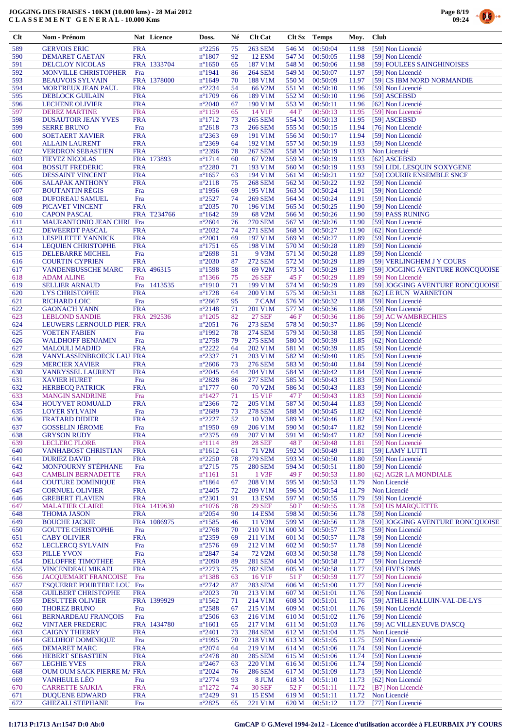



| $Cl$       | Nom - Prénom                                      |                          | Nat Licence | Doss.                              | Né       | <b>Clt Cat</b>            | Clt Sx         | <b>Temps</b>         | Moy.           | <b>Club</b>                               |
|------------|---------------------------------------------------|--------------------------|-------------|------------------------------------|----------|---------------------------|----------------|----------------------|----------------|-------------------------------------------|
| 589        | <b>GERVOIS ERIC</b>                               | <b>FRA</b>               |             | $n^{\circ}2256$                    | 75       | 263 SEM                   | 546 M          | 00:50:04             | 11.98          | [59] Non Licencié                         |
| 590        | <b>DEMARET GAETAN</b>                             | <b>FRA</b>               |             | $n^{\circ}1807$                    | 92       | <b>12 ESM</b>             | 547 M          | 00:50:05             | 11.98          | [59] Non Licencié                         |
| 591        | <b>DELCLOY NICOLAS</b>                            |                          | FRA 1333704 | $n^{\circ}1650$                    | 65       | 187 V1M                   | 548 M          | 00:50:06             | 11.98          | [59] FOULEES SAINGHINOISES                |
| 592        | <b>MONVILLE CHRISTOPHER</b>                       | Fra                      |             | $n^{\circ}1941$                    | 86       | <b>264 SEM</b>            | 549 M          | 00:50:07             | 11.97          | [59] Non Licencié                         |
| 593        | <b>BEAUVOIS SYLVAIN</b>                           |                          | FRA 1378000 | $n^{\circ}1649$                    | 70       | 188 V1M                   | 550 M          | 00:50:09             | 11.97          | [59] CS IBM NORD NORMANDIE                |
| 594        | MORTREUX JEAN PAUL                                | <b>FRA</b>               |             | n°2234                             | 54       | 66 V2M                    | 551 M          | 00:50:10             | 11.96          | [59] Non Licencié                         |
| 595        | <b>DEBLOCK GUILAIN</b>                            | <b>FRA</b>               |             | $n^{\circ}1709$                    | 66       | 189 V1M                   | 552 M          | 00:50:10             | 11.96          | [59] ASCEBSD                              |
| 596        | <b>LECHENE OLIVIER</b>                            | <b>FRA</b>               |             | $n^{\circ}2040$                    | 67       | 190 V1M                   | 553 M          | 00:50:11             | 11.96          | [62] Non Licencié                         |
| 597        | <b>DEREZ MARTINE</b>                              | <b>FRA</b>               |             | $n^{\circ}1159$                    | 65       | 14 V1F                    | 44 F           | 00:50:13             | 11.95          | [59] Non Licencié                         |
| 598        | <b>DUSAUTOIR JEAN YVES</b>                        | <b>FRA</b>               |             | $n^{\circ}1712$                    | 73       | <b>265 SEM</b>            | 554 M          | 00:50:13             | 11.95          | [59] ASCEBSD                              |
| 599        | <b>SERRE BRUNO</b>                                | Fra                      |             | $n^{\circ}2618$                    | 73       | <b>266 SEM</b>            | 555 M          | 00:50:15             | 11.94          | [76] Non Licencié                         |
| 600        | <b>SOETAERT XAVIER</b>                            | <b>FRA</b>               |             | $n^{\circ}2363$                    | 69       | 191 V1M                   | 556 M          | 00:50:17             | 11.94          | [59] Non Licencié                         |
| 601<br>602 | <b>ALLAIN LAURENT</b><br><b>VERDRON SEBASTIEN</b> | <b>FRA</b><br><b>FRA</b> |             | $n^{\circ}2369$<br>$n^{\circ}2396$ | 64<br>78 | 192 V1M<br><b>267 SEM</b> | 557 M<br>558 M | 00:50:19<br>00:50:19 | 11.93<br>11.93 | [59] Non Licencié<br>Non Licencié         |
| 603        | <b>FIEVEZ NICOLAS</b>                             |                          | FRA 173893  | $n^{\circ}1714$                    | 60       | 67 V2M                    | 559 M          | 00:50:19             | 11.93          | [62] ASCEBSD                              |
| 604        | <b>BOSSUT FREDERIC</b>                            | <b>FRA</b>               |             | $n^{\circ}2280$                    | 71       | 193 V1M                   | 560 M          | 00:50:19             | 11.93          | [59] LIDL LESQUIN S'OXYGENE               |
| 605        | <b>DESSAINT VINCENT</b>                           | <b>FRA</b>               |             | $n^{\circ}1657$                    | 63       | 194 V1M                   | 561 M          | 00:50:21             | 11.92          | [59] COURIR ENSEMBLE SNCF                 |
| 606        | <b>SALAPAK ANTHONY</b>                            | <b>FRA</b>               |             | $n^{\circ}2118$                    | 75       | <b>268 SEM</b>            | 562 M          | 00:50:22             | 11.92          | [59] Non Licencié                         |
| 607        | <b>BOUTANTIN RÉGIS</b>                            | Fra                      |             | $n^{\circ}$ 1956                   | 69       | 195 V1M                   | 563 M          | 00:50:24             | 11.91          | [59] Non Licencié                         |
| 608        | <b>DUFOREAU SAMUEL</b>                            | Fra                      |             | $n^{\circ}2527$                    | 74       | <b>269 SEM</b>            | 564 M          | 00:50:24             | 11.91          | [59] Non Licencié                         |
| 609        | PICAVET VINCENT                                   | <b>FRA</b>               |             | $n^{\circ}2035$                    | 70       | 196 V1M                   | 565 M          | 00:50:25             | 11.90          | [59] Non Licencié                         |
| 610        | <b>CAPON PASCAL</b>                               |                          | FRA T234766 | $n^{\circ}1642$                    | 59       | 68 V2M                    | 566 M          | 00:50:26             | 11.90          | [59] PASS RUNING                          |
| 611        | MAURANTONIO JEAN CHRI Fra                         |                          |             | $n^{\circ}2604$                    | 76       | <b>270 SEM</b>            | 567 M          | 00:50:26             | 11.90          | [59] Non Licencié                         |
| 612        | <b>DEWEERDT PASCAL</b>                            | <b>FRA</b>               |             | $n^{\circ}2032$                    | 74       | <b>271 SEM</b>            | 568 M          | 00:50:27             | 11.90          | [62] Non Licencié                         |
| 613        | <b>LESPILETTE YANNICK</b>                         | <b>FRA</b>               |             | $n^{\circ}2001$                    | 69       | 197 V1M                   | 569 M          | 00:50:27             | 11.89          | [59] Non Licencié                         |
| 614        | <b>LEQUIEN CHRISTOPHE</b>                         | <b>FRA</b>               |             | $n^{\circ}1751$                    | 65       | 198 V1M                   | 570 M          | 00:50:28             | 11.89          | [59] Non Licencié                         |
| 615        | DELEBARRE MICHEL                                  | Fra                      |             | $n^{\circ}2698$                    | 51       | 9 V3M                     | 571 M          | 00:50:28             | 11.89          | [59] Non Licencié                         |
| 616        | <b>COURTIN CYPRIEN</b>                            | <b>FRA</b>               |             | $n^{\circ}2030$                    | 87       | <b>272 SEM</b>            | 572 M          | 00:50:29             | 11.89          | [59] VERLINGHEM J Y COURS                 |
| 617        | <b>VANDENBUSSCHE MARC</b>                         |                          | FRA 496315  | $n^{\circ}$ 1598                   | 58       | 69 V2M<br><b>26 SEF</b>   | 573 M          | 00:50:29             | 11.89          | [59] JOGGING AVENTURE RONCQUOISE          |
| 618        | <b>ADAM ALINE</b>                                 | Fra                      |             | $n^{\circ}$ 1366                   | 75       |                           | 45 F           | 00:50:29             | 11.89          | [59] Non Licencié                         |
| 619<br>620 | <b>SELLIER ARNAUD</b><br><b>LYS CHRISTOPHE</b>    | Fra<br><b>FRA</b>        | 1413535     | $n^{\circ}1910$<br>$n^{\circ}1728$ | 71<br>64 | 199 V1M<br>200 V1M        | 574 M<br>575 M | 00:50:29<br>00:50:31 | 11.89<br>11.88 | [59] JOGGING AVENTURE RONCQUOISE          |
| 621        | <b>RICHARD LOIC</b>                               | Fra                      |             | $n^{\circ}2667$                    | 95       | 7 CAM                     | 576 M          | 00:50:32             | 11.88          | [62] LE RUN WARNETON<br>[59] Non Licencié |
| 622        | <b>GAONAC'H YANN</b>                              | <b>FRA</b>               |             | $n^{\circ}2148$                    | 71       | 201 V1M                   | 577 M          | 00:50:36             | 11.86          | [59] Non Licencié                         |
| 623        | <b>LEBLOND SANDIE</b>                             |                          | FRA 292536  | $n^{\circ}1205$                    | 82       | <b>27 SEF</b>             | 46 F           | 00:50:36             | 11.86          | [59] AC WAMBRECHIES                       |
| 624        | LEUWERS LERNOULD PIER FRA                         |                          |             | $n^{\circ}2051$                    | 76       | 273 SEM                   | 578 M          | 00:50:37             | 11.86          | [59] Non Licencié                         |
| 625        | <b>VOETEN FABIEN</b>                              | Fra                      |             | $n^{\circ}1992$                    | 78       | <b>274 SEM</b>            | 579 M          | 00:50:38             | 11.85          | [59] Non Licencié                         |
| 626        | <b>WALDHOFF BENJAMIN</b>                          | Fra                      |             | $n^{\circ}2758$                    | 79       | 275 SEM                   | 580 M          | 00:50:39             | 11.85          | [62] Non Licencié                         |
| 627        | <b>MALOULI MADJID</b>                             | <b>FRA</b>               |             | $n^{\circ}2222$                    | 64       | 202 V1M                   | 581 M          | 00:50:39             | 11.85          | [59] Non Licencié                         |
| 628        | VANVLASSENBROECK LAU FRA                          |                          |             | $n^{\circ}2337$                    | 71       | 203 V1M                   | 582 M          | 00:50:40             | 11.85          | [59] Non Licencié                         |
| 629        | <b>MERCIER XAVIER</b>                             | <b>FRA</b>               |             | $n^{\circ}2606$                    | 73       | 276 SEM                   | 583 M          | 00:50:40             | 11.84          | [59] Non Licencié                         |
| 630        | VANRYSSEL LAURENT                                 | <b>FRA</b>               |             | $n^{\circ}2045$                    | 64       | 204 V1M                   | 584 M          | 00:50:42             | 11.84          | [59] Non Licencié                         |
| 631        | <b>XAVIER HURET</b>                               | Fra                      |             | $n^{\circ}2828$                    | 86       | <b>277 SEM</b>            | 585 M          | 00:50:43             | 11.83          | [59] Non Licencié                         |
| 632        | <b>HERBECO PATRICK</b>                            | <b>FRA</b>               |             | $n^{\circ}1777$                    | 60       | 70 V2M                    | 586 M          | 00:50:43             | 11.83          | [59] Non Licencié                         |
| 633        | <b>MANGIN SANDRINE</b>                            | Fra                      |             | $n^{\circ}$ 1427                   | 71       | 15 V1F                    | 47 F           | 00:50:43             | 11.83          | [59] Non Licencié                         |
| 634        | HOUYVET ROMUALD                                   | <b>FRA</b>               |             | $n^{\circ}2366$                    | 72       | 205 V1M                   | 587 M          | 00:50:44             | 11.83          | [59] Non Licencié                         |
| 635<br>636 | <b>LOYER SYLVAIN</b><br><b>FRATARD DIDIER</b>     | Fra<br><b>FRA</b>        |             | $n^{\circ}2689$<br>$n^{\circ}2227$ | 73<br>52 | <b>278 SEM</b><br>10 V3M  | 588 M<br>589 M | 00:50:45<br>00:50:46 | 11.82<br>11.82 | [62] Non Licencié<br>[59] Non Licencié    |
| 637        | <b>GOSSELIN JEROME</b>                            | Fra                      |             | $n^{\circ}$ 1950                   | 69       | 206 V1M                   | 590 M          | 00:50:47             | 11.82          | [59] Non Licencié                         |
| 638        | <b>GRYSON RUDY</b>                                | <b>FRA</b>               |             | $n^{\circ}2375$                    | 69       | 207 V1M                   | 591 M          | 00:50:47             | 11.82          | [59] Non Licencié                         |
| 639        | <b>LECLERC FLORE</b>                              | <b>FRA</b>               |             | $n^{\circ}1114$                    | 89       | <b>28 SEF</b>             | 48 F           | 00:50:48             | 11.81          | [59] Non Licencié                         |
| 640        | <b>VANHABOST CHRISTIAN</b>                        | <b>FRA</b>               |             | $n^{\circ}1612$                    | 61       | 71 V2M                    | 592 M          | 00:50:49             | 11.81          | [59] LAMY LUTTI                           |
| 641        | <b>DURIEZ DAVID</b>                               | <b>FRA</b>               |             | $n^{\circ}2250$                    | 78       | <b>279 SEM</b>            | 593 M          | 00:50:50             | 11.80          | [59] Non Licencié                         |
| 642        | <b>MONFOURNY STÉPHANE</b>                         | Fra                      |             | $n^{\circ}2715$                    | 75       | <b>280 SEM</b>            | 594 M          | 00:50:51             | 11.80          | [59] Non Licencié                         |
| 643        | <b>CAMBLIN BERNADETTE</b>                         | <b>FRA</b>               |             | $n^{\circ}1161$                    | 51       | 1 V3F                     | 49 F           | 00:50:53             | 11.80          | [62] AG2R LA MONDIALE                     |
| 644        | <b>COUTURE DOMINIQUE</b>                          | <b>FRA</b>               |             | $n^{\circ}1864$                    | 67       | 208 V1M                   | 595 M          | 00:50:53             | 11.79          | Non Licencié                              |
| 645        | <b>CORNUEL OLIVIER</b>                            | <b>FRA</b>               |             | $n^{\circ}2405$                    | 72       | 209 V1M                   | 596 M          | 00:50:54             | 11.79          | Non Licencié                              |
| 646        | <b>GREBERT FLAVIEN</b>                            | <b>FRA</b>               |             | $n^{\circ}2301$                    | 91       | <b>13 ESM</b>             | 597 M          | 00:50:55             | 11.79          | [59] Non Licencié                         |
| 647        | <b>MALATIER CLAIRE</b>                            |                          | FRA 1419630 | $n^{\circ}1076$                    | 78       | <b>29 SEF</b>             | 50F            | 00:50:55             | 11.78          | [59] US MARQUETTE                         |
| 648        | <b>THOMA JASON</b>                                | <b>FRA</b>               |             | $n^{\circ}2054$                    | 90       | <b>14 ESM</b>             | 598 M          | 00:50:56             | 11.78          | [59] Non Licencié                         |
| 649        | <b>BOUCHE JACKIE</b>                              |                          | FRA 1086975 | $n^{\circ}$ 1585                   | 46       | 11 V3M                    | 599 M          | 00:50:56             | 11.78          | [59] JOGGING AVENTURE RONCQUOISE          |
| 650        | <b>GOUTTE CHRISTOPHE</b>                          | Fra                      |             | $n^{\circ}2768$                    | 70       | 210 V1M                   | 600 M          | 00:50:57             | 11.78          | [59] Non Licencié                         |
| 651<br>652 | <b>CABY OLIVIER</b><br><b>LECLERCQ SYLVAIN</b>    | <b>FRA</b><br>Fra        |             | $n^{\circ}2359$<br>$n^{\circ}2576$ | 69<br>69 | 211 V1M<br>212 V1M        | 601 M          | 00:50:57<br>00:50:57 | 11.78<br>11.78 | [59] Non Licencié<br>[59] Non Licencié    |
| 653        | <b>PILLE YVON</b>                                 | Fra                      |             | $n^{\circ}2847$                    | 54       | 72 V2M                    | 602 M<br>603 M | 00:50:58             | 11.78          | [59] Non Licencié                         |
| 654        | <b>DELOFFRE TIMOTHEE</b>                          | <b>FRA</b>               |             | $n^{\circ}2090$                    | 89       | <b>281 SEM</b>            | 604 M          | 00:50:58             | 11.77          | [59] Non Licencié                         |
| 655        | VINCENDEAU MIKAEL                                 | <b>FRA</b>               |             | $n^{\circ}2273$                    | 75       | <b>282 SEM</b>            | 605 M          | 00:50:58             | 11.77          | [59] FIVES DMS                            |
| 656        | <b>JACQUEMART FRANCOISE</b>                       | Fra                      |             | $n^{\circ}$ 1388                   | 63       | 16 V1F                    | 51 F           | 00:50:59             | 11.77          | [59] Non Licencié                         |
| 657        | <b>ESQUERRE POURTERE LOU Fra</b>                  |                          |             | $n^{\circ}2742$                    | 87       | <b>283 SEM</b>            | 606 M          | 00:51:00             | 11.77          | [59] Non Licencié                         |
| 658        | <b>GUILBERT CHRISTOPHE</b>                        | <b>FRA</b>               |             | $n^{\circ}2023$                    | 70       | 213 V1M                   | 607 M          | 00:51:01             | 11.76          | [59] Non Licencié                         |
| 659        | <b>DESUTTER OLIVIER</b>                           |                          | FRA 1399929 | $n^{\circ}1562$                    | 71       | 214 V1M                   | 608 M          | 00:51:01             | 11.76          | [59] ATHLE HALLUIN-VAL-DE-LYS             |
| 660        | <b>THOREZ BRUNO</b>                               | Fra                      |             | $n^{\circ}2588$                    | 67       | 215 V1M                   | 609 M          | 00:51:01             | 11.76          | [59] Non Licencié                         |
| 661        | <b>BERNARDEAU FRANÇOIS</b>                        | Fra                      |             | $n^{\circ}2506$                    | 63       | 216 V1M                   | 610 M          | 00:51:02             | 11.76          | [59] Non Licencié                         |
| 662        | <b>VINTAER FREDERIC</b>                           |                          | FRA 1434780 | $n^{\circ}1601$                    | 65       | 217 V1M                   | 611 M          | 00:51:03             | 11.76          | [59] AC VILLENEUVE D'ASCQ                 |
| 663        | <b>CAIGNY THIERRY</b>                             | <b>FRA</b>               |             | $n^{\circ}2401$                    | 73       | <b>284 SEM</b>            | 612 M          | 00:51:04             | 11.75          | Non Licencié                              |
| 664        | <b>GELDHOF DOMINIQUE</b>                          | Fra                      |             | $n^{\circ}$ 1995                   | 70       | 218 V1M                   | 613 M          | 00:51:05             | 11.75          | [59] Non Licencié                         |
| 665        | <b>DEMARET MARC</b>                               | <b>FRA</b>               |             | $n^{\circ}2074$                    | 64       | 219 V1M                   | 614 M          | 00:51:06             | 11.74          | [59] Non Licencié                         |
| 666        | <b>HEBERT SEBASTIEN</b>                           | <b>FRA</b>               |             | $n^{\circ}2478$                    | 80       | <b>285 SEM</b>            | 615 M          | 00:51:06             | 11.74          | [59] Non Licencié                         |
| 667        | <b>LEGHIE YVES</b>                                | <b>FRA</b>               |             | $n^{\circ}2467$                    | 63       | 220 V1M                   | 616 M          | 00:51:06             | 11.74          | [59] Non Licencié                         |
| 668<br>669 | OUM OUM SACK PIERRE M/ FRA<br><b>VANHEULE LEO</b> | Fra                      |             | $n^{\circ}2024$<br>$n^{\circ}2774$ | 76<br>93 | <b>286 SEM</b><br>8 JUM   | 617 M<br>618 M | 00:51:09<br>00:51:10 | 11.73<br>11.73 | [59] Non Licencié<br>[62] Non Licencié    |
| 670        | <b>CARRETTE SAJKIA</b>                            | <b>FRA</b>               |             | $n^{\circ}1272$                    | 74       | <b>30 SEF</b>             | 52F            | 00:51:11             | 11.72          | [B7] Non Licencié                         |
| 671        | <b>DUQUENE EDWARD</b>                             | <b>FRA</b>               |             | $n^{\circ}2429$                    | 91       | <b>15 ESM</b>             | 619 M          | 00:51:11             | 11.72          | Non Licencié                              |
| 672        | <b>GHEZALI STEPHANE</b>                           | Fra                      |             | $n^{\circ}2825$                    | 65       | 221 V1M                   | 620 M          | 00:51:12             | 11.72          | [77] Non Licencié                         |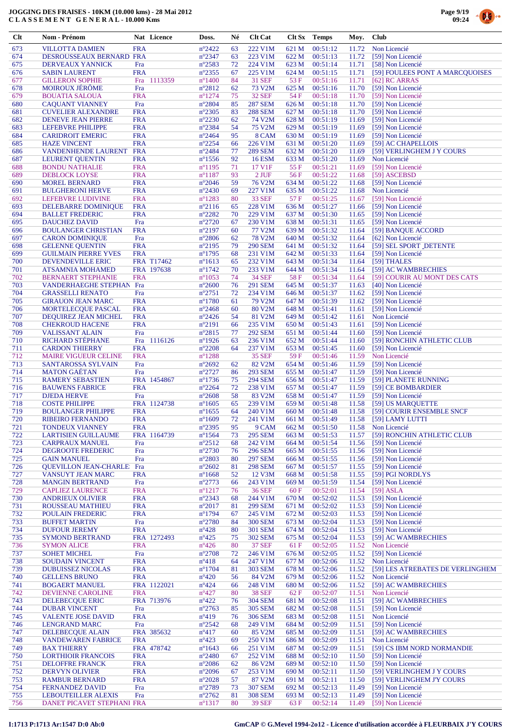



| Clt        | Nom - Prénom                                         |                          | Nat Licence       | Doss.                               | Né       | <b>Clt Cat</b>                   |                | <b>Clt Sx</b> Temps  | Moy.           | <b>Club</b>                                         |
|------------|------------------------------------------------------|--------------------------|-------------------|-------------------------------------|----------|----------------------------------|----------------|----------------------|----------------|-----------------------------------------------------|
| 673        | <b>VILLOTTA DAMIEN</b>                               | <b>FRA</b>               |                   | $n^{\circ}2422$                     | 63       | 222 V1M                          | 621 M          | 00:51:12             | 11.72          | Non Licencié                                        |
| 674        | DESROUSSEAUX BERNARD FRA                             |                          |                   | $n^{\circ}2347$                     | 63       | 223 V1M                          | 622 M          | 00:51:13             | 11.72          | [59] Non Licencié                                   |
| 675        | DERVEAUX YANNICK                                     | Fra                      |                   | $n^{\circ}2583$                     | 72       | 224 V1M                          | 623 M          | 00:51:14             | 11.71          | [58] Non Licencié                                   |
| 676        | <b>SABIN LAURENT</b>                                 | <b>FRA</b>               |                   | $n^{\circ}2355$                     | 67       | 225 V1M                          | 624 M          | 00:51:15             | 11.71          | [59] FOULEES PONT A MARCQUOISES                     |
| 677        | <b>GILLERON SOPHIE</b>                               | Fra                      | 1113359           | $n^{\circ}$ 1400                    | 84       | <b>31 SEF</b>                    | 53 F           | 00:51:16             | 11.71          | $[62]$ RC ARRAS                                     |
| 678        | <b>MOIROUX JÉRÔME</b><br><b>BOUATIA SALOUA</b>       | Fra                      |                   | $n^{\circ}2812$                     | 62       | 73 V2M                           | 625 M          | 00:51:16             | 11.70          | [59] Non Licencié                                   |
| 679<br>680 | <b>CAQUANT VIANNEY</b>                               | <b>FRA</b><br>Fra        |                   | $n^{\circ}1274$<br>$n^{\circ}2804$  | 75<br>85 | <b>32 SEF</b><br><b>287 SEM</b>  | 54 F<br>626 M  | 00:51:18<br>00:51:18 | 11.70<br>11.70 | [59] Non Licencié<br>[59] Non Licencié              |
| 681        | <b>CUVELIER ALEXANDRE</b>                            | <b>FRA</b>               |                   | $n^{\circ}2305$                     | 83       | <b>288 SEM</b>                   | 627 M          | 00:51:18             | 11.70          | [59] Non Licencié                                   |
| 682        | <b>DENEVE JEAN PIERRE</b>                            | <b>FRA</b>               |                   | $n^{\circ}2230$                     | 62       | 74 V2M                           | 628 M          | 00:51:19             | 11.69          | [59] Non Licencié                                   |
| 683        | <b>LEFEBVRE PHILIPPE</b>                             | <b>FRA</b>               |                   | $n^{\circ}2384$                     | 54       | 75 V2M                           | 629 M          | 00:51:19             | 11.69          | [59] Non Licencié                                   |
| 684        | <b>CARIDROIT EMERIC</b>                              | <b>FRA</b>               |                   | $n^{\circ}2464$                     | 95       | 8 CAM                            | 630 M          | 00:51:19             | 11.69          | [59] Non Licencié                                   |
| 685        | <b>HAZE VINCENT</b>                                  | <b>FRA</b>               |                   | $n^{\circ}2254$                     | 66       | 226 V1M                          | 631 M          | 00:51:20             | 11.69          | [59] AC CHAPELLOIS                                  |
| 686        | <b>VANDENHENDE LAURENT</b>                           | <b>FRA</b>               |                   | $n^{\circ}2484$                     | 77       | <b>289 SEM</b>                   | 632 M          | 00:51:20             | 11.69          | [59] VERLINGHEM J Y COURS                           |
| 687        | <b>LEURENT QUENTIN</b>                               | <b>FRA</b>               |                   | $n^{\circ}$ 1556                    | 92       | <b>16 ESM</b>                    | 633 M          | 00:51:20             | 11.69          | Non Licencié                                        |
| 688        | <b>BONDU NATHALIE</b>                                | <b>FRA</b>               |                   | $n^{\circ}1195$                     | 71       | 17 V1F                           | 55 F           | 00:51:21             | 11.69          | [59] Non Licencié                                   |
| 689        | DEBLOCK LOYSE                                        | <b>FRA</b>               |                   | $n^{\circ}1187$                     | 93<br>59 | $2$ JUF                          | 56 F           | 00:51:22<br>00:51:22 | 11.68          | [59] ASCEBSD                                        |
| 690<br>691 | <b>MOREL BERNARD</b><br><b>BULGHERONI HERVE</b>      | <b>FRA</b><br><b>FRA</b> |                   | $n^{\circ}2046$<br>$n^{\circ}2430$  | 69       | 76 V <sub>2</sub> M<br>227 V1M   | 634 M<br>635 M | 00:51:22             | 11.68<br>11.68 | [59] Non Licencié<br>Non Licencié                   |
| 692        | LEFEBVRE LUDIVINE                                    | <b>FRA</b>               |                   | $n^{\circ}1283$                     | 80       | <b>33 SEF</b>                    | 57 F           | 00:51:25             | 11.67          | [59] Non Licencié                                   |
| 693        | DELEBARRE DOMINIQUE                                  | <b>FRA</b>               |                   | $n^{\circ}2116$                     | 65       | 228 V1M                          | 636 M          | 00:51:27             | 11.66          | [59] Non Licencié                                   |
| 694        | <b>BALLET FREDERIC</b>                               | <b>FRA</b>               |                   | $n^{\circ}2282$                     | 70       | 229 V1M                          | 637 M          | 00:51:30             | 11.65          | [59] Non Licencié                                   |
| 695        | DAUCHEZ DAVID                                        | Fra                      |                   | $n^{\circ}2720$                     | 67       | 230 V1M                          | 638 M          | 00:51:31             | 11.65          | [59] Non Licencié                                   |
| 696        | <b>BOULANGER CHRISTIAN</b>                           | <b>FRA</b>               |                   | $n^{\circ}2197$                     | 60       | 77 V2M                           | 639 M          | 00:51:32             | 11.64          | [59] BANQUE ACCORD                                  |
| 697        | <b>CARON DOMINIQUE</b>                               | Fra                      |                   | $n^{\circ}2806$                     | 62       | <b>78 V2M</b>                    | 640 M          | 00:51:32             | 11.64          | [62] Non Licencié                                   |
| 698        | <b>GELENNE OUENTIN</b>                               | <b>FRA</b>               |                   | $n^{\circ}2195$                     | 79       | <b>290 SEM</b>                   | 641 M          | 00:51:32             | 11.64          | [59] SEL SPORT DETENTE                              |
| 699        | <b>GUILMAIN PIERRE YVES</b>                          | <b>FRA</b>               |                   | $n^{\circ}1795$                     | 68       | 231 V1M                          | 642 M          | 00:51:33             | 11.64          | [59] Non Licencié                                   |
| 700        | DEVENDEVILLE ERIC                                    |                          | <b>FRA T17462</b> | $n^{\circ}1613$                     | 65       | 232 V1M                          | 643 M          | 00:51:34             | 11.64          | [59] THALES                                         |
| 701<br>702 | <b>ATSAMNIA MOHAMED</b><br><b>BERNAERT STEPHANIE</b> | <b>FRA</b>               | FRA 197638        | $n^{\circ}$ 1742<br>$n^{\circ}1053$ | 70<br>74 | 233 V1M<br><b>34 SEF</b>         | 644 M<br>58 F  | 00:51:34<br>00:51:34 | 11.64<br>11.64 | [59] AC WAMBRECHIES<br>[59] COURIR AU MONT DES CATS |
| 703        | <b>VANDERHAEGHE STEPHAN Fra</b>                      |                          |                   | $n^{\circ}2600$                     | 76       | <b>291 SEM</b>                   | 645 M          | 00:51:37             | 11.63          | [40] Non Licencié                                   |
| 704        | <b>GRASSELLI RENATO</b>                              | Fra                      |                   | $n^{\circ}2751$                     | 72       | 234 V1M                          | 646 M          | 00:51:37             | 11.62          | [59] Non Licencié                                   |
| 705        | <b>GIRAUON JEAN MARC</b>                             | <b>FRA</b>               |                   | $n^{\circ}1780$                     | 61       | 79 V2M                           | 647 M          | 00:51:39             | 11.62          | [59] Non Licencié                                   |
| 706        | <b>MORTELECQUE PASCAL</b>                            | <b>FRA</b>               |                   | $n^{\circ}2468$                     | 60       | 80 V2M                           | 648 M          | 00:51:41             | 11.61          | [59] Non Licencié                                   |
| 707        | DEQUIREZ JEAN MICHEL                                 | <b>FRA</b>               |                   | $n^{\circ}2426$                     | 54       | 81 V2M                           | 649 M          | 00:51:42             | 11.61          | Non Licencié                                        |
| 708        | <b>CHEKROUD HACENE</b>                               | <b>FRA</b>               |                   | $n^{\circ}2191$                     | 66       | 235 V1M                          | 650 M          | 00:51:43             | 11.61          | [59] Non Licencié                                   |
| 709        | <b>VALISSANT ALAIN</b>                               | Fra                      |                   | $n^{\circ}2815$                     | 77       | <b>292 SEM</b>                   | 651 M          | 00:51:44             | 11.60          | [59] Non Licencié                                   |
| 710        | RICHARD STEPHANE                                     | Fra                      | 1116126           | $n^{\circ}$ 1926                    | 63       | 236 V1M                          | 652 M          | 00:51:44             | 11.60          | [59] RONCHIN ATHLETIC CLUB                          |
| 711        | <b>CARDON THIERRY</b>                                | <b>FRA</b>               |                   | $n^{\circ}2208$                     | 64       | 237 V1M                          | 653 M          | 00:51:45             | 11.60          | [59] Non Licencié                                   |
| 712        | <b>MAIRE VIGUEUR CELINE</b>                          | <b>FRA</b>               |                   | $n^{\circ}1288$                     |          | <b>35 SEF</b>                    | 59 F           | 00:51:46             | 11.59          | Non Licencié                                        |
| 713<br>714 | <b>SANTAROSSA SYLVAIN</b><br><b>MATON GAETAN</b>     | Fra<br>Fra               |                   | $n^{\circ}2692$<br>$n^{\circ}2727$  | 62<br>86 | 82 V2M<br><b>293 SEM</b>         | 654 M<br>655 M | 00:51:46<br>00:51:47 | 11.59<br>11.59 | [59] Non Licencié<br>[59] Non Licencié              |
| 715        | <b>RAMERY SEBASTIEN</b>                              |                          | FRA 1454867       | $n^{\circ}$ 1736                    | 75       | <b>294 SEM</b>                   | 656 M          | 00:51:47             | 11.59          | [59] PLANETE RUNNING                                |
| 716        | <b>BAUWENS FABRICE</b>                               | <b>FRA</b>               |                   | $n^{\circ}2264$                     | 72       | 238 V1M                          | 657 M          | 00:51:47             | 11.59          | [59] CE BOMBARDIER                                  |
| 717        | <b>DJEDA HERVE</b>                                   | Fra                      |                   | $n^{\circ}2608$                     | 58       | 83 V2M                           | 658 M          | 00:51:47             | 11.59          | [59] Non Licencié                                   |
| 718        | <b>COSTE PHILIPPE</b>                                |                          | FRA 1124738       | $n^{\circ}1605$                     | 65       | 239 V1M                          | 659 M          | 00:51:48             | 11.58          | [59] US MARQUETTE                                   |
| 719        | <b>BOULANGER PHILIPPE</b>                            | <b>FRA</b>               |                   | $n^{\circ}1655$                     | 64       | 240 V1M                          | 660 M          | 00:51:48             | 11.58          | [59] COURIR ENSEMBLE SNCF                           |
| 720        | <b>RIBEIRO FERNANDO</b>                              | <b>FRA</b>               |                   | $n^{\circ}1609$                     | 72       | 241 V1M                          | 661 M          | 00:51:49             |                | 11.58 [59] LAMY LUTTI                               |
| 721        | <b>TONDEUX VIANNEY</b>                               | <b>FRA</b>               |                   | $n^{\circ}2395$                     | 95       | 9 CAM                            | 662 M          | 00:51:50             | 11.58          | Non Licencié                                        |
| 722        | <b>LARTISIEN GUILLAUME</b>                           |                          | FRA 1164739       | $n^{\circ}1564$                     | 73       | <b>295 SEM</b>                   | 663 M          | 00:51:53             | 11.57          | [59] RONCHIN ATHLETIC CLUB                          |
| 723        | <b>CARPRAUX MANUEL</b>                               | Fra                      |                   | $n^{\circ}2512$                     | 68       | 242 V1M                          | 664 M          | 00:51:54             | 11.56          | [59] Non Licencié                                   |
| 724        | DEGROOTE FREDERIC                                    | Fra                      |                   | $n^{\circ}2730$                     | 76       | <b>296 SEM</b>                   | 665 M          | 00:51:55             | 11.56          | [59] Non Licencié                                   |
| 725        | <b>GAIN MANUEL</b><br><b>OUEVILLON JEAN-CHARLE</b>   | Fra                      |                   | $n^{\circ}2803$                     | 80       | <b>297 SEM</b><br><b>298 SEM</b> | 666 M          | 00:51:55             | 11.56          | [59] Non Licencié                                   |
| 726<br>727 | VANSUYT JEAN MARC                                    | Fra<br><b>FRA</b>        |                   | $n^{\circ}2602$<br>$n^{\circ}1668$  | 81<br>52 | 12 V3M                           | 667 M<br>668 M | 00:51:57<br>00:51:58 | 11.55<br>11.55 | [59] Non Licencié<br>[59] PGI NORDLYS               |
| 728        | <b>MANGIN BERTRAND</b>                               | Fra                      |                   | $n^{\circ}2773$                     | 66       | 243 V1M                          | 669 M          | 00:51:59             | 11.54          | [59] Non Licencié                                   |
| 729        | <b>CAPLIEZ LAURENCE</b>                              | <b>FRA</b>               |                   | $n^{\circ}1217$                     | 76       | <b>36 SEF</b>                    | 60 F           | 00:52:01             | 11.54          | $[59]$ ASLA                                         |
| 730        | <b>ANDRIEUX OLIVIER</b>                              | <b>FRA</b>               |                   | $n^{\circ}2343$                     | 68       | 244 V1M                          | 670 M          | 00:52:02             | 11.53          | [59] Non Licencié                                   |
| 731        | ROUSSEAU MATHIEU                                     | <b>FRA</b>               |                   | $n^{\circ}2017$                     | 81       | <b>299 SEM</b>                   | 671 M          | 00:52:02             | 11.53          | [59] Non Licencié                                   |
| 732        | <b>POULAIN FREDERIC</b>                              | <b>FRA</b>               |                   | $n^{\circ}1794$                     | 67       | 245 V1M                          | 672 M          | 00:52:03             | 11.53          | [59] Non Licencié                                   |
| 733        | <b>BUFFET MARTIN</b>                                 | Fra                      |                   | $n^{\circ}2780$                     | 84       | <b>300 SEM</b>                   | 673 M          | 00:52:04             | 11.53          | [59] Non Licencié                                   |
| 734        | <b>DUFOUR JEREMY</b>                                 | <b>FRA</b>               |                   | $n^{\circ}428$                      | 80       | <b>301 SEM</b>                   | 674 M          | 00:52:04             | 11.53          | [59] Non Licencié                                   |
| 735        | <b>SYMOND BERTRAND</b>                               |                          | FRA 1272493       | $n^{\circ}425$                      | 75       | <b>302 SEM</b>                   | 675 M          | 00:52:04             | 11.53          | [59] AC WAMBRECHIES                                 |
| 736        | <b>SYMON ALICE</b>                                   | <b>FRA</b>               |                   | $n^{\circ}426$                      | 80       | <b>37 SEF</b>                    | 61 F           | 00:52:05             | 11.52          | Non Licencié                                        |
| 737        | <b>SOHET MICHEL</b>                                  | Fra                      |                   | $n^{\circ}2708$                     | 72       | 246 V1M                          | 676 M          | 00:52:05             | 11.52          | [59] Non Licencié                                   |
| 738        | <b>SOUDAIN VINCENT</b>                               | <b>FRA</b>               |                   | $n^{\circ}418$                      | 64       | 247 V1M<br><b>303 SEM</b>        | 677 M          | 00:52:06             | 11.52          | Non Licencié                                        |
| 739<br>740 | <b>DUBUISSEZ NICOLAS</b><br><b>GELLENS BRUNO</b>     | <b>FRA</b><br><b>FRA</b> |                   | $n^{\circ}1704$<br>$n^{\circ}420$   | 81<br>56 | 84 V2M                           | 678 M<br>679 M | 00:52:06<br>00:52:06 | 11.52<br>11.52 | [59] LES ATREBATES DE VERLINGHEM<br>Non Licencié    |
| 741        | <b>BOGAERT MANUEL</b>                                |                          | FRA 1122021       | $n^{\circ}424$                      | 66       | 248 V1M                          | 680 M          | 00:52:06             | 11.52          | [59] AC WAMBRECHIES                                 |
| 742        | DEVIENNE CAROLINE                                    | <b>FRA</b>               |                   | $n^{\circ}427$                      | 80       | <b>38 SEF</b>                    | 62 F           | 00:52:07             | 11.51          | Non Licencié                                        |
| 743        | <b>DELEBECQUE ERIC</b>                               |                          | FRA 713976        | $n^{\circ}422$                      | 76       | <b>304 SEM</b>                   | 681 M          | 00:52:08             | 11.51          | [59] AC WAMBRECHIES                                 |
| 744        | <b>DUBAR VINCENT</b>                                 | Fra                      |                   | $n^{\circ}2763$                     | 85       | <b>305 SEM</b>                   | 682 M          | 00:52:08             | 11.51          | [59] Non Licencié                                   |
| 745        | <b>VALENTE JOSE DAVID</b>                            | <b>FRA</b>               |                   | $n^{\circ}419$                      | 76       | <b>306 SEM</b>                   | 683 M          | 00:52:08             | 11.51          | Non Licencié                                        |
| 746        | <b>LENGRAND MARC</b>                                 | Fra                      |                   | $n^{\circ}2542$                     | 68       | 249 V1M                          | 684 M          | 00:52:09             | 11.51          | [59] Non Licencié                                   |
| 747        | <b>DELEBECQUE ALAIN</b>                              |                          | FRA 385632        | $n^{\circ}417$                      | 60       | 85 V2M                           | 685 M          | 00:52:09             | 11.51          | [59] AC WAMBRECHIES                                 |
| 748        | <b>VANDEWAREN FABRICE</b>                            | <b>FRA</b>               |                   | $n^{\circ}423$                      | 69       | 250 V1M                          | 686 M          | 00:52:09             | 11.51          | Non Licencié                                        |
| 749        | <b>BAX THIERRY</b>                                   |                          | FRA 478742        | $n^{\circ}1643$                     | 66       | 251 V1M                          | 687 M          | 00:52:09             | 11.51          | [59] CS IBM NORD NORMANDIE                          |
| 750        | <b>LORTHIOIR FRANCOIS</b>                            | <b>FRA</b>               |                   | $n^{\circ}2480$                     | 67<br>62 | 252 V1M                          | 688 M          | 00:52:10             | 11.50          | [59] Non Licencié                                   |
| 751<br>752 | <b>DELOFFRE FRANCK</b><br><b>DERVYN OLIVIER</b>      | <b>FRA</b><br><b>FRA</b> |                   | $n^{\circ}2086$<br>$n^{\circ}2096$  | 67       | 86 V2M<br>253 V1M                | 689 M<br>690 M | 00:52:10<br>00:52:11 | 11.50<br>11.50 | [59] Non Licencié<br>[59] VERLINGHEM J Y COURS      |
| 753        | <b>RAMBUR BERNARD</b>                                | <b>FRA</b>               |                   | $n^{\circ}2028$                     | 57       | 87 V2M                           | 691 M          | 00:52:11             | 11.50          | [59] VERLINGHEM J'Y COURS                           |
| 754        | <b>FERNANDEZ DAVID</b>                               | Fra                      |                   | $n^{\circ}2789$                     | 73       | <b>307 SEM</b>                   | 692 M          | 00:52:13             | 11.49          | [59] Non Licencié                                   |
| 755        | <b>LEBOUTEILLER ALEXIS</b>                           | Fra                      |                   | $n^{\circ}2762$                     | 81       | <b>308 SEM</b>                   | 693 M          | 00:52:13             | 11.49          | [59] Non Licencié                                   |
| 756        | DANET PICAVET STEPHANI FRA                           |                          |                   | $n^{\circ}1317$                     | 80       | <b>39 SEF</b>                    | 63 F           | 00:52:14             | 11.49          | [59] Non Licencié                                   |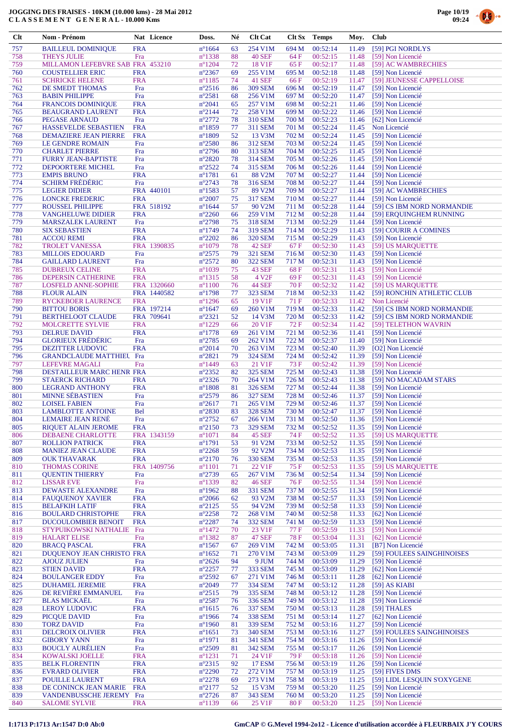

| Clt        | Nom - Prénom                                             |                          | Nat Licence              | Doss.                               | Né       | <b>Clt Cat</b>                     |                | Clt Sx Temps         | Moy.           | <b>Club</b>                                              |
|------------|----------------------------------------------------------|--------------------------|--------------------------|-------------------------------------|----------|------------------------------------|----------------|----------------------|----------------|----------------------------------------------------------|
| 757        | <b>BAILLEUL DOMINIQUE</b>                                | <b>FRA</b>               |                          | $n^{\circ}1664$                     | 63       | 254 V1M                            | 694 M          | 00:52:14             | 11.49          | [59] PGI NORDLYS                                         |
| 758        | <b>THEYS JULIE</b>                                       | Fra                      |                          | $n^{\circ}$ 1338                    | 88       | <b>40 SEF</b>                      | 64 F           | 00:52:15             | 11.48          | [59] Non Licencié                                        |
| 759        | MILLAMON LEFEBVRE SAB FRA 453210                         |                          |                          | $n^{\circ}1204$                     | 72       | 18 V1F                             | 65 F           | 00:52:17             | 11.48          | [59] AC WAMBRECHIES                                      |
| 760<br>761 | <b>COUSTELLIER ERIC</b><br><b>SCHRICKE HELENE</b>        | <b>FRA</b><br><b>FRA</b> |                          | $n^{\circ}2367$<br>$n^{\circ}1185$  | 69<br>74 | 255 V1M<br><b>41 SEF</b>           | 695 M<br>66 F  | 00:52:18<br>00:52:19 | 11.48<br>11.47 | [59] Non Licencié<br>[59] JEUNESSE CAPPELLOISE           |
| 762        | DE SMEDT THOMAS                                          | Fra                      |                          | $n^{\circ}2516$                     | 86       | <b>309 SEM</b>                     | 696 M          | 00:52:19             | 11.47          | [59] Non Licencié                                        |
| 763        | <b>BABIN PHILIPPE</b>                                    | Fra                      |                          | $n^{\circ}2581$                     | 68       | 256 V1M                            | 697 M          | 00:52:20             | 11.47          | [59] Non Licencié                                        |
| 764        | <b>FRANCOIS DOMINIQUE</b>                                | <b>FRA</b>               |                          | $n^{\circ}2041$                     | 65       | 257 V1M                            | 698 M          | 00:52:21             | 11.46          | [59] Non Licencié                                        |
| 765<br>766 | <b>BEAUGRAND LAURENT</b><br>PEGASE ARNAUD                | <b>FRA</b><br>Fra        |                          | $n^{\circ}2144$<br>$n^{\circ}2772$  | 72<br>78 | 258 V1M<br>310 SEM                 | 699 M<br>700 M | 00:52:22<br>00:52:23 | 11.46<br>11.46 | [59] Non Licencié<br>[62] Non Licencié                   |
| 767        | HASSEVELDE SEBASTIEN                                     | <b>FRA</b>               |                          | $n^{\circ}1859$                     | 77       | 311 SEM                            | 701 M          | 00:52:24             | 11.45          | Non Licencié                                             |
| 768        | <b>DEMAZIERE JEAN PIERRE</b>                             | <b>FRA</b>               |                          | $n^{\circ}1809$                     | 52       | 13 V3M                             | 702 M          | 00:52:24             | 11.45          | [59] Non Licencié                                        |
| 769        | LE GENDRE ROMAIN                                         | Fra                      |                          | $n^{\circ}2580$                     | 86       | 312 SEM                            | 703 M          | 00:52:24             | 11.45          | [59] Non Licencié                                        |
| 770<br>771 | <b>CHARLET PIERRE</b><br><b>FURRY JEAN-BAPTISTE</b>      | Fra<br>Fra               |                          | $n^{\circ}2796$<br>$n^{\circ}2820$  | 80<br>78 | 313 SEM<br>314 SEM                 | 704 M<br>705 M | 00:52:25<br>00:52:26 | 11.45<br>11.45 | [59] Non Licencié<br>[59] Non Licencié                   |
| 772        | DEPOORTERE MICHEL                                        | Fra                      |                          | $n^{\circ}2522$                     | 74       | 315 SEM                            | 706 M          | 00:52:26             | 11.44          | [59] Non Licencié                                        |
| 773        | <b>EMPIS BRUNO</b>                                       | <b>FRA</b>               |                          | $n^{\circ}1781$                     | 61       | 88 V2M                             | 707 M          | 00:52:27             | 11.44          | [59] Non Licencié                                        |
| 774        | <b>SCHIRM FRÉDÉRIC</b>                                   | Fra                      |                          | $n^{\circ}2743$                     | 78       | 316 SEM                            | 708 M          | 00:52:27             | 11.44          | [59] Non Licencié                                        |
| 775<br>776 | <b>LEGIER DIDIER</b><br><b>LONCKE FREDERIC</b>           | <b>FRA</b>               | FRA 440101               | $n^{\circ}$ 1583<br>$n^{\circ}2007$ | 57<br>75 | 89 V2M<br><b>317 SEM</b>           | 709 M<br>710 M | 00:52:27<br>00:52:27 | 11.44<br>11.44 | [59] AC WAMBRECHIES<br>[59] Non Licencié                 |
| 777        | <b>ROUSSEL PHILIPPE</b>                                  |                          | FRA 518192               | $n^{\circ}1644$                     | 57       | 90 V2M                             | 711 M          | 00:52:28             | 11.44          | [59] CS IBM NORD NORMANDIE                               |
| 778        | <b>VANGHELUWE DIDIER</b>                                 | <b>FRA</b>               |                          | $n^{\circ}2260$                     | 66       | 259 V1M                            | 712 M          | 00:52:28             | 11.44          | [59] EROUINGHEM RUNNING                                  |
| 779        | <b>MARSZALEK LAURENT</b>                                 | Fra                      |                          | $n^{\circ}2798$                     | 75       | 318 SEM                            | 713 M          | 00:52:29             | 11.44          | [59] Non Licencié                                        |
| 780<br>781 | <b>SIX SEBASTIEN</b><br><b>ACCOU REMI</b>                | <b>FRA</b><br><b>FRA</b> |                          | $n^{\circ}1749$<br>$n^{\circ}2202$  | 74<br>86 | 319 SEM<br><b>320 SEM</b>          | 714 M<br>715 M | 00:52:29<br>00:52:29 | 11.43<br>11.43 | [59] COURIR A COMINES<br>[59] Non Licencié               |
| 782        | <b>TROLET VANESSA</b>                                    |                          | FRA 1390835              | $n^{\circ}1079$                     | 78       | <b>42 SEF</b>                      | 67 F           | 00:52:30             | 11.43          | [59] US MARQUETTE                                        |
| 783        | <b>MILLOIS EDOUARD</b>                                   | Fra                      |                          | $n^{\circ}2575$                     | 79       | 321 SEM                            | 716 M          | 00:52:30             | 11.43          | [59] Non Licencié                                        |
| 784        | <b>GAILLARD LAURENT</b>                                  | Fra                      |                          | $n^{\circ}2572$                     | 80       | <b>322 SEM</b>                     | 717 M          | 00:52:31             | 11.43          | [59] Non Licencié                                        |
| 785<br>786 | <b>DUBREUX CELINE</b><br>DEPERSIN CATHERINE              | <b>FRA</b><br><b>FRA</b> |                          | $n^{\circ}1039$<br>$n^{\circ}1315$  | 75<br>58 | <b>43 SEF</b><br>4 V <sub>2F</sub> | 68F<br>69 F    | 00:52:31<br>00:52:31 | 11.43<br>11.43 | [59] Non Licencié<br>[59] Non Licencié                   |
| 787        | <b>LOSFELD ANNE-SOPHIE</b>                               |                          | FRA 1320660              | $n^{\circ}1100$                     | 76       | <b>44 SEF</b>                      | 70 F           | 00:52:32             | 11.42          | [59] US MARQUETTE                                        |
| 788        | <b>FLOUR ALAIN</b>                                       |                          | FRA 1440582              | $n^{\circ}1798$                     | 77       | <b>323 SEM</b>                     | 718 M          | 00:52:33             | 11.42          | [59] RONCHIN ATHLETIC CLUB                               |
| 789        | <b>RYCKEBOER LAURENCE</b>                                | <b>FRA</b>               |                          | $n^{\circ}$ 1296                    | 65       | 19 V1F                             | 71 F           | 00:52:33             | 11.42          | Non Licencié                                             |
| 790<br>791 | <b>BITTOU BORIS</b><br><b>BERTHELOOT CLAUDE</b>          |                          | FRA 197214<br>FRA 709641 | $n^{\circ}1647$<br>$n^{\circ}2321$  | 69<br>52 | 260 V1M<br>14 V3M                  | 719 M<br>720 M | 00:52:33<br>00:52:33 | 11.42<br>11.42 | [59] CS IBM NORD NORMANDIE<br>[59] CS IBM NORD NORMANDIE |
| 792        | MOLCRETTE SYLVIE                                         | <b>FRA</b>               |                          | $n^{\circ}1229$                     | 66       | 20 V1F                             | 72 F           | 00:52:34             | 11.42          | [59] TELETHON WAVRIN                                     |
| 793        | <b>DELRUE DAVID</b>                                      | <b>FRA</b>               |                          | $n^{\circ}$ 1778                    | 69       | 261 V1M                            | 721 M          | 00:52:36             | 11.41          | [59] Non Licencié                                        |
| 794        | <b>GLORIEUX FRÉDÉRIC</b>                                 | Fra                      |                          | n°2785                              | 69       | 262 V1M                            | 722 M          | 00:52:37             | 11.40          | [59] Non Licencié                                        |
| 795<br>796 | <b>DEZITTER LUDOVIC</b>                                  | <b>FRA</b>               |                          | $n^{\circ}2014$<br>$n^{\circ}2821$  | 70<br>79 | 263 V1M<br><b>324 SEM</b>          | 723 M<br>724 M | 00:52:40<br>00:52:42 | 11.39<br>11.39 | [O2] Non Licencié                                        |
| 797        | <b>GRANDCLAUDE MATTHIEL Fra</b><br><b>LEFEVRE MAGALI</b> | Fra                      |                          | $n^{\circ}$ 1449                    | 63       | 21 V1F                             | 73 F           | 00:52:42             | 11.39          | [59] Non Licencié<br>[59] Non Licencié                   |
| 798        | DESTAILLEUR MARC HENR FRA                                |                          |                          | n°2352                              | 82       | <b>325 SEM</b>                     | 725 M          | 00:52:43             | 11.38          | [59] Non Licencié                                        |
| 799        | <b>STAERCK RICHARD</b>                                   | <b>FRA</b>               |                          | $n^{\circ}2326$                     | 70       | 264 V1M                            | 726 M          | 00:52:43             | 11.38          | [59] NO MACADAM STARS                                    |
| 800<br>801 | <b>LEGRAND ANTHONY</b><br><b>MINNE SÉBASTIEN</b>         | <b>FRA</b><br>Fra        |                          | $n^{\circ}1808$<br>$n^{\circ}2579$  | 81<br>86 | 326 SEM<br><b>327 SEM</b>          | 727 M<br>728 M | 00:52:44<br>00:52:46 | 11.38<br>11.37 | [59] Non Licencié<br>[59] Non Licencié                   |
| 802        | <b>LOISEL FABIEN</b>                                     | Fra                      |                          | $n^{\circ}2617$                     | 71       | 265 V1M                            | 729 M          | 00:52:46             | 11.37          | [59] Non Licencié                                        |
| 803        | <b>LAMBLOTTE ANTOINE</b>                                 | <b>Bel</b>               |                          | $n^{\circ}2830$                     | 83       | <b>328 SEM</b>                     | 730 M          | 00:52:47             | 11.37          | [59] Non Licencié                                        |
| 804        | <b>LEMAIRE JEAN RENÉ</b>                                 | Fra                      |                          | $n^{\circ}2752$                     | 67       | 266 V1M                            | 731 M          | 00:52:50             | 11.36          | [59] Non Licencié                                        |
| 805<br>806 | <b>RIQUET ALAIN JEROME</b><br>DEBAENE CHARLOTTE          | <b>FRA</b>               | FRA 1343159              | $n^{\circ}2150$<br>$n^{\circ}1071$  | 73<br>84 | <b>329 SEM</b><br><b>45 SEF</b>    | 732 M<br>74 F  | 00:52:52<br>00:52:52 | 11.35<br>11.35 | [59] Non Licencié<br>[59] US MAROUETTE                   |
| 807        | <b>ROLLION PATRICK</b>                                   | <b>FRA</b>               |                          | $n^{\circ}1791$                     | 53       | 91 V2M                             | 733 M          | 00:52:52             | 11.35          | [59] Non Licencié                                        |
| 808        | <b>MANIEZ JEAN CLAUDE</b>                                | <b>FRA</b>               |                          | $n^{\circ}2268$                     | 59       | 92 V2M                             | 734 M          | 00:52:53             | 11.35          | [59] Non Licencié                                        |
| 809        | <b>OUK THAVARAK</b>                                      | <b>FRA</b>               |                          | $n^{\circ}2170$                     | 76       | 330 SEM                            | 735 M          | 00:52:53             | 11.35          | [59] Non Licencié                                        |
| 810<br>811 | <b>THOMAS CORINE</b><br><b>OUENTIN THIERRY</b>           | Fra                      | FRA 1409756              | $n^{\circ}1101$<br>$n^{\circ}2739$  | 71<br>65 | 22 V1F<br>267 V1M                  | 75 F<br>736 M  | 00:52:53<br>00:52:54 | 11.35<br>11.34 | [59] US MAROUETTE<br>[59] Non Licencié                   |
| 812        | <b>LISSAR EVE</b>                                        | Fra                      |                          | n°1339                              | 82       | <b>46 SEF</b>                      | 76 F           | 00:52:55             | 11.34          | [59] Non Licencié                                        |
| 813        | <b>DEWASTE ALEXANDRE</b>                                 | Fra                      |                          | $n^{\circ}$ 1962                    | 88       | 331 SEM                            | 737 M          | 00:52:55             | 11.34          | [59] Non Licencié                                        |
| 814        | <b>FAUQUENOY XAVIER</b>                                  | <b>FRA</b>               |                          | $n^{\circ}2066$                     | 62       | 93 V2M                             | 738 M          | 00:52:57             | 11.33          | [59] Non Licencié                                        |
| 815<br>816 | <b>BELAFKIH LATIF</b><br><b>BOULARD CHRISTOPHE</b>       | <b>FRA</b><br><b>FRA</b> |                          | $n^{\circ}2125$<br>$n^{\circ}2258$  | 55<br>72 | 94 V2M<br>268 V1M                  | 739 M<br>740 M | 00:52:58<br>00:52:58 | 11.33<br>11.33 | [59] Non Licencié<br>[62] Non Licencié                   |
| 817        | <b>DUCOULOMBIER BENOIT</b>                               | <b>FRA</b>               |                          | $n^{\circ}2287$                     | 74       | <b>332 SEM</b>                     | 741 M          | 00:52:59             | 11.33          | [59] Non Licencié                                        |
| 818        | STYPUIKOWSKI NATHALIE Fra                                |                          |                          | $n^{\circ}$ 1472                    | 70       | 23 V1F                             | 77 F           | 00:52:59             | 11.33          | [59] Non Licencié                                        |
| 819        | <b>HALART ELISE</b>                                      | Fra                      |                          | $n^{\circ}$ 1382                    | 87       | <b>47 SEF</b>                      | 78 F           | 00:53:04             | 11.31          | [62] Non Licencié                                        |
| 820<br>821 | <b>BRACQ PASCAL</b><br>DUQUENOY JEAN CHRISTO FRA         | <b>FRA</b>               |                          | $n^{\circ}$ 1567<br>$n^{\circ}1652$ | 67<br>71 | 269 V1M<br>270 V1M                 | 742 M<br>743 M | 00:53:05<br>00:53:09 | 11.31<br>11.29 | [B7] Non Licencié<br>[59] FOULEES SAINGHINOISES          |
| 822        | <b>AJOUZ JULIEN</b>                                      | Fra                      |                          | $n^{\circ}2626$                     | 94       | 9 JUM                              | 744 M          | 00:53:09             | 11.29          | [59] Non Licencié                                        |
| 823        | <b>STIEN DAVID</b>                                       | <b>FRA</b>               |                          | $n^{\circ}2257$                     | 77       | 333 SEM                            | 745 M          | 00:53:09             | 11.29          | [62] Non Licencié                                        |
| 824        | <b>BOULANGER EDDY</b>                                    | Fra                      |                          | $n^{\circ}2592$                     | 67       | 271 V1M                            | 746 M          | 00:53:11             | 11.28          | [62] Non Licencié                                        |
| 825<br>826 | <b>DUHAMEL JEREMIE</b><br>DE REVIÈRE EMMANUEL            | <b>FRA</b><br>Fra        |                          | $n^{\circ}2049$<br>$n^{\circ}2515$  | 77<br>79 | 334 SEM<br>335 SEM                 | 747 M<br>748 M | 00:53:12<br>00:53:12 | 11.28<br>11.28 | [59] AS KIABI<br>[59] Non Licencié                       |
| 827        | <b>BLAS MICKAËL</b>                                      | Fra                      |                          | $n^{\circ}2587$                     | 76       | 336 SEM                            | 749 M          | 00:53:12             | 11.28          | [59] Non Licencié                                        |
| 828        | <b>LEROY LUDOVIC</b>                                     | <b>FRA</b>               |                          | $n^{\circ}1615$                     | 76       | <b>337 SEM</b>                     | 750 M          | 00:53:13             | 11.28          | [59] THALES                                              |
| 829        | <b>PICQUE DAVID</b>                                      | Fra                      |                          | $n^{\circ}$ 1966                    | 74       | <b>338 SEM</b>                     | 751 M          | 00:53:14             | 11.27          | [62] Non Licencié                                        |
| 830        | <b>TORZ DAVID</b>                                        | Fra                      |                          | $n^{\circ}$ 1960                    | 81<br>73 | 339 SEM                            | 752 M          | 00:53:16             | 11.27<br>11.27 | [59] Non Licencié                                        |
| 831<br>832 | <b>DELCROIX OLIVIER</b><br><b>GIBORY YANN</b>            | <b>FRA</b><br>Fra        |                          | $n^{\circ}1651$<br>$n^{\circ}1971$  | 81       | 340 SEM<br>341 SEM                 | 753 M<br>754 M | 00:53:16<br>00:53:16 | 11.26          | [59] FOULEES SAINGHINOISES<br>[59] Non Licencié          |
| 833        | <b>BOUCLY AURÉLIEN</b>                                   | Fra                      |                          | $n^{\circ}2509$                     | 81       | <b>342 SEM</b>                     | 755 M          | 00:53:17             | 11.26          | [59] Non Licencié                                        |
| 834        | KOWALSKI JOELLE                                          | <b>FRA</b>               |                          | $n^{\circ}1231$                     | 71       | 24 V1F                             | 79 F           | 00:53:18             | 11.26          | [59] Non Licencié                                        |
| 835        | <b>BELK FLORENTIN</b>                                    | <b>FRA</b>               |                          | $n^{\circ}2315$                     | 92       | <b>17 ESM</b>                      | 756 M          | 00:53:19             | 11.26          | [59] Non Licencié                                        |
| 836<br>837 | <b>EVRARD OLIVIER</b><br>POUILLE LAURENT                 | <b>FRA</b><br><b>FRA</b> |                          | $n^{\circ}2290$<br>$n^{\circ}2278$  | 72<br>69 | 272 V1M<br>273 V1M                 | 757 M<br>758 M | 00:53:19<br>00:53:19 | 11.25<br>11.25 | [59] FIVES DMS<br>[59] LIDL LESQUIN S'OXYGENE            |
| 838        | DE CONINCK JEAN MARIE                                    | <b>FRA</b>               |                          | $n^{\circ}2177$                     | 52       | 15 V3M                             | 759 M          | 00:53:20             | 11.25          | [59] Non Licencié                                        |
| 839        | VANDENBUSSCHE JEREMY Fra                                 |                          |                          | $n^{\circ}2726$                     | 87       | 343 SEM                            | 760 M          | 00:53:20             | 11.25          | [59] Non Licencié                                        |
| 840        | <b>SALOME SYLVIE</b>                                     | <b>FRA</b>               |                          | $n^{\circ}1139$                     | 66       | 25 V1F                             | 80 F           | 00:53:20             | 11.25          | [59] Non Licencié                                        |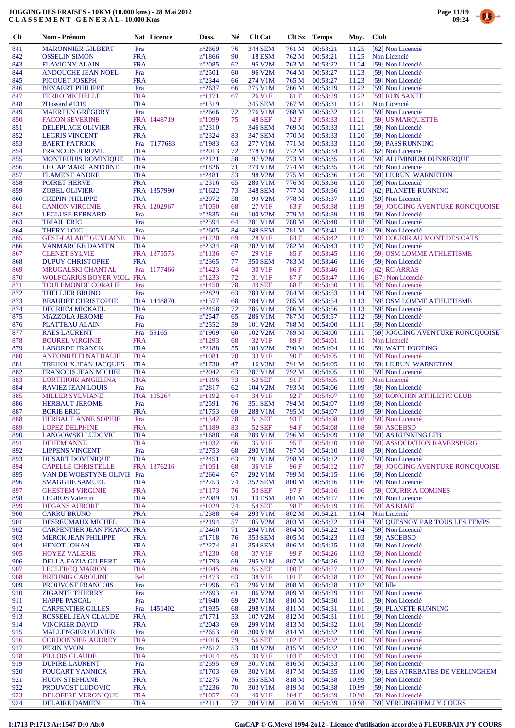



| Clt        | Nom - Prénom                      |                          | Nat Licence | Doss.                              | Né       | <b>Clt Cat</b>            |       | Clt Sx Temps         | Moy.  | <b>Club</b>                            |
|------------|-----------------------------------|--------------------------|-------------|------------------------------------|----------|---------------------------|-------|----------------------|-------|----------------------------------------|
| 841        | <b>MARONNIER GILBERT</b>          | Fra                      |             | $n^{\circ}2669$                    | 76       | <b>344 SEM</b>            | 761 M | 00:53:21             | 11.25 | [62] Non Licencié                      |
| 842        | <b>OSSELIN SIMON</b>              | <b>FRA</b>               |             | $n^{\circ}$ 1866                   | 90       | <b>18 ESM</b>             | 762 M | 00:53:21             | 11.25 | Non Licencié                           |
| 843        | <b>FLAVIGNY ALAIN</b>             | <b>FRA</b>               |             | $n^{\circ}2085$                    | 62       | 95 V2M                    | 763 M | 00:53:22             | 11.24 | [59] Non Licencié                      |
| 844        | ANDOUCHE JEAN NOEL                | Fra                      |             | $n^{\circ}2501$                    | 60       | 96 V2M                    | 764 M | 00:53:27             | 11.23 | [59] Non Licencié                      |
| 845        | PICQUET JOSEPH                    | <b>FRA</b>               |             | $n^{\circ}2344$                    | 66       | 274 V1M                   | 765 M | 00:53:27             | 11.23 | [59] Non Licencié                      |
| 846        | <b>BEYAERT PHILIPPE</b>           | Fra                      |             | $n^{\circ}2637$                    | 66       | 275 V1M                   | 766 M | 00:53:29             | 11.22 | [59] Non Licencié                      |
| 847        | <b>FERRO MICHELLE</b>             | <b>FRA</b>               |             | $n^{\circ}1171$                    | 67       | 26 V1F                    | 81 F  | 00:53:29             | 11.22 | [59] RUN SANTE                         |
| 848        | ?Dossard #1319                    | <b>FRA</b>               |             | $n^{\circ}1319$                    |          | 345 SEM                   | 767 M | 00:53:31             | 11.21 | Non Licencié                           |
| 849        | <b>MAERTEN GRÉGORY</b>            | Fra                      |             | $n^{\circ}2666$                    | 72       | 276 V1M                   | 768 M | 00:53:32             | 11.21 | [59] Non Licencié                      |
| 850        | <b>FACON SEVERINE</b>             |                          | FRA 1448719 | $n^{\circ}1099$                    | 75       | 48 SEF                    | 82F   | 00:53:33             | 11.21 | [59] US MARQUETTE                      |
| 851        | <b>DELEPLACE OLIVIER</b>          | <b>FRA</b>               |             | $n^{\circ}2310$                    |          | <b>346 SEM</b>            | 769 M | 00:53:33             | 11.21 | [59] Non Licencié                      |
| 852        | <b>LEGRIS VINCENT</b>             | <b>FRA</b>               |             | n°2324                             | 83       | <b>347 SEM</b>            | 770 M | 00:53:33             | 11.20 | [59] Non Licencié                      |
| 853        | <b>BAERT PATRICK</b>              |                          | Fra T177683 | n°1983                             | 63       | 277 V1M                   | 771 M | 00:53:33             | 11.20 | [59] PASS'RUNNING                      |
| 854        | <b>FRANCOIS JEROME</b>            | <b>FRA</b>               |             | $n^{\circ}2013$                    | 72       | 278 V1M                   | 772 M | 00:53:34             | 11.20 | [62] Non Licencié                      |
| 855        | <b>MONTEUUIS DOMINIQUE</b>        | <b>FRA</b>               |             | $n^{\circ}2121$                    | 58       | 97 V2M                    | 773 M | 00:53:35             | 11.20 | [59] ALUMINIUM DUNKERQUE               |
| 856        | LE CAP MARC ANTOINE               | <b>FRA</b>               |             | $n^{\circ}1826$                    | 71       | 279 V1M                   | 774 M | 00:53:35             | 11.20 | [59] Non Licencié                      |
| 857        | <b>FLAMENT ANDRE</b>              | <b>FRA</b>               |             | $n^{\circ}2481$                    | 53       | 98 V2M                    | 775 M | 00:53:36             | 11.20 | [59] LE RUN WARNETON                   |
| 858        | <b>POIRET HERVE</b>               | <b>FRA</b>               |             | $n^{\circ}2316$                    | 65       | 280 V1M                   | 776 M | 00:53:36             | 11.20 | [59] Non Licencié                      |
| 859        | <b>ZOBEL OLIVIER</b>              |                          | FRA 1357990 | $n^{\circ}1622$                    | 73       | <b>348 SEM</b>            | 777 M | 00:53:36             | 11.20 | [62] PLANETE RUNNING                   |
| 860        | <b>CREPIN PHILIPPE</b>            | <b>FRA</b>               |             | $n^{\circ}2072$                    | 58       | 99 V2M                    | 778 M | 00:53:37             | 11.19 | [59] Non Licencié                      |
| 861        | <b>CANION VIRGINIE</b>            |                          | FRA 1202967 | $n^{\circ}1050$                    | 68       | 27 V1F                    | 83 F  | 00:53:38             | 11.19 | [59] JOGGING AVENTURE RONCQUOISE       |
| 862        | <b>LECLUSE BERNARD</b>            | Fra                      |             | $n^{\circ}2835$                    | 60       | 100 V2M                   | 779 M | 00:53:39             | 11.19 | [59] Non Licencié                      |
| 863        | <b>TRIAIL ERIC</b>                | Fra                      |             | $n^{\circ}2594$                    | 64       | 281 V1M                   | 780 M | 00:53:40             | 11.18 | [59] Non Licencié                      |
| 864        | <b>THERY LOIC</b>                 | Fra                      |             | $n^{\circ}2605$                    | 84       | <b>349 SEM</b>            | 781 M | 00:53:41             | 11.18 | [59] Non Licencié                      |
| 865        | <b>GEST-LALART GUYLAINE</b>       | <b>FRA</b>               |             | $n^{\circ}1220$                    | 69       | 28 V1F                    | 84 F  | 00:53:42             | 11.17 | [59] COURIR AU MONT DES CATS           |
| 866        | <b>VANMARCKE DAMIEN</b>           | <b>FRA</b>               |             | n°2334                             | 68       | 282 V1M                   | 782 M | 00:53:43             | 11.17 | [59] Non Licencié                      |
| 867        | <b>CLENET SYLVIE</b>              |                          | FRA 1375575 | $n^{\circ}$ 1136                   | 67       | 29 V1F                    | 85 F  | 00:53:45             | 11.16 | [59] OSM LOMME ATHLETISME              |
| 868        | <b>DUPUY CHRISTOPHE</b>           | <b>FRA</b>               |             | $n^{\circ}2365$                    | 77       | <b>350 SEM</b>            | 783 M | 00:53:46             | 11.16 | [59] Non Licencié                      |
| 869        | MRUGALSKI CHANTAL                 |                          | Fra 1177466 | $n^{\circ}$ 1423                   | 64       | 30 V1F                    | 86 F  | 00:53:46             | 11.16 | [62] RC ARRAS                          |
| 870        | <b>WOLFCARIUS BOYER VIOL FRA</b>  |                          |             | $n^{\circ}$ 1233                   | 72       | 31 V1F                    | 87 F  | 00:53:47             | 11.16 | [B7] Non Licencié                      |
| 871        | TOULEMONDE CORALIE                | Fra                      |             | $n^{\circ}$ 1450                   | 78       | <b>49 SEF</b>             | 88F   | 00:53:50             | 11.15 | [59] Non Licencié                      |
| 872        | <b>THELLIER BRUNO</b>             | Fra                      |             | n°2829                             | 63       | 283 V1M                   | 784 M | 00:53:53             | 11.14 | [59] Non Licencié                      |
| 873        | <b>BEAUDET CHRISTOPHE</b>         |                          | FRA 1448870 | $n^{\circ}$ 1577                   | 68       | 284 V1M                   | 785 M | 00:53:54             | 11.13 | [59] OSM LOMME ATHLETISME              |
| 874        | DECRIEM MICKAEL                   | <b>FRA</b>               |             | $n^{\circ}2458$                    | 72       | 285 V1M                   | 786 M | 00:53:56             | 11.13 | [59] Non Licencié                      |
| 875        | <b>MAZZOLA JEROME</b>             | Fra                      |             | $n^{\circ}2547$                    | 65       | 286 V1M                   | 787 M | 00:53:57             | 11.12 | [59] Non Licencié                      |
| 876        | PLATTEAU ALAIN                    | Fra                      |             | $n^{\circ}2552$                    | 59       | 101 V2M                   | 788 M | 00:54:00             | 11.11 | [59] Non Licencié                      |
| 877        | <b>RAES LAURENT</b>               |                          | Fra 59165   | $n^{\circ}$ 1909                   | 60       | 102 V2M                   | 789 M | 00:54:00             | 11.11 | [59] JOGGING AVENTURE RONCQUOISE       |
| 878        | <b>BOUREL VIRGINIE</b>            | <b>FRA</b>               |             | $n^{\circ}1293$                    | 68       | 32 V1F                    | 89F   | 00:54:01             | 11.11 | Non Licencié                           |
| 879        | <b>LABORDE FRANCK</b>             | <b>FRA</b>               |             | n°2188                             | 55       | 103 V2M                   | 790 M | 00:54:04             | 11.10 | [59] WATT FOOTING                      |
| 880        | <b>ANTONIUTTI NATHALIE</b>        | <b>FRA</b>               |             | $n^{\circ}1081$                    | 70       | 33 V1F                    | 90F   | 00:54:05             | 11.10 | [59] Non Licencié                      |
| 881        | <b>TREHOUX JEAN JACQUES</b>       | <b>FRA</b>               |             | $n^{\circ}1730$                    | 47       | 16 V3M                    | 791 M | 00:54:05             | 11.10 | [59] LE RUN WARNETON                   |
| 882        | <b>FRANCOIS JEAN MICHEL</b>       | <b>FRA</b>               |             | $n^{\circ}2042$                    | 63       | 287 V1M                   | 792 M | 00:54:05             | 11.10 | [59] Non Licencié                      |
| 883        | <b>LORTHIOIR ANGELINA</b>         | <b>FRA</b>               |             | $n^{\circ}1196$                    | 73       | <b>50 SEF</b>             | 91 F  | 00:54:05             | 11.09 | Non Licencié                           |
| 884        | <b>RAVIEZ JEAN-LOUIS</b>          | Fra                      |             | $n^{\circ}2817$                    | 62       | 104 V2M                   | 793 M | 00:54:06             | 11.09 | [59] Non Licencié                      |
| 885        | <b>MILLER SYLVIANE</b>            |                          | FRA 105264  | $n^{\circ}1192$                    | 64       | 34 V1F                    | 92F   | 00:54:07             | 11.09 | [59] RONCHIN ATHLETIC CLUB             |
| 886        | <b>HERBAUT JEROME</b>             | Fra                      |             | $n^{\circ}2591$                    | 76       | <b>351 SEM</b>            | 794 M | 00:54:07             | 11.09 | [59] Non Licencié                      |
| 887        | <b>BORIE ERIC</b>                 | <b>FRA</b>               |             | $n^{\circ}$ 1753                   | 69       | 288 V1M                   | 795 M | 00:54:07             | 11.09 | [59] Non Licencié                      |
| 888        | HERBAUT ANNE SOPHIE               | Fra                      |             | $n^{\circ}1342$                    | 78       | 51 SEF                    | 93 F  | 00:54:08             | 11.08 | [59] Non Licencié                      |
| 889        | <b>LOPEZ DELPHINE</b>             | <b>FRA</b>               |             | $n^{\circ}1189$                    | 83       | 52 SEF                    | 94 F  | 00:54:08             | 11.08 | [59] ASCEBSD                           |
| 890        | <b>LANGOWSKI LUDOVIC</b>          | <b>FRA</b>               |             | $n^{\circ}1688$                    | 68       | 289 V1M                   | 796 M | 00:54:09             | 11.08 | [59] AS RUNNING LFB                    |
| 891        | <b>DEHEM ANNE</b>                 | <b>FRA</b>               |             | $n^{\circ}1032$                    | 66       | 35 V1F                    | 95 F  | 00:54:10             | 11.08 | [59] ASSOCIATION RAVERSBERG            |
| 892        | <b>LIPPENS VINCENT</b>            | Fra                      |             | $n^{\circ}2753$                    | 68       | 290 V1M                   | 797 M | 00:54:10             | 11.08 | [59] Non Licencié                      |
| 893        | <b>DUSART DOMINIQUE</b>           | <b>FRA</b>               |             | $n^{\circ}2451$                    | 63       | 291 V1M                   | 798 M | 00:54:12             | 11.07 | [59] Non Licencié                      |
| 894        | <b>CAPELLE CHRISTELLE</b>         |                          | FRA 1376216 | $n^{\circ}1051$                    | 68       | 36 V1F                    | 96 F  | 00:54:12             | 11.07 | [59] JOGGING AVENTURE RONCQUOISE       |
| 895        | VAN DE WOESTYNE OLIVII Fra        |                          |             | $n^{\circ}2664$                    | 67       | 292 V1M                   | 799 M | 00:54:15             | 11.06 | [59] Non Licencié                      |
| 896        | <b>SMAGGHE SAMUEL</b>             | <b>FRA</b>               |             | $n^{\circ}2253$                    | 74       | <b>352 SEM</b>            | 800 M | 00:54:16             | 11.06 | [59] Non Licencié                      |
| 897        | <b>GHESTEM VIRGINIE</b>           | <b>FRA</b>               |             | $n^{\circ}1173$                    | 76       | <b>53 SEF</b>             | 97 F  | 00:54:16             | 11.06 | [59] COURIR A COMINES                  |
| 898        | <b>LEGROS</b> Valentin            | <b>FRA</b>               |             | $n^{\circ}2089$                    | 91       | <b>19 ESM</b>             | 801 M | 00:54:17             | 11.06 | [59] Non Licencié                      |
| 899        | <b>DEGANS AURORE</b>              | <b>FRA</b>               |             | $n^{\circ}1029$                    | 74       | <b>54 SEF</b>             | 98 F  | 00:54:19             | 11.05 | $[59]$ AS KIABI                        |
| 900        | <b>CARRU BRUNO</b>                | <b>FRA</b>               |             | n°2388                             | 64       | 293 V1M                   | 802 M | 00:54:21             | 11.04 | Non Licencié                           |
| 901        | DESREUMAUX MICHEL                 | <b>FRA</b>               |             | $n^{\circ}2194$                    | 57       | 105 V2M                   | 803 M | 00:54:22             | 11.04 | [59] OUESNOY PAR TOUS LES TEMPS        |
| 902        | <b>CARPENTIER JEAN FRANCC FRA</b> |                          |             | $n^{\circ}2460$                    | 71       | 294 V1M                   | 804 M | 00:54:22             | 11.04 | [59] Non Licencié                      |
| 903        | <b>MERCK JEAN PHILIPPE</b>        | <b>FRA</b>               |             | $n^{\circ}1718$                    | 76       | 353 SEM                   | 805 M | 00:54:23             | 11.03 | [59] ASCEBSD                           |
| 904        | <b>HENOT JOHAN</b>                | <b>FRA</b>               |             | $n^{\circ}2274$                    | 81       | <b>354 SEM</b>            | 806 M | 00:54:25             | 11.03 | [59] Non Licencié                      |
| 905        | <b>HOYEZ VALERIE</b>              | <b>FRA</b>               |             | $n^{\circ}$ 1230                   | 68       | 37 V1F                    | 99F   | 00:54:26             | 11.03 | [59] Non Licencié                      |
| 906        | DELLA-FAZIA GILBERT               | <b>FRA</b>               |             | $n^{\circ}1793$                    | 69       | 295 V1M                   | 807 M | 00:54:26             | 11.02 | [59] Non Licencié                      |
| 907        | <b>LECLERCQ MARION</b>            | <b>FRA</b>               |             | $n^{\circ}1045$                    | 86       | <b>55 SEF</b>             | 100 F | 00:54:27             | 11.02 | [59] Non Licencié                      |
| 908        | <b>BREUNIG CAROLINE</b>           | <b>Bel</b>               |             | $n^{\circ}$ 1473                   | 63       | 38 V1F                    | 101 F | 00:54:28             | 11.02 | [59] Non Licencié                      |
| 909        | PROUVOST FRANCOIS                 | Fra                      |             | $n^{\circ}$ 1996                   | 63       | 296 V1M                   | 808 M | 00:54:28             | 11.02 | $[59]$ lille                           |
| 910        | <b>ZIGANTE THIERRY</b>            | Fra                      |             | $n^{\circ}2693$                    | 61       | 106 V <sub>2</sub> M      | 809 M | 00:54:29             | 11.01 | [59] Non Licencié                      |
| 911        | <b>HAPPE PASCAL</b>               | Fra                      |             | $n^{\circ}$ 1940                   | 69       | 297 V1M                   | 810 M | 00:54:30             | 11.01 | [59] Non Licencié                      |
| 912        | <b>CARPENTIER GILLES</b>          | Fra                      | 1451402     | $n^{\circ}$ 1935                   | 68       | 298 V1M                   | 811 M | 00:54:31             | 11.01 | [59] PLANETE RUNNING                   |
| 913        | ROSSEEL JEAN CLAUDE               | <b>FRA</b>               |             | $n^{\circ}1771$                    | 53       | 107 V2M                   | 812 M | 00:54:31             | 11.01 | [59] Non Licencié                      |
| 914        | <b>VINCKIER DAVID</b>             | <b>FRA</b>               |             | $n^{\circ}2043$                    | 69       | 299 V1M                   | 813 M | 00:54:32             | 11.01 | [59] Non Licencié                      |
| 915        | <b>MALLENGIER OLIVIER</b>         | Fra                      |             | $n^{\circ}2653$                    | 68       | 300 V1M                   | 814 M | 00:54:32             | 11.00 | [59] Non Licencié                      |
| 916        | <b>CORDONNIER AUDREY</b>          | <b>FRA</b>               |             | $n^{\circ}1016$                    | 79       | <b>56 SEF</b>             | 102 F | 00:54:32             | 11.00 | [59] Non Licencié                      |
| 917<br>918 | PERIN YVON                        | Fra<br><b>FRA</b>        |             | $n^{\circ}2612$<br>$n^{\circ}1014$ | 53       | 108 V2M<br>39 V1F         | 815 M | 00:54:32<br>00:54:33 | 11.00 | [59] Non Licencié                      |
| 919        | PILLOIS CLAUDE                    |                          |             | n°2595                             | 65<br>69 | 301 V1M                   | 103 F | 00:54:33             | 11.00 | [59] Non Licencié                      |
|            | <b>DUPIRE LAURENT</b>             | Fra                      |             |                                    |          |                           | 816 M |                      | 11.00 | [59] Non Licencié                      |
| 920        | <b>FOUCART YANNICK</b>            | <b>FRA</b>               |             | $n^{\circ}1703$<br>$n^{\circ}2275$ | 69       | 302 V1M<br><b>355 SEM</b> | 817 M | 00:54:35<br>00:54:38 | 11.00 | [59] LES ATREBATES DE VERLINGHEM       |
| 921<br>922 | <b>HUON STEPHANE</b>              | <b>FRA</b><br><b>FRA</b> |             | $n^{\circ}2236$                    | 76       | 303 V1M                   | 818 M | 00:54:38             | 10.99 | [59] Non Licencié<br>[59] Non Licencié |
|            | PROUVOST LUDOVIC                  |                          |             |                                    | 70       |                           | 819 M | 00:54:39             | 10.99 |                                        |
| 923        | <b>DELOFFRE VERONIQUE</b>         | <b>FRA</b>               |             | $n^{\circ}1057$                    | 63       | 40 V1F                    | 104 F |                      | 10.98 | [59] Non Licencié                      |
| 924        | <b>DELAIRE DAMIEN</b>             | <b>FRA</b>               |             | $n^{\circ}2111$                    | 72       | 304 V1M                   | 820 M | 00:54:39             | 10.98 | [59] VERLINGHEM J Y COURS              |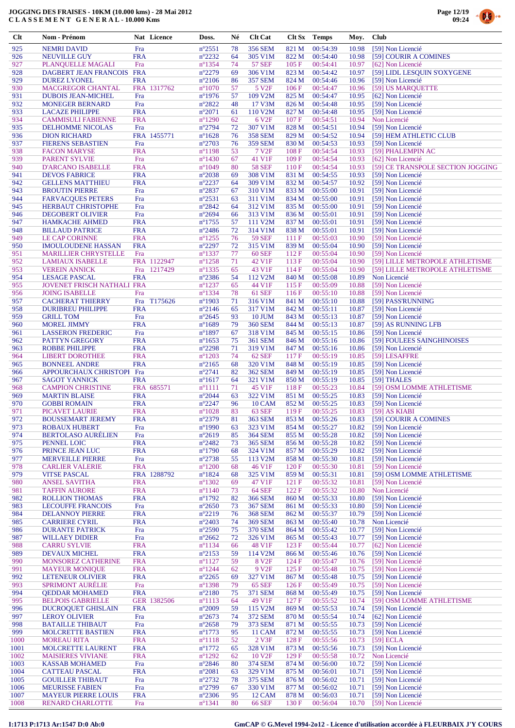



| Clt        | Nom - Prénom                                          |                          | Nat Licence | Doss.                               | Né       | <b>Clt Cat</b>               |                | Clt Sx Temps         | Moy.           | <b>Club</b>                            |
|------------|-------------------------------------------------------|--------------------------|-------------|-------------------------------------|----------|------------------------------|----------------|----------------------|----------------|----------------------------------------|
| 925        | <b>NEMRI DAVID</b>                                    | Fra                      |             | $n^{\circ}2551$                     | 78       | <b>356 SEM</b>               | 821 M          | 00:54:39             | 10.98          | [59] Non Licencié                      |
| 926        | <b>NEUVILLE GUY</b>                                   | <b>FRA</b>               |             | $n^{\circ}2232$                     | 64       | 305 V1M                      | 822 M          | 00:54:40             | 10.98          | [59] COURIR A COMINES                  |
| 927        | PLANQUELLE MAGALI                                     | Fra                      |             | $n^{\circ}$ 1354                    | 74       | <b>57 SEF</b>                | 105F           | 00:54:41             | 10.97          | [62] Non Licencié                      |
| 928        | DAGBERT JEAN FRANCOIS                                 | <b>FRA</b>               |             | $n^{\circ}2279$                     | 69       | 306 V1M                      | 823 M          | 00:54:42             | 10.97          | [59] LIDL LESQUIN S'OXYGENE            |
| 929        | <b>DUREZ LYONEL</b>                                   | <b>FRA</b>               |             | $n^{\circ}2106$                     | 86       | <b>357 SEM</b>               | 824 M          | 00:54:46             | 10.96          | [59] Non Licencié                      |
| 930        | <b>MACGREGOR CHANTAL</b>                              |                          | FRA 1317762 | $n^{\circ}1070$                     | 57       | 5 V <sub>2F</sub>            | 106F           | 00:54:47             | 10.96          | [59] US MARQUETTE                      |
| 931        | <b>DUBOIS JEAN-MICHEL</b>                             | Fra                      |             | $n^{\circ}$ 1976                    | 57       | 109 V2M                      | 825 M          | 00:54:47             | 10.95          | [62] Non Licencié                      |
| 932        | <b>MONEGER BERNARD</b>                                | Fra                      |             | $n^{\circ}2822$                     | 48       | 17 V3M                       | 826 M          | 00:54:48             | 10.95          | [59] Non Licencié                      |
| 933        | <b>LACAZE PHILIPPE</b>                                | <b>FRA</b>               |             | $n^{\circ}2071$                     | 61       | 110 V2M                      | 827 M          | 00:54:48             | 10.95          | [59] Non Licencié                      |
| 934        | <b>CAMMISULI FABIENNE</b>                             | <b>FRA</b>               |             | $n^{\circ}1290$                     | 62       | 6 V <sub>2F</sub>            | 107F           | 00:54:51             | 10.94          | Non Licencié                           |
| 935        | <b>DELHOMME NICOLAS</b>                               | Fra                      |             | $n^{\circ}2794$                     | 72       | 307 V1M                      | 828 M          | 00:54:51             | 10.94          | [59] Non Licencié                      |
| 936        | <b>DION RICHARD</b>                                   |                          | FRA 1455771 | $n^{\circ}1628$                     | 76       | <b>358 SEM</b>               | 829 M          | 00:54:52             | 10.94          | [59] HEM ATHLETIC CLUB                 |
| 937        | <b>FIERENS SEBASTIEN</b>                              | Fra                      |             | $n^{\circ}2703$                     | 76       | <b>359 SEM</b>               | 830 M          | 00:54:53             | 10.93          | [59] Non Licencié                      |
| 938        | <b>FACON MARYSE</b>                                   | <b>FRA</b>               |             | $n^{\circ}1198$                     | 53       | 7 V <sub>2</sub> F           | 108 F          | 00:54:54             | 10.93          | [59] PHALEMPIN AC                      |
| 939        | <b>PARENT SYLVIE</b>                                  | Fra                      |             | $n^{\circ}$ 1430                    | 67       | 41 V1F                       | 109F           | 00:54:54             | 10.93          | [62] Non Licencié                      |
| 940        | <b>D'ARCANO ISABELLE</b>                              | <b>FRA</b>               |             | $n^{\circ}1049$                     | 80       | <b>58 SEF</b>                | 110F           | 00:54:54             | 10.93          | [59] CE TRANSPOLE SECTION JOGGING      |
| 941        | <b>DEVOS FABRICE</b>                                  | <b>FRA</b>               |             | $n^{\circ}2038$                     | 69       | 308 V1M                      | 831 M          | 00:54:55             | 10.93          | [59] Non Licencié                      |
| 942        | <b>GELLENS MATTHIEU</b>                               | <b>FRA</b>               |             | $n^{\circ}2237$                     | 64       | 309 V1M                      | 832 M          | 00:54:57             | 10.92          | [59] Non Licencié                      |
| 943<br>944 | <b>BROUTIN PIERRE</b>                                 | Fra<br>Fra               |             | $n^{\circ}2837$<br>$n^{\circ}2531$  | 67<br>63 | 310 V1M                      | 833 M          | 00:55:00<br>00:55:00 | 10.91<br>10.91 | [59] Non Licencié                      |
| 945        | <b>FARVACQUES PETERS</b><br><b>HERBAUT CHRISTOPHE</b> | Fra                      |             | $n^{\circ}2842$                     | 64       | 311 V1M<br>312 V1M           | 834 M<br>835 M | 00:55:00             | 10.91          | [59] Non Licencié<br>[59] Non Licencié |
| 946        | <b>DEGOBERT OLIVIER</b>                               | Fra                      |             | $n^{\circ}2694$                     | 66       | 313 V1M                      | 836 M          | 00:55:01             | 10.91          | [59] Non Licencié                      |
| 947        | <b>HAMKACHE AHMED</b>                                 | <b>FRA</b>               |             | $n^{\circ}$ 1755                    | 57       | 111 V <sub>2</sub> M         | 837 M          | 00:55:01             | 10.91          | [59] Non Licencié                      |
| 948        | <b>BILLAUD PATRICE</b>                                | <b>FRA</b>               |             | $n^{\circ}2486$                     | 72       | 314 V1M                      | 838 M          | 00:55:01             | 10.91          | [59] Non Licencié                      |
| 949        | <b>LE CAP CORINNE</b>                                 | <b>FRA</b>               |             | $n^{\circ}$ 1255                    | 76       | <b>59 SEF</b>                | 111 F          | 00:55:03             | 10.90          | [59] Non Licencié                      |
| 950        | <b>IMOULOUDENE HASSAN</b>                             | <b>FRA</b>               |             | $n^{\circ}2297$                     | 72       | 315 V1M                      | 839 M          | 00:55:04             | 10.90          | [59] Non Licencié                      |
| 951        | <b>MARILLIER CHRYSTELLE</b>                           | Fra                      |             | $n^{\circ}$ 1337                    | 77       | <b>60 SEF</b>                | 112F           | 00:55:04             | 10.90          | [59] Non Licencié                      |
| 952        | <b>LAMIAUX ISABELLE</b>                               |                          | FRA 1122947 | $n^{\circ}$ 1258                    | 71       | 42 V1F                       | 113F           | 00:55:04             | 10.90          | [59] LILLE METROPOLE ATHLETISME        |
| 953        | <b>VEREIN ANNICK</b>                                  | Fra                      | 1217429     | $n^{\circ}$ 1335                    | 65       | 43 V1F                       | 114 F          | 00:55:04             | 10.90          | [59] LILLE METROPOLE ATHLETISME        |
| 954        | <b>LESAGE PASCAL</b>                                  | <b>FRA</b>               |             | $n^{\circ}2386$                     | 54       | 112 V2M                      | 840 M          | 00:55:08             | 10.89          | Non Licencié                           |
| 955        | JOVENET FRISCH NATHALI FRA                            |                          |             | $n^{\circ}$ 1237                    | 65       | 44 V1F                       | 115F           | 00:55:09             | 10.88          | [59] Non Licencié                      |
| 956        | <b>JOING ISABELLE</b>                                 | Fra                      |             | $n^{\circ}$ 1334                    | 78       | <b>61 SEF</b>                | 116F           | 00:55:10             | 10.88          | [59] Non Licencié                      |
| 957        | <b>CACHERAT THIERRY</b>                               | Fra                      | T175626     | $n^{\circ}$ 1903                    | 71       | 316 V1M                      | 841 M          | 00:55:10             | 10.88          | [59] PASS'RUNNING                      |
| 958        | <b>DURIBREU PHILIPPE</b>                              | <b>FRA</b>               |             | $n^{\circ}2146$                     | 65       | 317 V1M                      | 842 M          | 00:55:11             | 10.87          | [59] Non Licencié                      |
| 959        | <b>GRILL TOM</b>                                      | Fra                      |             | $n^{\circ}2645$                     | 93       | <b>10 JUM</b>                | 843 M          | 00:55:13             | 10.87          | [59] Non Licencié                      |
| 960        | <b>MOREL JIMMY</b>                                    | <b>FRA</b>               |             | $n^{\circ}1689$                     | 79       | <b>360 SEM</b>               | 844 M          | 00:55:13             | 10.87          | [59] AS RUNNING LFB                    |
| 961        | <b>LASSERON FREDERIC</b>                              | Fra                      |             | $n^{\circ}1897$                     | 67       | 318 V1M                      | 845 M          | 00:55:15             | 10.86          | [59] Non Licencié                      |
| 962        | <b>PATTYN GREGORY</b>                                 | <b>FRA</b>               |             | $n^{\circ}1653$                     | 75       | <b>361 SEM</b>               | 846 M          | 00:55:16             | 10.86          | [59] FOULEES SAINGHINOISES             |
| 963        | <b>ROBBE PHILIPPE</b>                                 | <b>FRA</b>               |             | $n^{\circ}2298$                     | 71       | 319 V1M                      | 847 M          | 00:55:16             | 10.86          | [59] Non Licencié                      |
| 964        | <b>LIBERT DOROTHEE</b>                                | <b>FRA</b>               |             | $n^{\circ}1203$                     | 74       | 62 SEF                       | 117F           | 00:55:19             | 10.85          | [59] LESAFFRE                          |
| 965        | <b>BONNEEL ANDRE</b>                                  | <b>FRA</b>               |             | $n^{\circ}2165$                     | 68       | 320 V1M                      | 848 M          | 00:55:19             | 10.85          | [59] Non Licencié                      |
| 966        | APPOURCHAUX CHRISTOPI Fra                             |                          |             | $n^{\circ}2741$                     | 82       | <b>362 SEM</b>               | 849 M          | 00:55:19             | 10.85          | [59] Non Licencié                      |
| 967        | <b>SAGOT YANNICK</b>                                  | <b>FRA</b>               |             | $n^{\circ}1617$                     | 64       | 321 V1M                      | 850 M          | 00:55:19             | 10.85          | [59] THALES                            |
| 968        | <b>CAMPION CHRISTINE</b>                              |                          | FRA 685571  | $n^{\circ}1111$                     | 71       | 45 V1F                       | 118F           | 00:55:23             | 10.84          | [59] OSM LOMME ATHLETISME              |
| 969<br>970 | <b>MARTIN BLAISE</b>                                  | <b>FRA</b><br><b>FRA</b> |             | $n^{\circ}2044$                     | 63<br>96 | 322 V1M                      | 851 M          | 00:55:25             | 10.83          | [59] Non Licencié                      |
| 971        | <b>GOBBI ROMAIN</b><br><b>PICAVET LAURIE</b>          | <b>FRA</b>               |             | $n^{\circ}2247$<br>$n^{\circ}1028$  | 83       | <b>10 CAM</b><br>63 SEF      | 852 M<br>119F  | 00:55:25<br>00:55:25 | 10.83<br>10.83 | [59] Non Licencié<br>[59] AS KIABI     |
| 972        | <b>BOUSSEMART JEREMY</b>                              | <b>FRA</b>               |             | $n^{\circ}2379$                     | 81       | 363 SEM                      | 853 M          | 00:55:26             |                | 10.83 [59] COURIR A COMINES            |
| 973        | <b>ROBAUX HUBERT</b>                                  | Fra                      |             | $n^{\circ}$ 1990                    | 63       | 323 V1M                      | 854 M          | 00:55:27             | 10.82          | [59] Non Licencié                      |
| 974        | <b>BERTOLASO AURÉLIEN</b>                             | Fra                      |             | $n^{\circ}2619$                     | 85       | 364 SEM                      | 855 M          | 00:55:28             | 10.82          | [59] Non Licencié                      |
| 975        | PENNEL LOIC                                           | <b>FRA</b>               |             | $n^{\circ}2482$                     | 73       | <b>365 SEM</b>               | 856 M          | 00:55:28             | 10.82          | [59] Non Licencié                      |
| 976        | PRINCE JEAN LUC                                       | <b>FRA</b>               |             | $n^{\circ}1790$                     | 68       | 324 V1M                      | 857 M          | 00:55:29             | 10.82          | [59] Non Licencié                      |
| 977        | <b>MERVEILLE PIERRE</b>                               | Fra                      |             | $n^{\circ}2738$                     | 55       | 113 V2M                      | 858 M          | 00:55:30             | 10.81          | [59] Non Licencié                      |
| 978        | <b>CARLIER VALERIE</b>                                | <b>FRA</b>               |             | $n^{\circ}1200$                     | 68       | 46 V1F                       | 120F           | 00:55:30             | 10.81          | [59] Non Licencié                      |
| 979        | <b>VITSE PASCAL</b>                                   |                          | FRA 1288792 | $n^{\circ}1824$                     | 68       | 325 V1M                      | 859 M          | 00:55:31             | 10.81          | [59] OSM LOMME ATHLETISME              |
| 980        | <b>ANSEL SAVITHA</b>                                  | <b>FRA</b>               |             | $n^{\circ}1302$                     | 69       | 47 V1F                       | 121 F          | 00:55:32             | 10.81          | [59] Non Licencié                      |
| 981        | <b>TAFFIN AURORE</b>                                  | <b>FRA</b>               |             | $n^{\circ}1140$                     | 73       | <b>64 SEF</b>                | 122F           | 00:55:32             | 10.80          | Non Licencié                           |
| 982        | <b>ROLLION THOMAS</b>                                 | <b>FRA</b>               |             | $n^{\circ}1792$                     | 82       | <b>366 SEM</b>               | 860 M          | 00:55:33             | 10.80          | [59] Non Licencié                      |
| 983        | <b>LECOUFFE FRANCOIS</b>                              | Fra                      |             | $n^{\circ}2650$                     | 73       | <b>367 SEM</b>               | 861 M          | 00:55:33             | 10.80          | [59] Non Licencié                      |
| 984        | <b>DELANNOY PIERRE</b>                                | <b>FRA</b>               |             | $n^{\circ}2219$                     | 76       | <b>368 SEM</b>               | 862 M          | 00:55:37             | 10.79          | [59] Non Licencié                      |
| 985        | <b>CARRIERE CYRIL</b>                                 | <b>FRA</b>               |             | $n^{\circ}2403$                     | 74       | <b>369 SEM</b>               | 863 M          | 00:55:40             | 10.78          | Non Licencié                           |
| 986        | <b>DURANTE PATRICK</b>                                | Fra                      |             | $n^{\circ}2590$                     | 75       | 370 SEM                      | 864 M          | 00:55:42             | 10.77          | [59] Non Licencié                      |
| 987        | <b>WILLAEY DIDIER</b>                                 | Fra                      |             | $n^{\circ}2662$                     | 72       | 326 V1M                      | 865 M          | 00:55:43             | 10.77          | [59] Non Licencié                      |
| 988        | <b>CARRU SYLVIE</b>                                   | <b>FRA</b>               |             | $n^{\circ}$ 1134                    | 66       | 48 V1F                       | 123 F          | 00:55:44             | 10.77          | [62] Non Licencié                      |
| 989        | <b>DEVAUX MICHEL</b>                                  | <b>FRA</b>               |             | $n^{\circ}2153$                     | 59       | 114 V <sub>2</sub> M         | 866 M          | 00:55:46             | 10.76          | [59] Non Licencié                      |
| 990        | MONSOREZ CATHERINE                                    | <b>FRA</b>               |             | $n^{\circ}1127$                     | 59       | 8 V <sub>2F</sub>            | 124F           | 00:55:47             | 10.76          | [59] Non Licencié                      |
| 991        | <b>MAYEUR MONIQUE</b>                                 | <b>FRA</b>               |             | $n^{\circ}$ 1244                    | 62       | 9 V <sub>2F</sub><br>327 V1M | 125 F          | 00:55:48<br>00:55:48 | 10.75          | [59] Non Licencié                      |
| 992<br>993 | <b>LETENEUR OLIVIER</b>                               | <b>FRA</b>               |             | $n^{\circ}2265$                     | 69<br>79 | <b>65 SEF</b>                | 867 M          | 00:55:49             | 10.75          | [59] Non Licencié                      |
| 994        | <b>SPRIMONT AURELIE</b><br><b>QEDDAR MOHAMED</b>      | Fra<br><b>FRA</b>        |             | $n^{\circ}$ 1398<br>$n^{\circ}2180$ | 75       | 371 SEM                      | 126F<br>868 M  | 00:55:49             | 10.75<br>10.75 | [59] Non Licencié<br>[59] Non Licencié |
| 995        | <b>BELPOIS GABRIELLE</b>                              |                          | GER 1382506 | $n^{\circ}1113$                     | 64       | 49 V1F                       | 127 F          | 00:55:52             | 10.74          | [59] OSM LOMME ATHLETISME              |
| 996        | <b>DUCROQUET GHISLAIN</b>                             | <b>FRA</b>               |             | $n^{\circ}2009$                     | 59       | 115 V2M                      | 869 M          | 00:55:53             | 10.74          | [59] Non Licencié                      |
| 997        | <b>LEROY OLIVIER</b>                                  | Fra                      |             | $n^{\circ}2673$                     | 74       | <b>372 SEM</b>               | 870 M          | 00:55:54             | 10.74          | [62] Non Licencié                      |
| 998        | <b>BATAILLE THIBAUT</b>                               | Fra                      |             | $n^{\circ}2658$                     | 79       | 373 SEM                      | 871 M          | 00:55:55             | 10.73          | [59] Non Licencié                      |
| 999        | <b>MOLCRETTE BASTIEN</b>                              | <b>FRA</b>               |             | $n^{\circ}1773$                     | 95       | 11 CAM                       | 872 M          | 00:55:55             | 10.73          | [59] Non Licencié                      |
| 1000       | <b>MOREAU RITA</b>                                    | <b>FRA</b>               |             | $n^{\circ}1118$                     | 52       | 2 V3F                        | 128 F          | 00:55:56             | 10.73          | $[59]$ ECLA                            |
| 1001       | MOLCRETTE LAURENT                                     | <b>FRA</b>               |             | $n^{\circ}1772$                     | 65       | 328 V1M                      | 873 M          | 00:55:56             | 10.73          | [59] Non Licencié                      |
| 1002       | <b>MAISIERES VIVIANE</b>                              | <b>FRA</b>               |             | $n^{\circ}1292$                     | 62       | 10 V <sub>2F</sub>           | 129F           | 00:55:58             | 10.72          | Non Licencié                           |
| 1003       | <b>KASSAB MOHAMED</b>                                 | Fra                      |             | $n^{\circ}2846$                     | 80       | <b>374 SEM</b>               | 874 M          | 00:56:00             | 10.72          | [59] Non Licencié                      |
| 1004       | <b>CATTEAU PASCAL</b>                                 | <b>FRA</b>               |             | $n^{\circ}2081$                     | 63       | 329 V1M                      | 875 M          | 00:56:01             | 10.71          | [59] Non Licencié                      |
| 1005       | <b>GOUILLER THIBAUT</b>                               | Fra                      |             | $n^{\circ}2732$                     | 78       | 375 SEM                      | 876 M          | 00:56:02             | 10.71          | [59] Non Licencié                      |
| 1006       | <b>MEURISSE FABIEN</b>                                | Fra                      |             | $n^{\circ}2799$                     | 67       | 330 V1M                      | 877 M          | 00:56:02             | 10.71          | [59] Non Licencié                      |
| 1007       | <b>MAYEUR PIERRE LOUIS</b>                            | <b>FRA</b>               |             | $n^{\circ}2306$                     | 95       | 12 CAM                       | 878 M          | 00:56:03             | 10.71          | [59] Non Licencié                      |
| 1008       | <b>RENARD CHARLOTTE</b>                               | Fra                      |             | $n^{\circ}1341$                     | 80       | <b>66 SEF</b>                | 130 F          | 00:56:04             | 10.70          | [59] Non Licencié                      |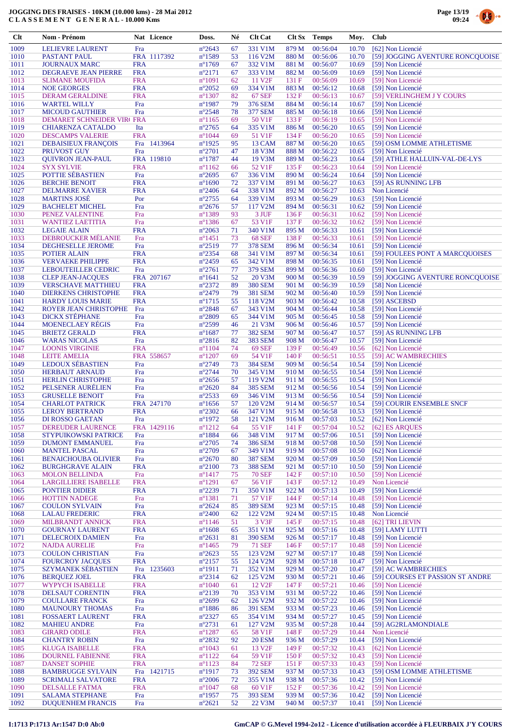

| $Cl$         | <b>Nom - Prénom</b>                                    |                          | Nat Licence | Doss.                               | Né       | <b>Clt Cat</b>                         | Clt Sx                    | <b>Temps</b>         | Moy.           | <b>Club</b>                                    |
|--------------|--------------------------------------------------------|--------------------------|-------------|-------------------------------------|----------|----------------------------------------|---------------------------|----------------------|----------------|------------------------------------------------|
| 1009         | <b>LELIEVRE LAURENT</b>                                | Fra                      |             | $n^{\circ}2643$                     | 67       | 331 V1M                                | 879 M                     | 00:56:04             | 10.70          | [62] Non Licencié                              |
| 1010         | PASTANT PAUL                                           |                          | FRA 1117392 | $n^{\circ}$ 1589                    | 53       | 116 V <sub>2</sub> M                   | 880 M                     | 00:56:06             | 10.70          | [59] JOGGING AVENTURE RONCQUOISE               |
| 1011         | <b>JOURNAUX MARC</b>                                   | <b>FRA</b>               |             | $n^{\circ}1769$                     | 67       | 332 V1M                                | 881 M                     | 00:56:07             | 10.69          | [59] Non Licencié                              |
| 1012         | <b>DEGRAEVE JEAN PIERRE</b>                            | <b>FRA</b>               |             | $n^{\circ}2171$                     | 67       | 333 V1M<br>11 V <sub>2F</sub>          | 882 M                     | 00:56:09             | 10.69          | [59] Non Licencié                              |
| 1013<br>1014 | <b>SLIMANE MOUFIDA</b><br><b>NOE GEORGES</b>           | <b>FRA</b><br><b>FRA</b> |             | $n^{\circ}1091$<br>$n^{\circ}2052$  | 62<br>69 | 334 V1M                                | 131 F<br>883 M            | 00:56:09<br>00:56:12 | 10.69<br>10.68 | [59] Non Licencié<br>[59] Non Licencié         |
| 1015         | <b>DERAM GERALDINE</b>                                 | <b>FRA</b>               |             | $n^{\circ}$ 1307                    | 82       | <b>67 SEF</b>                          | 132F                      | 00:56:13             | 10.67          | [59] VERLINGHEM J Y COURS                      |
| 1016         | <b>WARTEL WILLY</b>                                    | Fra                      |             | $n^{\circ}$ 1987                    | 79       | 376 SEM                                | 884 M                     | 00:56:14             | 10.67          | [59] Non Licencié                              |
| 1017         | <b>MICOUD GAUTHIER</b>                                 | Fra                      |             | $n^{\circ}2548$                     | 78       | <b>377 SEM</b>                         | 885 M                     | 00:56:18             | 10.66          | [59] Non Licencié                              |
| 1018         | <b>DEMARET SCHNEIDER VIRI FRA</b>                      |                          |             | $n^{\circ}1165$                     | 69       | 50 V1F                                 | 133 F                     | 00:56:19             | 10.65          | [59] Non Licencié                              |
| 1019<br>1020 | <b>CHIARENZA CATALDO</b>                               | Ita<br><b>FRA</b>        |             | $n^{\circ}2765$                     | 64<br>69 | 335 V1M                                | 886 M                     | 00:56:20             | 10.65<br>10.65 | [59] Non Licencié<br>[59] Non Licencié         |
| 1021         | <b>DESCAMPS VALERIE</b><br><b>DEBAISIEUX FRANÇOIS</b>  | Fra                      | 1413964     | $n^{\circ}1044$<br>$n^{\circ}$ 1925 | 95       | 51 V1F<br>13 CAM                       | 134 F<br>887 M            | 00:56:20<br>00:56:20 | 10.65          | [59] OSM LOMME ATHLETISME                      |
| 1022         | PRUVOST GUY                                            | Fra                      |             | $n^{\circ}2701$                     | 47       | 18 V3M                                 | 888 M                     | 00:56:22             | 10.65          | [59] Non Licencié                              |
| 1023         | <b>QUIVRON JEAN-PAUL</b>                               |                          | FRA 119810  | $n^{\circ}$ 1787                    | 44       | 19 V3M                                 | 889 M                     | 00:56:23             | 10.64          | [59] ATHLE HALLUIN-VAL-DE-LYS                  |
| 1024         | <b>SYX SYLVIE</b>                                      | <b>FRA</b>               |             | $n^{\circ}1162$                     | 66       | 52 V1F                                 | 135 F                     | 00:56:23             | 10.64          | [59] Non Licencié                              |
| 1025         | POTTIE SÉBASTIEN                                       | Fra                      |             | $n^{\circ}2695$                     | 67       | 336 V1M                                | 890 M                     | 00:56:24             | 10.64          | [59] Non Licencié                              |
| 1026<br>1027 | <b>BERCHE BENOIT</b><br><b>DELMARRE XAVIER</b>         | <b>FRA</b><br><b>FRA</b> |             | $n^{\circ}1690$<br>$n^{\circ}2406$  | 72<br>64 | 337 V1M<br>338 V1M                     | 891 M<br>892 M            | 00:56:27<br>00:56:27 | 10.63<br>10.63 | [59] AS RUNNING LFB<br>Non Licencié            |
| 1028         | <b>MARTINS JOSÉ</b>                                    | Por                      |             | $n^{\circ}2755$                     | 64       | 339 V1M                                | 893 M                     | 00:56:29             | 10.63          | [59] Non Licencié                              |
| 1029         | <b>BACHELET MICHEL</b>                                 | Fra                      |             | $n^{\circ}2676$                     | 57       | 117 V2M                                | 894 M                     | 00:56:31             | 10.62          | [59] Non Licencié                              |
| 1030         | PENEZ VALENTINE                                        | Fra                      |             | $n^{\circ}$ 1389                    | 93       | 3 JUF                                  | 136F                      | 00:56:31             | 10.62          | [59] Non Licencié                              |
| 1031         | <b>WANTIEZ LAETITIA</b>                                | Fra                      |             | $n^{\circ}$ 1386                    | 67       | 53 V1F                                 | 137 F                     | 00:56:32             | 10.62          | [59] Non Licencié                              |
| 1032         | <b>LEGAIE ALAIN</b>                                    | <b>FRA</b>               |             | $n^{\circ}2063$                     | 71       | 340 V1M                                | 895 M                     | 00:56:33             | 10.61          | [59] Non Licencié                              |
| 1033<br>1034 | DEBROUCKER MELANIE<br><b>DEGHESELLE JEROME</b>         | Fra<br>Fra               |             | $n^{\circ}$ 1451<br>$n^{\circ}2519$ | 73<br>77 | <b>68 SEF</b><br><b>378 SEM</b>        | 138F<br>896 M             | 00:56:33<br>00:56:34 | 10.61<br>10.61 | [59] Non Licencié<br>[59] Non Licencié         |
| 1035         | <b>POTIER ALAIN</b>                                    | <b>FRA</b>               |             | $n^{\circ}2354$                     | 68       | 341 V1M                                | 897 M                     | 00:56:34             | 10.61          | [59] FOULEES PONT A MARCQUOISES                |
| 1036         | <b>VERVAEKE PHILIPPE</b>                               | <b>FRA</b>               |             | $n^{\circ}2459$                     | 65       | 342 V1M                                | 898 M                     | 00:56:35             | 10.61          | [59] Non Licencié                              |
| 1037         | <b>LEBOUTEILLER CEDRIC</b>                             | Fra                      |             | $n^{\circ}2761$                     | 77       | <b>379 SEM</b>                         | 899 M                     | 00:56:36             | 10.60          | [59] Non Licencié                              |
| 1038         | <b>CLEP JEAN-JACOUES</b>                               |                          | FRA 207167  | $n^{\circ}1641$                     | 52       | 20 V3M                                 | 900 M                     | 00:56:39             | 10.59          | [59] JOGGING AVENTURE RONCOUOISE               |
| 1039         | <b>VERSCHAVE MATTHIEU</b>                              | <b>FRA</b>               |             | $n^{\circ}2372$                     | 89       | <b>380 SEM</b>                         | 901 M                     | 00:56:39             | 10.59          | [58] Non Licencié                              |
| 1040<br>1041 | <b>DIERKENS CHRISTOPHE</b><br><b>HARDY LOUIS MARIE</b> | <b>FRA</b><br><b>FRA</b> |             | $n^{\circ}2479$<br>$n^{\circ}1715$  | 79<br>55 | <b>381 SEM</b><br>118 V <sub>2</sub> M | 902 M<br>903 M            | 00:56:40<br>00:56:42 | 10.59<br>10.58 | [59] Non Licencié<br>[59] ASCEBSD              |
| 1042         | ROYER JEAN CHRISTOPHE                                  | Fra                      |             | $n^{\circ}2848$                     | 67       | 343 V1M                                | 904 M                     | 00:56:44             | 10.58          | [59] Non Licencié                              |
| 1043         | <b>DICKX STÉPHANE</b>                                  | Fra                      |             | $n^{\circ}2809$                     | 65       | 344 V1M                                | 905 M                     | 00:56:45             | 10.58          | [59] Non Licencié                              |
| 1044         | <b>MOENECLAEY REGIS</b>                                | Fra                      |             | $n^{\circ}2599$                     | 46       | 21 V3M                                 | 906 M                     | 00:56:46             | 10.57          | [59] Non Licencié                              |
| 1045         | <b>BRIETZ GERALD</b>                                   | <b>FRA</b>               |             | $n^{\circ}1687$                     | 77       | <b>382 SEM</b>                         | 907 M                     | 00:56:47             | 10.57          | [59] AS RUNNING LFB                            |
| 1046<br>1047 | <b>WARAS NICOLAS</b><br><b>LOONIS VIRGINIE</b>         | Fra<br><b>FRA</b>        |             | $n^{\circ}2816$<br>$n^{\circ}1104$  | 82<br>74 | <b>383 SEM</b><br><b>69 SEF</b>        | 908 M<br>139F             | 00:56:47<br>00:56:49 | 10.57<br>10.56 | [59] Non Licencié<br>[62] Non Licencié         |
| 1048         | <b>LEITE AMELIA</b>                                    |                          | FRA 558657  | $n^{\circ}1207$                     | 69       | 54 V1F                                 | 140 F                     | 00:56:51             | 10.55          | [59] AC WAMBRECHIES                            |
| 1049         | <b>LEDOUX SÉBASTIEN</b>                                | Fra                      |             | $n^{\circ}2749$                     | 73       | <b>384 SEM</b>                         | 909 M                     | 00:56:54             | 10.54          | [59] Non Licencié                              |
| 1050         | <b>HERBAUT ARNAUD</b>                                  | Fra                      |             | $n^{\circ}2744$                     | 70       | 345 V1M                                | 910 M                     | 00:56:55             | 10.54          | [59] Non Licencié                              |
| 1051         | <b>HERLIN CHRISTOPHE</b>                               | Fra                      |             | $n^{\circ}2656$                     | 57       | 119 V2M                                | 911 M                     | 00:56:55             | 10.54          | [59] Non Licencié                              |
| 1052<br>1053 | PELSENER AURÉLIEN<br><b>GRUSELLE BENOIT</b>            | Fra<br>Fra               |             | $n^{\circ}2620$                     | 84<br>69 | <b>385 SEM</b><br>346 V1M              | 912 M<br>913 M            | 00:56:56             | 10.54<br>10.54 | [59] Non Licencié                              |
| 1054         | <b>CHARLOT PATRICK</b>                                 |                          | FRA 247170  | $n^{\circ}2533$<br>$n^{\circ}1656$  | 57       | 120 V <sub>2</sub> M                   | 914 M                     | 00:56:56<br>00:56:57 | 10.54          | [59] Non Licencié<br>[59] COURIR ENSEMBLE SNCF |
| 1055         | <b>LEROY BERTRAND</b>                                  | <b>FRA</b>               |             | $n^{\circ}2302$                     | 66       | 347 V1M                                | 915 M                     | 00:56:58             | 10.53          | [59] Non Licencié                              |
| 1056         | DI ROSSO GAETAN                                        | Fra                      |             | $n^{\circ}1972$                     | 58       | 121 V2M                                | 916 M                     | 00:57:03             | 10.52          | [62] Non Licencié                              |
| 1057         | <b>DEREUDER LAURENCE</b>                               |                          | FRA 1429116 | $n^{\circ}1212$                     | 64       | 55 V1F                                 | 141 F                     | 00:57:04             | 10.52          | [62] ES ARQUES                                 |
| 1058<br>1059 | STYPUIKOWSKI PATRICE<br><b>DUMONT EMMANUEL</b>         | Fra                      |             | $n^{\circ}1884$<br>$n^{\circ}2705$  | 66<br>74 | 348 V1M<br><b>386 SEM</b>              | 917 M<br>918 <sub>M</sub> | 00:57:06<br>00:57:08 | 10.51<br>10.50 | [59] Non Licencié<br>[59] Non Licencié         |
| 1060         | <b>MANTEL PASCAL</b>                                   | Fra<br>Fra               |             | $n^{\circ}2709$                     | 67       | 349 V1M                                | 919 M                     | 00:57:08             | 10.50          | [62] Non Licencié                              |
| 1061         | <b>BENAICHOUBA OLIVIER</b>                             | Fra                      |             | $n^{\circ}2670$                     | 80       | <b>387 SEM</b>                         | 920 M                     | 00:57:09             | 10.50          | [59] Non Licencié                              |
| 1062         | <b>BURGHGRAVE ALAIN</b>                                | <b>FRA</b>               |             | $n^{\circ}2100$                     | 73       | <b>388 SEM</b>                         | 921 M                     | 00:57:10             | 10.50          | [59] Non Licencié                              |
| 1063         | <b>MOLON BELLINDA</b>                                  | Fra                      |             | $n^{\circ}$ 1417                    | 75       | <b>70 SEF</b>                          | 142 F                     | 00:57:10             | 10.50          | [59] Non Licencié                              |
| 1064         | <b>LARGILLIERE ISABELLE</b>                            | <b>FRA</b>               |             | $n^{\circ}1291$                     | 67       | 56 V1F                                 | 143 F                     | 00:57:12             | 10.49          | Non Licencié<br>[59] Non Licencié              |
| 1065<br>1066 | PONTIER DIDIER<br><b>HOTTIN NADEGE</b>                 | <b>FRA</b><br>Fra        |             | $n^{\circ}2239$<br>$n^{\circ}$ 1381 | 71<br>71 | 350 V1M<br>57 V1F                      | 922 M<br>144 F            | 00:57:13<br>00:57:14 | 10.49<br>10.48 | [59] Non Licencié                              |
| 1067         | <b>COULON SYLVAIN</b>                                  | Fra                      |             | $n^{\circ}2624$                     | 85       | <b>389 SEM</b>                         | 923 M                     | 00:57:15             | 10.48          | [59] Non Licencié                              |
| 1068         | <b>LALAU FREDERIC</b>                                  | <b>FRA</b>               |             | $n^{\circ}2400$                     | 62       | 122 V <sub>2</sub> M                   | 924 M                     | 00:57:15             | 10.48          | Non Licencié                                   |
| 1069         | MILBRANDT ANNICK                                       | <b>FRA</b>               |             | $n^{\circ}$ 1146                    | 51       | 3 V3F                                  | 145 F                     | 00:57:15             | 10.48          | [62] TRI LIEVIN                                |
| 1070         | <b>GOURNAY LAURENT</b>                                 | <b>FRA</b>               |             | $n^{\circ}1608$                     | 65       | 351 V1M                                | 925 M                     | 00:57:16             | 10.48          | [59] LAMY LUTTI                                |
| 1071<br>1072 | DELECROIX DAMIEN<br><b>NAJDA AURELIE</b>               | Fra<br>Fra               |             | $n^{\circ}2631$<br>$n^{\circ}$ 1465 | 81<br>79 | <b>390 SEM</b><br><b>71 SEF</b>        | 926 M<br>146 F            | 00:57:17<br>00:57:17 | 10.48<br>10.48 | [59] Non Licencié<br>[59] Non Licencié         |
| 1073         | <b>COULON CHRISTIAN</b>                                | Fra                      |             | $n^{\circ}2623$                     | 55       | 123 V2M                                | 927 M                     | 00:57:17             | 10.48          | [59] Non Licencié                              |
| 1074         | <b>FOURCROY JACQUES</b>                                | <b>FRA</b>               |             | $n^{\circ}2157$                     | 55       | 124 V <sub>2</sub> M                   | 928 M                     | 00:57:18             | 10.47          | [59] Non Licencié                              |
| 1075         | <b>SZYMANEK SÉBASTIEN</b>                              | Fra                      | 1235603     | $n^{\circ}1911$                     | 71       | 352 V1M                                | 929 M                     | 00:57:20             | 10.47          | [59] AC WAMBRECHIES                            |
| 1076         | <b>BERQUEZ JOEL</b>                                    | <b>FRA</b>               |             | $n^{\circ}2314$                     | 62       | 125 V2M                                | 930 M                     | 00:57:21             | 10.46          | [59] COURSES ET PASSION ST ANDRE               |
| 1077<br>1078 | WYPYCH ISABELLE<br><b>DELSAUT CORENTIN</b>             | <b>FRA</b><br><b>FRA</b> |             | $n^{\circ}1040$<br>$n^{\circ}2139$  | 61<br>70 | 12 V <sub>2F</sub><br>353 V1M          | 147 F<br>931 M            | 00:57:21<br>00:57:22 | 10.46<br>10.46 | [59] Non Licencié<br>[59] Non Licencié         |
| 1079         | <b>COULLARE FRANCK</b>                                 | Fra                      |             | $n^{\circ}2699$                     | 62       | 126 V2M                                | 932 M                     | 00:57:22             | 10.46          | [59] Non Licencié                              |
| 1080         | <b>MAUNOURY THOMAS</b>                                 | Fra                      |             | $n^{\circ}$ 1886                    | 86       | <b>391 SEM</b>                         | 933 M                     | 00:57:23             | 10.46          | [59] Non Licencié                              |
| 1081         | <b>FOSSAERT LAURENT</b>                                | <b>FRA</b>               |             | $n^{\circ}2327$                     | 65       | 354 V1M                                | 934 M                     | 00:57:27             | 10.45          | [59] Non Licencié                              |
| 1082         | <b>MAHIEU ANDRE</b>                                    | Fra                      |             | $n^{\circ}2731$                     | 61       | 127 V2M                                | 935 M                     | 00:57:28             | 10.44          | [59] AG2RLAMONDIALE                            |
| 1083         | <b>GIRARD ODILE</b>                                    | <b>FRA</b>               |             | $n^{\circ}$ 1287                    | 65       | 58 V1F                                 | 148 F                     | 00:57:29             | 10.44          | Non Licencié                                   |
| 1084<br>1085 | <b>CHANTRY ROBIN</b><br><b>KLUGA ISABELLE</b>          | Fra<br><b>FRA</b>        |             | $n^{\circ}2832$<br>$n^{\circ}1043$  | 92<br>61 | <b>20 ESM</b><br>13 V <sub>2F</sub>    | 936 M<br>149 F            | 00:57:29<br>00:57:32 | 10.44<br>10.43 | [59] Non Licencié<br>[62] Non Licencié         |
| 1086         | <b>DOURNEL FABIENNE</b>                                | <b>FRA</b>               |             | $n^{\circ}1122$                     | 64       | 59 V1F                                 | 150F                      | 00:57:32             | 10.43          | [59] Non Licencié                              |
| 1087         | <b>DANSET SOPHIE</b>                                   | <b>FRA</b>               |             | $n^{\circ}1123$                     | 84       | <b>72 SEF</b>                          | 151F                      | 00:57:33             | 10.43          | [59] Non Licencié                              |
| 1088         | <b>BAMBRUGGE SYLVAIN</b>                               | Fra                      | 1421715     | $n^{\circ}1917$                     | 73       | <b>392 SEM</b>                         | 937 M                     | 00:57:33             | 10.43          | [59] OSM LOMME ATHLETISME                      |
| 1089         | <b>SCRIMALI SALVATORE</b>                              | <b>FRA</b>               |             | $n^{\circ}2006$                     | 72       | 355 V1M                                | 938 M                     | 00:57:36             | 10.42          | [59] Non Licencié                              |
| 1090<br>1091 | DELSALLE FATMA<br><b>SALAMA STEPHANE</b>               | <b>FRA</b><br>Fra        |             | $n^{\circ}1047$<br>$n^{\circ}$ 1957 | 68<br>75 | 60 V1F<br>393 SEM                      | 152F<br>939 M             | 00:57:36<br>00:57:36 | 10.42<br>10.42 | [59] Non Licencié<br>[59] Non Licencié         |
| 1092         | <b>DUQUENHEM FRANCIS</b>                               | Fra                      |             | $n^{\circ}2621$                     | 52       | 22 V3M                                 | 940 M                     | 00:57:37             | 10.41          | [59] Non Licencié                              |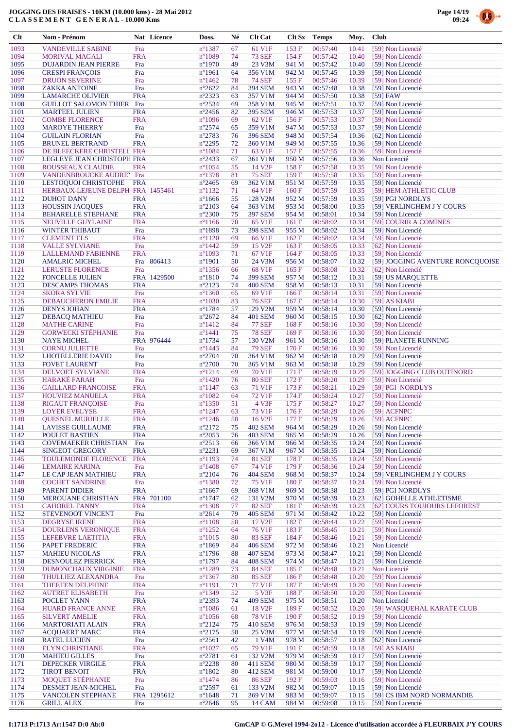

| $Cl$         | Nom - Prénom                                           |                          | Nat Licence | Doss.                               | Né       | <b>Clt Cat</b>                  | Clt Sx         | <b>Temps</b>         | Moy.           | <b>Club</b>                                           |
|--------------|--------------------------------------------------------|--------------------------|-------------|-------------------------------------|----------|---------------------------------|----------------|----------------------|----------------|-------------------------------------------------------|
| 1093         | <b>VANDEVILLE SABINE</b>                               | Fra                      |             | $n^{\circ}$ 1387                    | 67       | 61 V1F                          | 153F           | 00:57:40             | 10.41          | [59] Non Licencié                                     |
| 1094         | <b>MORIVAL MAGALI</b>                                  | <b>FRA</b>               |             | $n^{\circ}1089$                     | 74       | <b>73 SEF</b>                   | 154 F          | 00:57:42             | 10.40          | [59] Non Licencié                                     |
| 1095         | <b>DUJARDIN JEAN PIERRE</b>                            | Fra                      |             | $n^{\circ}1970$                     | 49       | 23 V3M                          | 941 M          | 00:57:42             | 10.40          | [59] Non Licencié                                     |
| 1096<br>1097 | <b>CRESPI FRANCOIS</b><br><b>DRUON SEVERINE</b>        | Fra                      |             | $n^{\circ}1961$                     | 64<br>78 | 356 V1M<br><b>74 SEF</b>        | 942 M<br>155F  | 00:57:45<br>00:57:46 | 10.39          | [59] Non Licencié                                     |
| 1098         | <b>ZAKKA ANTOINE</b>                                   | Fra<br>Fra               |             | $n^{\circ}$ 1462<br>$n^{\circ}2622$ | 84       | <b>394 SEM</b>                  | 943 M          | 00:57:48             | 10.39<br>10.38 | [59] Non Licencié<br>[59] Non Licencié                |
| 1099         | <b>LAMARCHE OLIVIER</b>                                | <b>FRA</b>               |             | $n^{\circ}2323$                     | 63       | 357 V1M                         | 944 M          | 00:57:50             | 10.38          | $[59]$ FAW                                            |
| 1100         | <b>GUILLOT SALOMON THIER Fra</b>                       |                          |             | $n^{\circ}2534$                     | 69       | 358 V1M                         | 945 M          | 00:57:51             | 10.37          | [59] Non Licencié                                     |
| 1101         | <b>MARTEEL JULIEN</b>                                  | <b>FRA</b>               |             | $n^{\circ}2456$                     | 82       | <b>395 SEM</b>                  | 946 M          | 00:57:53             | 10.37          | [59] Non Licencié                                     |
| 1102         | <b>COMBE FLORENCE</b>                                  | <b>FRA</b>               |             | $n^{\circ}1096$                     | 69       | 62 V1F                          | 156F           | 00:57:53             | 10.37          | [59] Non Licencié                                     |
| 1103         | <b>MAROYE THIERRY</b>                                  | Fra                      |             | $n^{\circ}2574$                     | 65       | 359 V1M                         | 947 M          | 00:57:53             | 10.37          | [59] Non Licencié                                     |
| 1104<br>1105 | <b>GUILAIN FLORIAN</b><br><b>BRUNEL BERTRAND</b>       | Fra<br><b>FRA</b>        |             | $n^{\circ}2783$<br>$n^{\circ}2295$  | 76<br>72 | <b>396 SEM</b><br>360 V1M       | 948 M<br>949 M | 00:57:54<br>00:57:55 | 10.36<br>10.36 | [62] Non Licencié<br>[59] Non Licencié                |
| 1106         | DE BLEECKERE CHRISTELL FRA                             |                          |             | $n^{\circ}1084$                     | 71       | 63 V1F                          | 157 F          | 00:57:55             | 10.36          | [59] Non Licencié                                     |
| 1107         | LEGLEYE JEAN CHRISTOPE FRA                             |                          |             | $n^{\circ}2433$                     | 67       | 361 V1M                         | 950 M          | 00:57:56             | 10.36          | Non Licencié                                          |
| 1108         | ROUSSEAUX CLAUDIE                                      | <b>FRA</b>               |             | $n^{\circ}1054$                     | 55       | 14 V <sub>2F</sub>              | 158F           | 00:57:58             | 10.35          | [59] Non Licencié                                     |
| 1109         | VANDENBROUCKE AUDRE' Fra                               |                          |             | $n^{\circ}$ 1378                    | 81       | <b>75 SEF</b>                   | 159F           | 00:57:58             | 10.35          | [59] Non Licencié                                     |
| 1110         | LESTOQUOI CHRISTOPHE                                   | <b>FRA</b>               |             | $n^{\circ}2465$                     | 69       | 362 V1M                         | 951 M          | 00:57:59             | 10.35          | [59] Non Licencié                                     |
| 1111<br>1112 | HERBAUX-LEJEUNE DELPH FRA 1455461<br><b>DUHOT DANY</b> |                          |             | $n^{\circ}1132$                     | 71       | 64 V1F<br>128 V <sub>2</sub> M  | 160F<br>952 M  | 00:57:59             | 10.35          | [59] HEM ATHLETIC CLUB                                |
| 1113         | <b>HOUSSIN JACOUES</b>                                 | <b>FRA</b><br><b>FRA</b> |             | $n^{\circ}1666$<br>$n^{\circ}2103$  | 55<br>64 | 363 V1M                         | 953 M          | 00:57:59<br>00:58:00 | 10.35<br>10.35 | [59] PGI NORDLYS<br>[59] VERLINGHEM J Y COURS         |
| 1114         | <b>BEHARELLE STEPHANE</b>                              | <b>FRA</b>               |             | $n^{\circ}2300$                     | 75       | <b>397 SEM</b>                  | 954 M          | 00:58:01             | 10.34          | [59] Non Licencié                                     |
| 1115         | NEUVILLE GUYLAINE                                      | <b>FRA</b>               |             | $n^{\circ}1166$                     | 70       | 65 V1F                          | 161 F          | 00:58:02             | 10.34          | [59] COURIR A COMINES                                 |
| 1116         | <b>WINTER THIBAUT</b>                                  | Fra                      |             | $n^{\circ}1898$                     | 73       | <b>398 SEM</b>                  | 955 M          | 00:58:02             | 10.34          | [59] Non Licencié                                     |
| 1117         | <b>CLEMENT ELS</b>                                     | <b>FRA</b>               |             | $n^{\circ}1120$                     | 69       | 66 V1F                          | 162F           | 00:58:02             | 10.34          | [59] Non Licencié                                     |
| 1118         | <b>VALLE SYLVIANE</b>                                  | Fra                      |             | $n^{\circ}$ 1442                    | 59       | 15 V <sub>2F</sub>              | 163F           | 00:58:05             | 10.33          | [62] Non Licencié                                     |
| 1119         | <b>LALLEMAND FABIENNE</b>                              | <b>FRA</b>               |             | $n^{\circ}1093$                     | 71       | 67 V1F                          | 164 F          | 00:58:05             | 10.33          | [59] Non Licencié                                     |
| 1120<br>1121 | <b>AMALRIC MICHEL</b><br>LERUSTE FLORENCE              | Fra                      | Fra 806413  | $n^{\circ}1901$<br>$n^{\circ}$ 1356 | 50<br>66 | 24 V3M<br>68 V1F                | 956 M<br>165F  | 00:58:07<br>00:58:08 | 10.32<br>10.32 | [59] JOGGING AVENTURE RONCQUOISE<br>[62] Non Licencié |
| 1122         | <b>FONCELLE JULIEN</b>                                 |                          | FRA 1429500 | $n^{\circ}1810$                     | 74       | <b>399 SEM</b>                  | 957 M          | 00:58:12             | 10.31          | [59] US MARQUETTE                                     |
| 1123         | <b>DESCAMPS THOMAS</b>                                 | <b>FRA</b>               |             | $n^{\circ}2123$                     | 74       | <b>400 SEM</b>                  | 958 M          | 00:58:13             | 10.31          | [59] Non Licencié                                     |
| 1124         | <b>SKORA SYLVIE</b>                                    | Fra                      |             | $n^{\circ}1360$                     | 65       | 69 V1F                          | 166F           | 00:58:14             | 10.31          | [59] Non Licencié                                     |
| 1125         | <b>DEBAUCHERON EMILIE</b>                              | <b>FRA</b>               |             | $n^{\circ}1030$                     | 83       | <b>76 SEF</b>                   | 167F           | 00:58:14             | 10.30          | $[59]$ AS KIABI                                       |
| 1126         | <b>DENYS JOHAN</b>                                     | <b>FRA</b>               |             | $n^{\circ}1784$                     | 57       | 129 V2M                         | 959 M          | 00:58:14             | 10.30          | [59] Non Licencié                                     |
| 1127         | <b>DEBACQ MATHIEU</b>                                  | Fra                      |             | $n^{\circ}2672$                     | 84       | <b>401 SEM</b>                  | 960 M          | 00:58:15             | 10.30          | [62] Non Licencié                                     |
| 1128<br>1129 | <b>MATHE CARINE</b><br><b>GORWECKI STÉPHANIE</b>       | Fra<br>Fra               |             | $n^{\circ}1412$<br>$n^{\circ}1441$  | 84<br>75 | <b>77 SEF</b><br><b>78 SEF</b>  | 168F<br>169F   | 00:58:16<br>00:58:16 | 10.30<br>10.30 | [59] Non Licencié<br>[59] Non Licencié                |
| 1130         | <b>NAYE MICHEL</b>                                     |                          | FRA 976444  | $n^{\circ}1734$                     | 57       | 130 V2M                         | 961 M          | 00:58:16             | 10.30          | [59] PLANETE RUNNING                                  |
| 1131         | <b>CORNU JULIETTE</b>                                  | Fra                      |             | $n^{\circ}$ 1443                    | 84       | <b>79 SEF</b>                   | 170F           | 00:58:16             | 10.30          | [59] Non Licencié                                     |
| 1132         | <b>LHOTELLERIE DAVID</b>                               | Fra                      |             | $n^{\circ}2704$                     | 70       | 364 V1M                         | 962 M          | 00:58:18             | 10.29          | [59] Non Licencié                                     |
| 1133         | <b>FOVET LAURENT</b>                                   | Fra                      |             | $n^{\circ}2700$                     | 70       | 365 V1M                         | 963 M          | 00:58:18             | 10.29          | [59] Non Licencié                                     |
| 1134         | DELVOET SYLVIANE                                       | <b>FRA</b>               |             | $n^{\circ}1214$                     | 69       | 70 V1F                          | 171 F          | 00:58:19             | 10.29          | [59] JOGGING CLUB OUTINORD                            |
| 1135         | <b>HARAKÉ FARAH</b>                                    | Fra                      |             | $n^{\circ}$ 1420                    | 76       | <b>80 SEF</b>                   | 172 F          | 00:58:20             | 10.29          | [59] Non Licencié                                     |
| 1136<br>1137 | <b>GAILLARD FRANCOISE</b><br><b>HOUVIEZ MANUELA</b>    | <b>FRA</b><br><b>FRA</b> |             | $n^{\circ}1147$<br>$n^{\circ}1082$  | 63<br>64 | 71 V1F<br>72 V1F                | 173 F<br>174F  | 00:58:21<br>00:58:24 | 10.29<br>10.27 | [59] PGI NORDLYS<br>[59] Non Licencié                 |
| 1138         | <b>RIGAUT FRANÇOISE</b>                                | Fra                      |             | $n^{\circ}$ 1350                    | 51       | 4 V3F                           | 175 F          | 00:58:27             | 10.27          | [59] Non Licencié                                     |
| 1139         | <b>LOYER EVELYSE</b>                                   | <b>FRA</b>               |             | $n^{\circ}1247$                     | 63       | 73 V1F                          | 176F           | 00:58:29             | 10.26          | [59] ACFNPC                                           |
| 1140         | <b>QUESNEL MURIELLE</b>                                | <b>FRA</b>               |             | $n^{\circ}$ 1246                    | 58       | 16 V <sub>2F</sub>              | 177 F          | 00:58:29             | 10.26          | [59] ACFNPC                                           |
| 1141         | <b>LAVISSE GUILLAUME</b>                               | <b>FRA</b>               |             | $n^{\circ}2172$                     | 75       | 402 SEM                         | 964 M          | 00:58:29             | 10.26          | [59] Non Licencié                                     |
| 1142         | POULET BASTIEN                                         | <b>FRA</b>               |             | $n^{\circ}2053$                     | 76       | <b>403 SEM</b>                  | 965 M          | 00:58:29             | 10.26          | [59] Non Licencié                                     |
| 1143<br>1144 | <b>COVEMAEKER CHRISTIAN</b><br><b>SINGEOT GREGORY</b>  | Fra<br><b>FRA</b>        |             | $n^{\circ}2513$<br>$n^{\circ}2231$  | 66<br>69 | 366 V1M<br>367 V1M              | 966 M<br>967 M | 00:58:35<br>00:58:35 | 10.24<br>10.24 | [59] Non Licencié<br>[59] Non Licencié                |
| 1145         | TOULEMONDE FLORENCE                                    | <b>FRA</b>               |             | $n^{\circ}1193$                     | 74       | <b>81 SEF</b>                   | 178F           | 00:58:35             | 10.24          | [59] Non Licencié                                     |
| 1146         | <b>LEMAIRE KARINA</b>                                  | Fra                      |             | $n^{\circ}$ 1408                    | 67       | 74 V1F                          | 179 F          | 00:58:36             | 10.24          | [59] Non Licencié                                     |
| 1147         | LE CAP JEAN MATHIEU                                    | <b>FRA</b>               |             | $n^{\circ}2104$                     | 76       | <b>404 SEM</b>                  | 968 M          | 00:58:37             | 10.24          | [59] VERLINGHEM J Y COURS                             |
| 1148         | <b>COCHET SANDRINE</b>                                 | Fra                      |             | $n^{\circ}$ 1380                    | 72       | 75 V1F                          | 180F           | 00:58:37             | 10.24          | [59] Non Licencié                                     |
| 1149         | <b>PARENT DIDIER</b>                                   | <b>FRA</b>               |             | $n^{\circ}1667$                     | 69       | 368 V1M                         | 969 M          | 00:58:38             | 10.23          | [59] PGI NORDLYS                                      |
| 1150         | <b>MEROUANE CHRISTIAN</b>                              |                          | FRA 701100  | $n^{\circ}1747$                     | 62       | 131 V2M                         | 970 M          | 00:58:39             | 10.23          | [62] GOHELLE ATHLETISME                               |
| 1151<br>1152 | <b>CAHOREL FANNY</b><br><b>STEVENOOT VINCENT</b>       | <b>FRA</b><br>Fra        |             | $n^{\circ}$ 1308<br>$n^{\circ}2614$ | 77<br>79 | <b>82 SEF</b><br><b>405 SEM</b> | 181 F<br>971 M | 00:58:39<br>00:58:42 | 10.23<br>10.22 | [62] COURS TOUJOURS LEFOREST<br>[59] Non Licencié     |
| 1153         | <b>DEGRYSE IRENE</b>                                   | <b>FRA</b>               |             | $n^{\circ}1108$                     | 58       | 17 V <sub>2</sub> F             | 182 F          | 00:58:44             | 10.22          | [59] Non Licencié                                     |
| 1154         | <b>DOURLENS VERONIQUE</b>                              | <b>FRA</b>               |             | $n^{\circ}$ 1252                    | 64       | 76 V1F                          | 183F           | 00:58:45             | 10.21          | [59] Non Licencié                                     |
| 1155         | LEFEBVRE LAETITIA                                      | <b>FRA</b>               |             | $n^{\circ}1015$                     | 80       | <b>83 SEF</b>                   | 184 F          | 00:58:46             | 10.21          | [59] Non Licencié                                     |
| 1156         | PAPET FREDERIC                                         | <b>FRA</b>               |             | $n^{\circ}1869$                     | 84       | <b>406 SEM</b>                  | 972 M          | 00:58:46             | 10.21          | Non Licencié                                          |
| 1157         | <b>MAHIEU NICOLAS</b>                                  | <b>FRA</b>               |             | $n^{\circ}$ 1796                    | 88       | <b>407 SEM</b>                  | 973 M          | 00:58:47             | 10.21          | [59] Non Licencié                                     |
| 1158         | <b>DESNOULEZ PIERRICK</b>                              | <b>FRA</b>               |             | $n^{\circ}1797$                     | 84       | <b>408 SEM</b>                  | 974 M          | 00:58:47             | 10.21          | [59] Non Licencié                                     |
| 1159<br>1160 | DUMONCHAUX VIRGINIE<br>THULLIEZ ALEXANDRA              | <b>FRA</b><br>Fra        |             | $n^{\circ}1289$<br>$n^{\circ}1367$  | 73<br>80 | <b>84 SEF</b><br><b>85 SEF</b>  | 185 F<br>186F  | 00:58:48<br>00:58:48 | 10.21<br>10.20 | Non Licencié<br>[59] Non Licencié                     |
| 1161         | THEETEN DELPHINE                                       | <b>FRA</b>               |             | $n^{\circ}1191$                     | 71       | 77 V1F                          | 187 F          | 00:58:49             | 10.20          | [59] Non Licencié                                     |
| 1162         | <b>AUTRET ELISABETH</b>                                | Fra                      |             | $n^{\circ}1349$                     | 52       | 5 V3F                           | 188 F          | 00:58:50             | 10.20          | [59] Non Licencié                                     |
| 1163         | POCLET YANN                                            | <b>FRA</b>               |             | $n^{\circ}2393$                     | 74       | <b>409 SEM</b>                  | 975 M          | 00:58:51             | 10.20          | Non Licencié                                          |
| 1164         | <b>HUARD FRANCE ANNE</b>                               | <b>FRA</b>               |             | $n^{\circ}1086$                     | 61       | 18 V <sub>2F</sub>              | 189 F          | 00:58:52             | 10.20          | [59] WASQUEHAL KARATE CLUB                            |
| 1165         | <b>SILVERT AMELIE</b>                                  | <b>FRA</b>               |             | $n^{\circ}1056$                     | 68       | <b>78 V1F</b>                   | 190 F          | 00:58:52             | 10.19          | [59] Non Licencié                                     |
| 1166         | <b>MARTORIATI ALAIN</b>                                | <b>FRA</b>               |             | $n^{\circ}2124$                     | 75       | <b>410 SEM</b>                  | 976 M          | 00:58:53             | 10.19          | [59] Non Licencié                                     |
| 1167<br>1168 | <b>ACQUAERT MARC</b><br><b>RATEL LUCIEN</b>            | <b>FRA</b><br>Fra        |             | $n^{\circ}2175$<br>$n^{\circ}2561$  | 50<br>42 | 25 V3M<br>1 V <sub>4</sub> M    | 977 M<br>978 M | 00:58:54<br>00:58:57 | 10.19<br>10.18 | [59] Non Licencié<br>[62] Non Licencié                |
| 1169         | <b>ELYN CHRISTIANE</b>                                 | <b>FRA</b>               |             | $n^{\circ}1027$                     | 65       | 79 V1F                          | 191F           | 00:58:59             | 10.18          | [59] AS KIABI                                         |
| 1170         | <b>MAHIEU GILLES</b>                                   | Fra                      |             | $n^{\circ}2781$                     | 61       | 132 V2M                         | 979 M          | 00:58:59             | 10.17          | [59] Non Licencié                                     |
| 1171         | <b>DEPECKER VIRGILE</b>                                | <b>FRA</b>               |             | $n^{\circ}2238$                     | 80       | 411 SEM                         | 980 M          | 00:58:59             | 10.17          | [59] Non Licencié                                     |
| 1172         | <b>TIROT BENOIT</b>                                    | <b>FRA</b>               |             | $n^{\circ}1802$                     | 80       | 412 SEM                         | 981 M          | 00:59:00             | 10.17          | [59] Non Licencié                                     |
| 1173         | <b>MOOUET STÉPHANIE</b>                                | Fra                      |             | $n^{\circ}$ 1474                    | 86       | <b>86 SEF</b>                   | 192 F          | 00:59:03             | 10.16          | [59] Non Licencié                                     |
| 1174<br>1175 | DESMET JEAN-MICHEL<br><b>VANCOLEN STEPHANE</b>         | Fra                      | FRA 1295612 | $n^{\circ}2597$<br>$n^{\circ}1648$  | 61       | 133 V2M<br>369 V1M              | 982 M<br>983 M | 00:59:07<br>00:59:07 | 10.15          | [59] Non Licencié<br>[59] CS IBM NORD NORMANDIE       |
| 1176         | <b>GRILL ALEX</b>                                      | Fra                      |             | $n^{\circ}2646$                     | 71<br>95 | 14 CAM                          | 984 M          | 00:59:08             | 10.15<br>10.15 | [59] Non Licencié                                     |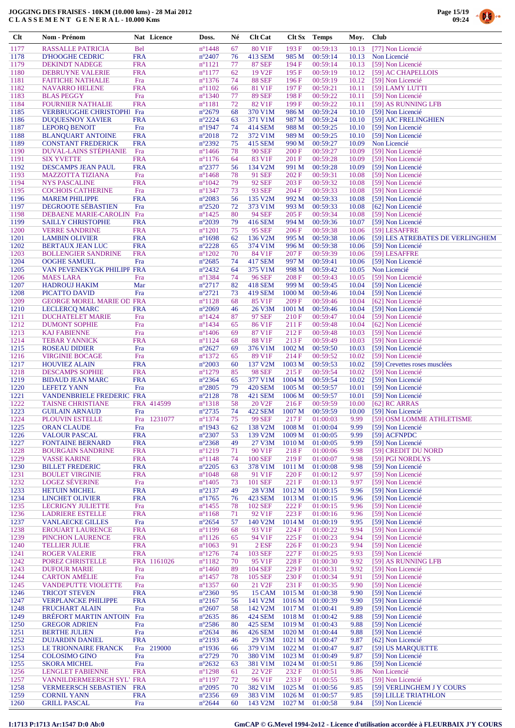

| <b>Clt</b>   | Nom - Prénom                                             | Nat Licence              | Doss.                                | Né       | <b>Clt Cat</b>                   | Clt Sx                                 | Temps                | Moy.           | <b>Club</b>                                    |
|--------------|----------------------------------------------------------|--------------------------|--------------------------------------|----------|----------------------------------|----------------------------------------|----------------------|----------------|------------------------------------------------|
| 1177         | <b>RASSALLE PATRICIA</b>                                 | <b>Bel</b>               | $n^{\circ}$ 1448                     | 67       | 80 V1F                           | 193F                                   | 00:59:13             | 10.13          | [77] Non Licencié                              |
| 1178         | <b>D'HOOGHE CEDRIC</b>                                   | <b>FRA</b>               | $n^{\circ}2407$                      | 76       | 413 SEM                          | 985 M                                  | 00:59:14             | 10.13          | Non Licencié                                   |
| 1179         | <b>DEKINDT NADEGE</b>                                    | <b>FRA</b>               | $n^{\circ}1121$                      | 77       | <b>87 SEF</b>                    | 194 F                                  | 00:59:14             | 10.13          | [59] Non Licencié                              |
| 1180         | <b>DEBRUYNE VALERIE</b>                                  | <b>FRA</b>               | $n^{\circ}1177$                      | 62       | 19 V <sub>2F</sub>               | 195F                                   | 00:59:19             | 10.12          | [59] AC CHAPELLOIS                             |
| 1181<br>1182 | <b>FAITICHE NATHALIE</b><br><b>NAVARRO HELENE</b>        | Fra<br><b>FRA</b>        | $n^{\circ}$ 1376<br>$n^{\circ}1102$  | 74<br>66 | <b>88 SEF</b><br>81 V1F          | 196F<br>197 F                          | 00:59:19<br>00:59:21 | 10.12<br>10.11 | [59] Non Licencié<br>[59] LAMY LUTTI           |
| 1183         | <b>BLAS PEGGY</b>                                        | Fra                      | $n^{\circ}$ 1340                     | 77       | <b>89 SEF</b>                    | 198F                                   | 00:59:22             | 10.11          | [59] Non Licencié                              |
| 1184         | <b>FOURNIER NATHALIE</b>                                 | <b>FRA</b>               | $n^{\circ}1181$                      | 72       | 82 V1F                           | 199F                                   | 00:59:22             | 10.11          | [59] AS RUNNING LFB                            |
| 1185         | <b>VERBRUGGHE CHRISTOPHI Fra</b>                         |                          | $n^{\circ}2679$                      | 68       | 370 V1M                          | 986 M                                  | 00:59:24             | 10.10          | [59] Non Licencié                              |
| 1186         | <b>DUQUESNOY XAVIER</b>                                  | <b>FRA</b>               | $n^{\circ}2224$                      | 63       | 371 V1M                          | 987 M                                  | 00:59:24             | 10.10          | [59] AJC FRELINGHIEN                           |
| 1187         | <b>LEPORQ BENOIT</b>                                     | Fra                      | $n^{\circ}$ 1947                     | 74       | <b>414 SEM</b>                   | 988 M                                  | 00:59:25             | 10.10          | [59] Non Licencié                              |
| 1188         | <b>BLANQUART ANTOINE</b>                                 | <b>FRA</b>               | $n^{\circ}2018$                      | 72       | 372 V1M                          | 989 M                                  | 00:59:25             | 10.10          | [59] Non Licencié                              |
| 1189<br>1190 | <b>CONSTANT FREDERICK</b><br>DUVAL-LAINS STEPHANIE       | <b>FRA</b><br>Fra        | n°2392<br>$n^{\circ}$ 1466           | 75<br>78 | 415 SEM<br><b>90 SEF</b>         | 990 M<br>200 F                         | 00:59:27<br>00:59:27 | 10.09<br>10.09 | Non Licencié<br>[59] Non Licencié              |
| 1191         | <b>SIX YVETTE</b>                                        | <b>FRA</b>               | $n^{\circ}$ 1176                     | 64       | 83 V1F                           | 201 F                                  | 00:59:28             | 10.09          | [59] Non Licencié                              |
| 1192         | DESCAMPS JEAN PAUL                                       | <b>FRA</b>               | $n^{\circ}2377$                      | 56       | 134 V2M                          | 991 M                                  | 00:59:28             | 10.09          | [59] Non Licencié                              |
| 1193         | <b>MAZZOTTA TIZIANA</b>                                  | Fra                      | $n^{\circ}$ 1468                     | 78       | <b>91 SEF</b>                    | 202 F                                  | 00:59:31             | 10.08          | [59] Non Licencié                              |
| 1194         | <b>NYS PASCALINE</b>                                     | <b>FRA</b>               | $n^{\circ}1042$                      | 79       | <b>92 SEF</b>                    | 203 F                                  | 00:59:32             | 10.08          | [59] Non Licencié                              |
| 1195         | <b>COCHOIS CATHERINE</b>                                 | Fra                      | $n^{\circ}$ 1347                     | 73       | <b>93 SEF</b>                    | 204 F                                  | 00:59:33             | 10.08          | [59] Non Licencié                              |
| 1196<br>1197 | <b>MAREM PHILIPPE</b><br>DEGROOTE SEBASTIEN              | <b>FRA</b><br>Fra        | $n^{\circ}2083$<br>$n^{\circ}2520$   | 56<br>72 | 135 V2M<br>373 V1M               | 992 M<br>993 M                         | 00:59:33<br>00:59:33 | 10.08<br>10.08 | [59] Non Licencié<br>[62] Non Licencié         |
| 1198         | DEBAENE MARIE-CAROLIN                                    | Fra                      | $n^{\circ}$ 1425                     | 80       | <b>94 SEF</b>                    | 205 F                                  | 00:59:34             | 10.08          | [59] Non Licencié                              |
| 1199         | <b>SAILLY CHRISTOPHE</b>                                 | <b>FRA</b>               | n°2039                               | 79       | 416 SEM                          | 994 M                                  | 00:59:36             | 10.07          | [59] Non Licencié                              |
| 1200         | <b>VERRE SANDRINE</b>                                    | <b>FRA</b>               | $n^{\circ}1201$                      | 75       | <b>95 SEF</b>                    | 206F                                   | 00:59:38             | 10.06          | [59] LESAFFRE                                  |
| 1201         | <b>LAMBIN OLIVIER</b>                                    | <b>FRA</b>               | $n^{\circ}1698$                      | 62       | 136 V <sub>2</sub> M             | 995 M                                  | 00:59:38             | 10.06          | [59] LES ATREBATES DE VERLINGHEM               |
| 1202         | <b>BERTAUX JEAN LUC</b>                                  | <b>FRA</b>               | $n^{\circ}2228$                      | 65       | 374 V1M                          | 996 M                                  | 00:59:38             | 10.06          | [59] Non Licencié                              |
| 1203         | <b>BOLLENGIER SANDRINE</b>                               | <b>FRA</b>               | $n^{\circ}1202$                      | 70       | 84 V1F                           | 207 F                                  | 00:59:39             | 10.06          | [59] LESAFFRE                                  |
| 1204<br>1205 | <b>OOGHE SAMUEL</b><br>VAN PEVENEKYGK PHILIPF FRA        | Fra                      | $n^{\circ}2685$<br>$n^{\circ}2432$   | 74<br>64 | <b>417 SEM</b><br>375 V1M        | 997 M<br>998 M                         | 00:59:41<br>00:59:42 | 10.06<br>10.05 | [59] Non Licencié<br>Non Licencié              |
| 1206         | <b>MAES LARA</b>                                         | Fra                      | $n^{\circ}$ 1384                     | 74       | <b>96 SEF</b>                    | 208 F                                  | 00:59:43             | 10.05          | [59] Non Licencié                              |
| 1207         | <b>HADROUJ HAKIM</b>                                     | Mar                      | $n^{\circ}2717$                      | 82       | <b>418 SEM</b>                   | 999 M                                  | 00:59:45             | 10.04          | [59] Non Licencié                              |
| 1208         | PICATTO DAVID                                            | Fra                      | $n^{\circ}2721$                      | 73       | 419 SEM                          | 1000 M                                 | 00:59:46             | 10.04          | [59] Non Licencié                              |
| 1209         | <b>GEORGE MOREL MARIE OD FRA</b>                         |                          | $n^{\circ}1128$                      | 68       | 85 V1F                           | 209 F                                  | 00:59:46             | 10.04          | [62] Non Licencié                              |
| 1210         | <b>LECLERCQ MARC</b>                                     | <b>FRA</b>               | $n^{\circ}2069$                      | 46       | 26 V3M                           | 1001 M                                 | 00:59:46             | 10.04          | [59] Non Licencié                              |
| 1211         | <b>DUCHATELET MARIE</b>                                  | Fra                      | $n^{\circ}$ 1424                     | 87       | <b>97 SEF</b>                    | 210 F                                  | 00:59:47             | 10.04          | [59] Non Licencié                              |
| 1212<br>1213 | <b>DUMONT SOPHIE</b><br><b>KAJ FABIENNE</b>              | Fra<br>Fra               | $n^{\circ}$ 1434<br>$n^{\circ}$ 1406 | 65<br>69 | 86 V1F<br>87 V1F                 | 211 F<br>212F                          | 00:59:48<br>00:59:48 | 10.04<br>10.03 | [62] Non Licencié<br>[59] Non Licencié         |
| 1214         | <b>TEBAR YANNICK</b>                                     | <b>FRA</b>               | $n^{\circ}1124$                      | 68       | 88 V1F                           | 213 F                                  | 00:59:49             | 10.03          | [59] Non Licencié                              |
| 1215         | <b>ROSEAU DIDIER</b>                                     | Fra                      | $n^{\circ}2627$                      | 69       | 376 V1M                          | 1002 M                                 | 00:59:50             | 10.03          | [59] Non Licencié                              |
| 1216         | <b>VIRGINIE BOCAGE</b>                                   | Fra                      | $n^{\circ}$ 1372                     | 65       | 89 V1F                           | 214 F                                  | 00:59:52             | 10.02          | [59] Non Licencié                              |
| 1217         | <b>HOUVIEZ ALAIN</b>                                     | <b>FRA</b>               | $n^{\circ}2003$                      | 60       | 137 V2M                          | 1003 M                                 | 00:59:53             | 10.02          | [59] Crevettes roses musclées                  |
| 1218         | <b>DESCAMPS SOPHIE</b>                                   | <b>FRA</b>               | $n^{\circ}1279$                      | 85       | <b>98 SEF</b>                    | 215 F                                  | 00:59:54             | 10.02          | [59] Non Licencié                              |
| 1219         | <b>BIDAUD JEAN MARC</b>                                  | <b>FRA</b>               | $n^{\circ}2364$                      | 65       | 377 V1M                          | 1004 M                                 | 00:59:54             | 10.02          | [59] Non Licencié                              |
| 1220<br>1221 | <b>LEFETZ YANN</b><br><b>VANDENBRIELE FREDERIC FRA</b>   | Fra                      | $n^{\circ}2805$<br>$n^{\circ}2128$   | 79<br>78 | <b>420 SEM</b><br><b>421 SEM</b> | 1005 M<br>1006 M                       | 00:59:57<br>00:59:57 | 10.01<br>10.01 | [59] Non Licencié<br>[59] Non Licencié         |
| 1222         | <b>TAISNE CHRISTIANE</b>                                 | FRA 414599               | $n^{\circ}1318$                      | 58       | 20 V <sub>2F</sub>               | 216F                                   | 00:59:59             | 10.00          | [62] RC ARRAS                                  |
| 1223         | <b>GUILAIN ARNAUD</b>                                    | Fra                      | n°2735                               | 74       | <b>422 SEM</b>                   | 1007 <sub>M</sub>                      | 00:59:59             | 10.00          | [59] Non Licencié                              |
| 1224         | <b>PLOUVIN ESTELLE</b>                                   | Fra<br>1231077           | $n^{\circ}$ 1374                     | 75       | 99 SEF                           | 217 F                                  | 01:00:03             | 9.99           | [59] OSM LOMME ATHLETISME                      |
| 1225         | <b>ORAN CLAUDE</b>                                       | Fra                      | $n^{\circ}$ 1943                     | 62       | 138 V2M                          | 1008 M                                 | 01:00:04             | 9.99           | [59] Non Licencié                              |
| 1226         | <b>VALOUR PASCAL</b>                                     | <b>FRA</b>               | $n^{\circ}2307$                      | 53       | 139 V2M                          | 1009 M                                 | 01:00:05             | 9.99           | [59] ACFNPDC                                   |
| 1227<br>1228 | <b>FONTAINE BERNARD</b><br><b>BOURGAIN SANDRINE</b>      | <b>FRA</b><br><b>FRA</b> | $n^{\circ}2368$<br>$n^{\circ}1219$   | 49<br>71 | 27 V3M<br>90 V1F                 | 1010 M<br>218 F                        | 01:00:05<br>01:00:06 | 9.99<br>9.98   | [59] Non Licencié<br>[59] CREDIT DU NORD       |
| 1229         | <b>VASSE KARINE</b>                                      | <b>FRA</b>               | $n^{\circ}1148$                      | 74       | <b>100 SEF</b>                   | 219F                                   | 01:00:07             | 9.98           | [59] PGI NORDLYS                               |
| 1230         | <b>BILLET FREDERIC</b>                                   | <b>FRA</b>               | $n^{\circ}2205$                      | 63       | 378 V1M                          | 1011 M                                 | 01:00:08             | 9.98           | [59] Non Licencié                              |
| 1231         | <b>BOULET VIRGINIE</b>                                   | <b>FRA</b>               | $n^{\circ}1048$                      | 68       | 91 V1F                           | 220 F                                  | 01:00:12             | 9.97           | [59] Non Licencié                              |
| 1232         | <b>LOGEZ SÉVERINE</b>                                    | Fra                      | $n^{\circ}$ 1405                     | 73       | 101 SEF                          | 221 F                                  | 01:00:13             | 9.97           | [59] Non Licencié                              |
| 1233         | <b>HETUIN MICHEL</b>                                     | <b>FRA</b>               | $n^{\circ}2137$                      | 49       | 28 V3M                           | 1012 M                                 | 01:00:15             | 9.96           | [59] Non Licencié                              |
| 1234<br>1235 | <b>LINCHET OLIVIER</b><br><b>LECRIGNY JULIETTE</b>       | <b>FRA</b><br>Fra        | $n^{\circ}$ 1765<br>$n^{\circ}$ 1455 | 76<br>78 | <b>423 SEM</b><br><b>102 SEF</b> | 1013 M<br>222 F                        | 01:00:15<br>01:00:15 | 9.96<br>9.96   | [59] Non Licencié<br>[59] Non Licencié         |
| 1236         | <b>LADRIERE ESTELLE</b>                                  | <b>FRA</b>               | $n^{\circ}1168$                      | 71       | 92 V1F                           | 223 F                                  | 01:00:16             | 9.96           | [59] Non Licencié                              |
| 1237         | <b>VANLAECKE GILLES</b>                                  | Fra                      | $n^{\circ}2654$                      | 57       | 140 V <sub>2</sub> M             | 1014 M                                 | 01:00:19             | 9.95           | [59] Non Licencié                              |
| 1238         | <b>EROUART LAURENCE</b>                                  | <b>FRA</b>               | $n^{\circ}1199$                      | 68       | 93 V1F                           | 224 F                                  | 01:00:22             | 9.94           | [59] Non Licencié                              |
| 1239         | PINCHON LAURENCE                                         | <b>FRA</b>               | $n^{\circ}1126$                      | 65       | 94 V1F                           | 225 F                                  | 01:00:23             | 9.94           | [59] Non Licencié                              |
| 1240         | <b>TELLIER JULIE</b>                                     | <b>FRA</b>               | $n^{\circ}1063$                      | 91       | $2$ ESF                          | 226F                                   | 01:00:23             | 9.94           | [59] Non Licencié                              |
| 1241         | <b>ROGER VALERIE</b>                                     | <b>FRA</b>               | $n^{\circ}$ 1276                     | 74       | 103 SEF                          | 227 F                                  | 01:00:25             | 9.93           | [59] Non Licencié                              |
| 1242<br>1243 | POREZ CHRISTELLE<br><b>DUFOUR MARIE</b>                  | FRA 1161026<br>Fra       | $n^{\circ}1182$<br>$n^{\circ}$ 1460  | 70<br>89 | 95 V1F<br><b>104 SEF</b>         | 228F<br>229 F                          | 01:00:30<br>01:00:31 | 9.92<br>9.92   | [59] AS RUNNING LFB<br>[59] Non Licencié       |
| 1244         | <b>CARTON AMÉLIE</b>                                     | Fra                      | $n^{\circ}$ 1457                     | 78       | <b>105 SEF</b>                   | 230 F                                  | 01:00:34             | 9.91           | [59] Non Licencié                              |
| 1245         | <b>VANDEPUTTE VIOLETTE</b>                               | Fra                      | $n^{\circ}$ 1357                     | 60       | 21 V <sub>2F</sub>               | 231 F                                  | 01:00:35             | 9.90           | [59] Non Licencié                              |
| 1246         | <b>TRICOT STEVEN</b>                                     | <b>FRA</b>               | $n^{\circ}2360$                      | 95       | 15 CAM                           | 1015 M                                 | 01:00:38             | 9.90           | [59] Non Licencié                              |
| 1247         | <b>VERPLANCKE PHILIPPE</b>                               | <b>FRA</b>               | $n^{\circ}2167$                      | 56       | 141 V2M                          | 1016 <sub>M</sub>                      | 01:00:39             | 9.90           | [59] Non Licencié                              |
| 1248         | <b>FRUCHART ALAIN</b>                                    | Fra                      | $n^{\circ}2607$                      | 58       | 142 V2M                          | 1017 <sub>M</sub>                      | 01:00:41             | 9.89           | [59] Non Licencié                              |
| 1249         | <b>BREFORT MARTIN ANTOIN Fra</b>                         |                          | $n^{\circ}2635$                      | 86       | <b>424 SEM</b>                   | 1018 M                                 | 01:00:42             | 9.88           | [59] Non Licencié                              |
| 1250<br>1251 | <b>GREGOR ADRIEN</b><br><b>BERTHE JULIEN</b>             | Fra<br>Fra               | $n^{\circ}2586$<br>$n^{\circ}2634$   | 80<br>86 | <b>425 SEM</b><br>426 SEM        | 1019 <sub>M</sub><br>1020 <sub>M</sub> | 01:00:43<br>01:00:44 | 9.88<br>9.88   | [59] Non Licencié<br>[59] Non Licencié         |
| 1252         | <b>DUJARDIN DANIEL</b>                                   | <b>FRA</b>               | $n^{\circ}2193$                      | 46       | 29 V3M                           | 1021 M                                 | 01:00:47             | 9.87           | [62] Non Licencié                              |
| 1253         | LE TRIONNAIRE FRANCK                                     | 219000<br>Fra            | $n^{\circ}$ 1936                     | 66       | 379 V1M                          | 1022 <sub>M</sub>                      | 01:00:47             | 9.87           | [59] US MARQUETTE                              |
| 1254         | <b>COLOSIMO GINO</b>                                     | Fra                      | $n^{\circ}2729$                      | 70       | 380 V1M                          | 1023 M                                 | 01:00:49             | 9.87           | [59] Non Licencié                              |
| 1255         | <b>SKORA MICHEL</b>                                      | Fra                      | $n^{\circ}2632$                      | 63       | 381 V1M                          | 1024 M                                 | 01:00:51             | 9.86           | [59] Non Licencié                              |
| 1256         | <b>LENGLET FABIENNE</b>                                  | <b>FRA</b>               | $n^{\circ}$ 1298                     | 61       | 22 V <sub>2F</sub>               | 232 F                                  | 01:00:51             | 9.86           | Non Licencié                                   |
| 1257<br>1258 | VANNILDERMEERSCH SYL' FRA<br><b>VERMEERSCH SEBASTIEN</b> | <b>FRA</b>               | $n^{\circ}1197$<br>$n^{\circ}2095$   | 72<br>70 | 96 V1F<br>382 V1M                | 233 F<br>1025 M                        | 01:00:55<br>01:00:56 | 9.85<br>9.85   | [59] Non Licencié<br>[59] VERLINGHEM J Y COURS |
| 1259         | <b>CORNIL YANN</b>                                       | <b>FRA</b>               | $n^{\circ}2356$                      | 69       | 383 V1M                          | 1026 M                                 | 01:00:57             | 9.85           | [59] LILLE TRIATHLON                           |
| 1260         | <b>GRILL PASCAL</b>                                      | Fra                      | $n^{\circ}2644$                      | 60       | 143 V2M                          | 1027 M                                 | 01:00:58             | 9.84           | [59] Non Licencié                              |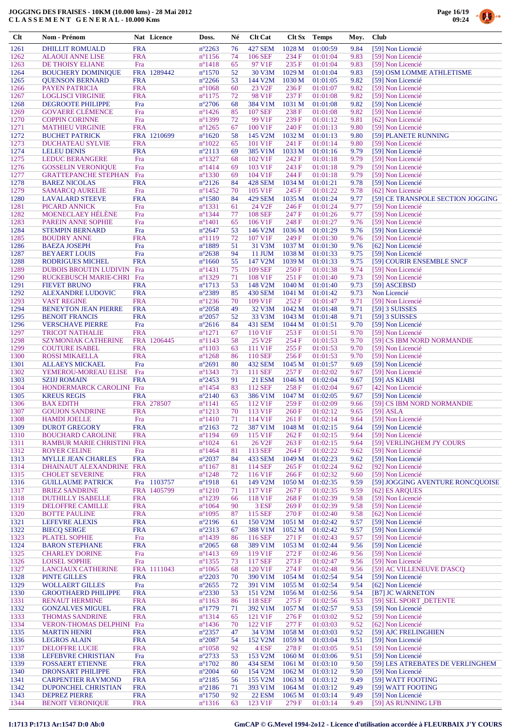

| $Cl$         | Nom - Prénom                                                 |                          | Nat Licence | Doss.                                | Né        | <b>Clt Cat</b>                       | Clt Sx                     | <b>Temps</b>         | Moy.         | <b>Club</b>                                           |
|--------------|--------------------------------------------------------------|--------------------------|-------------|--------------------------------------|-----------|--------------------------------------|----------------------------|----------------------|--------------|-------------------------------------------------------|
| 1261         | <b>DHILLIT ROMUALD</b>                                       | <b>FRA</b>               |             | $n^{\circ}2263$                      | 76        | <b>427 SEM</b>                       | 1028 M                     | 01:00:59             | 9.84         | [59] Non Licencié                                     |
| 1262         | <b>ALAOUI ANNE LISE</b>                                      | <b>FRA</b>               |             | $n^{\circ}1156$                      | 74        | 106 SEF                              | 234 F                      | 01:01:04             | 9.83         | [59] Non Licencié                                     |
| 1263<br>1264 | DE THOISY ELIANE<br><b>BOUCHERY DOMINIQUE</b>                | Fra                      | FRA 1289442 | $n^{\circ}$ 1418<br>$n^{\circ}1570$  | 65<br>52  | 97 V1F<br>30 V3M                     | 235F<br>1029 M             | 01:01:04<br>01:01:04 | 9.83<br>9.83 | [59] Non Licencié<br>[59] OSM LOMME ATHLETISME        |
| 1265         | <b>QUENSON BERNARD</b>                                       | <b>FRA</b>               |             | $n^{\circ}2266$                      | 53        | 144 V2M                              | 1030 M                     | 01:01:05             | 9.82         | [59] Non Licencié                                     |
| 1266         | PAYEN PATRICIA                                               | <b>FRA</b>               |             | $n^{\circ}1068$                      | 60        | 23 V <sub>2F</sub>                   | 236F                       | 01:01:07             | 9.82         | [59] Non Licencié                                     |
| 1267         | <b>LOGLISCI VIRGINIE</b>                                     | <b>FRA</b>               |             | $n^{\circ}1175$                      | 72        | 98 V1F                               | 237 F                      | 01:01:08             | 9.82         | [59] Non Licencié                                     |
| 1268         | <b>DEGROOTE PHILIPPE</b>                                     | Fra                      |             | $n^{\circ}2706$                      | 68        | 384 V1M                              | 1031 M                     | 01:01:08             | 9.82         | [59] Non Licencié                                     |
| 1269<br>1270 | <b>GOVAERE CLÉMENCE</b><br><b>COPPIN CORINNE</b>             | Fra<br>Fra               |             | $n^{\circ}$ 1426<br>n°1399           | 85<br>72  | <b>107 SEF</b><br>99 V1F             | 238 F<br>239F              | 01:01:08<br>01:01:12 | 9.82<br>9.81 | [59] Non Licencié                                     |
| 1271         | <b>MATHIEU VIRGINIE</b>                                      | <b>FRA</b>               |             | $n^{\circ}1265$                      | 67        | 100 V1F                              | 240 F                      | 01:01:13             | 9.80         | [62] Non Licencié<br>[59] Non Licencié                |
| 1272         | <b>BUCHET PATRICK</b>                                        |                          | FRA 1210699 | $n^{\circ}1620$                      | 58        | 145 V2M                              | 1032 M                     | 01:01:13             | 9.80         | [59] PLANETE RUNNING                                  |
| 1273         | <b>DUCHATEAU SYLVIE</b>                                      | <b>FRA</b>               |             | $n^{\circ}1022$                      | 65        | 101 V1F                              | 241 F                      | 01:01:14             | 9.80         | [59] Non Licencié                                     |
| 1274         | <b>LELEU DENIS</b>                                           | <b>FRA</b>               |             | $n^{\circ}2113$                      | 69        | 385 V1M                              | 1033 M                     | 01:01:16             | 9.79         | [59] Non Licencié                                     |
| 1275<br>1276 | <b>LEDUC BERANGERE</b>                                       | Fra<br>Fra               |             | $n^{\circ}$ 1327                     | 68<br>69  | 102 V1F<br>103 V1F                   | 242 F<br>243 F             | 01:01:18<br>01:01:18 | 9.79<br>9.79 | [59] Non Licencié                                     |
| 1277         | <b>GOSSELIN VERONIQUE</b><br><b>GRATTEPANCHE STEPHAN</b>     | Fra                      |             | $n^{\circ}1414$<br>$n^{\circ}$ 1330  | 69        | 104 V1F                              | 244 F                      | 01:01:18             | 9.79         | [59] Non Licencié<br>[59] Non Licencié                |
| 1278         | <b>BAREZ NICOLAS</b>                                         | <b>FRA</b>               |             | $n^{\circ}2126$                      | 84        | 428 SEM                              | 1034 M                     | 01:01:21             | 9.78         | [59] Non Licencié                                     |
| 1279         | <b>SAMARCQ AURELIE</b>                                       | Fra                      |             | $n^{\circ}$ 1452                     | 70        | 105 V1F                              | 245 F                      | 01:01:22             | 9.78         | [62] Non Licencié                                     |
| 1280         | <b>LAVALARD STEEVE</b>                                       | <b>FRA</b>               |             | $n^{\circ}$ 1580                     | 84        | <b>429 SEM</b>                       | 1035 M                     | 01:01:24             | 9.77         | [59] CE TRANSPOLE SECTION JOGGING                     |
| 1281<br>1282 | PICARD ANNICK<br>MOENECLAEY HÉLÈNE                           | Fra<br>Fra               |             | $n^{\circ}1331$<br>$n^{\circ}$ 1344  | 61<br>77  | 24 V <sub>2F</sub><br><b>108 SEF</b> | 246 F<br>247 F             | 01:01:24<br>01:01:26 | 9.77<br>9.77 | [59] Non Licencié<br>[59] Non Licencié                |
| 1283         | <b>PAREIN ANNE SOPHIE</b>                                    | Fra                      |             | $n^{\circ}1401$                      | 65        | 106 V1F                              | 248 F                      | 01:01:27             | 9.76         | [59] Non Licencié                                     |
| 1284         | <b>STEMPIN BERNARD</b>                                       | Fra                      |             | $n^{\circ}2647$                      | 53        | 146 V <sub>2</sub> M                 | 1036 M                     | 01:01:29             | 9.76         | [59] Non Licencié                                     |
| 1285         | <b>BOUDRY ANNE</b>                                           | <b>FRA</b>               |             | $n^{\circ}1119$                      | 72        | 107 V1F                              | 249 F                      | 01:01:30             | 9.76         | [59] Non Licencié                                     |
| 1286         | <b>BAEZA JOSEPH</b>                                          | Fra                      |             | $n^{\circ}1889$                      | 51        | 31 V3M                               | 1037 M                     | 01:01:30             | 9.76         | [62] Non Licencié                                     |
| 1287         | <b>BEYAERT LOUIS</b>                                         | Fra                      |             | $n^{\circ}2638$                      | 94        | 11 JUM                               | 1038 M                     | 01:01:33             | 9.75         | [59] Non Licencié                                     |
| 1288<br>1289 | <b>RODRIGUES MICHEL</b><br><b>DUBOIS BROUTIN LUDIVIN Fra</b> | <b>FRA</b>               |             | $n^{\circ}1660$<br>$n^{\circ}$ 1431  | 55<br>75  | 147 V2M<br><b>109 SEF</b>            | 1039 <sub>M</sub><br>250 F | 01:01:33<br>01:01:38 | 9.75<br>9.74 | [59] COURIR ENSEMBLE SNCF<br>[59] Non Licencié        |
| 1290         | RUCKEBUSCH MARIE-CHRI Fra                                    |                          |             | $n^{\circ}$ 1329                     | 71        | 108 V1F                              | 251 F                      | 01:01:40             | 9.73         | [59] Non Licencié                                     |
| 1291         | <b>FIEVET BRUNO</b>                                          | <b>FRA</b>               |             | $n^{\circ}1713$                      | 53        | 148 V2M                              | 1040 M                     | 01:01:40             | 9.73         | [59] ASCEBSD                                          |
| 1292         | ALEXANDRE LUDOVIC                                            | <b>FRA</b>               |             | n°2389                               | 85        | <b>430 SEM</b>                       | 1041 M                     | 01:01:42             | 9.73         | Non Licencié                                          |
| 1293         | <b>VAST REGINE</b>                                           | <b>FRA</b>               |             | $n^{\circ}$ 1236                     | 70        | 109 V1F                              | 252 F                      | 01:01:47             | 9.71         | [59] Non Licencié                                     |
| 1294<br>1295 | <b>BENEYTON JEAN PIERRE</b><br><b>BENOIT FRANCIS</b>         | <b>FRA</b><br><b>FRA</b> |             | $n^{\circ}2058$<br>$n^{\circ}2057$   | 49<br>52  | 32 V3M<br>33 V3M                     | 1042 M<br>1043 M           | 01:01:48<br>01:01:48 | 9.71<br>9.71 | [59] 3 SUISSES<br>[59] 3 SUISSES                      |
| 1296         | <b>VERSCHAVE PIERRE</b>                                      | Fra                      |             | $n^{\circ}2616$                      | 84        | 431 SEM                              | 1044 M                     | 01:01:51             | 9.70         | [59] Non Licencié                                     |
| 1297         | <b>TRICOT NATHALIE</b>                                       | <b>FRA</b>               |             | $n^{\circ}1271$                      | 67        | 110 V1F                              | 253 F                      | 01:01:51             | 9.70         | [59] Non Licencié                                     |
| 1298         | <b>SZYMONIAK CATHERINE</b>                                   |                          | FRA 1206445 | $n^{\circ}1143$                      | 58        | 25 V <sub>2F</sub>                   | 254 F                      | 01:01:53             | 9.70         | [59] CS IBM NORD NORMANDIE                            |
| 1299         | <b>COUTURE ISABEL</b>                                        | <b>FRA</b>               |             | $n^{\circ}1103$                      | 63        | 111 V1F                              | 255 F                      | 01:01:53             | 9.70         | [59] Non Licencié                                     |
| 1300<br>1301 | ROSSI MIKAELLA                                               | <b>FRA</b><br>Fra        |             | $n^{\circ}$ 1268                     | 86<br>80  | <b>110 SEF</b><br>432 SEM            | 256F                       | 01:01:53<br>01:01:57 | 9.70<br>9.69 | [59] Non Licencié<br>[59] Non Licencié                |
| 1302         | <b>ALLAEYS MICKAEL</b><br>YEMEROU-MOREAU ELISE               | Fra                      |             | $n^{\circ}2691$<br>$n^{\circ}$ 1343  | 73        | 111 SEF                              | 1045 M<br>257 F            | 01:02:02             | 9.67         | [59] Non Licencié                                     |
| 1303         | <b>SZIJJ ROMAIN</b>                                          | <b>FRA</b>               |             | $n^{\circ}2453$                      | 91        | <b>21 ESM</b>                        | 1046 M                     | 01:02:04             | 9.67         | $[59]$ AS KIABI                                       |
| 1304         | HONDERMARCK CAROLINI Fra                                     |                          |             | $n^{\circ}$ 1454                     | 83        | 112 SEF                              | 258 F                      | 01:02:04             | 9.67         | [42] Non Licencié                                     |
| 1305         | <b>KREUS REGIS</b>                                           | <b>FRA</b>               |             | $n^{\circ}2140$                      | 63        | 386 V1M                              | 1047 M                     | 01:02:05             | 9.67         | [59] Non Licencié                                     |
| 1306         | <b>BAX EDITH</b>                                             |                          | FRA 278507  | $n^{\circ}1141$                      | 65<br>70  | 112 V1F<br>113 V1F                   | 259 F<br>260F              | 01:02:09             | 9.66         | [59] CS IBM NORD NORMANDIE                            |
| 1307<br>1308 | <b>GOUJON SANDRINE</b><br><b>HAMDI JOELLE</b>                | <b>FRA</b><br>Fra        |             | $n^{\circ}1213$<br>$n^{\circ}1410$   | 71        | 114 V1F                              | 261 F                      | 01:02:12<br>01:02:14 | 9.65<br>9.64 | $[59]$ ASLA<br>[59] Non Licencié                      |
| 1309         | <b>DUROT GREGORY</b>                                         | <b>FRA</b>               |             | $n^{\circ}2163$                      | 72        | 387 V1M                              | 1048 M                     | 01:02:15             | 9.64         | [59] Non Licencié                                     |
| 1310         | <b>BOUCHARD CAROLINE</b>                                     | <b>FRA</b>               |             | $n^{\circ}1194$                      | 69        | 115 V1F                              | 262 F                      | 01:02:15             | 9.64         | [59] Non Licencié                                     |
| 1311         | RAMBUR MARIE CHRISTINI FRA                                   |                          |             | $n^{\circ}1024$                      | 61        | 26 V <sub>2F</sub>                   | 263 F                      | 01:02:15             | 9.64         | [59] VERLINGHEM J'Y COURS                             |
| 1312         | <b>ROYER CELINE</b>                                          | Fra                      |             | $n^{\circ}$ 1464                     | 81        | 113 SEF                              | 264 F                      | 01:02:22             | 9.62         | [59] Non Licencié                                     |
| 1313<br>1314 | <b>MYLLE JEAN CHARLES</b><br>DHAINAUT ALEXANDRINE FRA        | <b>FRA</b>               |             | $n^{\circ}2037$<br>$n^{\circ}1167$   | 84<br>81  | 433 SEM<br>114 SEF                   | 1049 M<br>265 F            | 01:02:23<br>01:02:24 | 9.62<br>9.62 | [59] Non Licencié<br>[92] Non Licencié                |
| 1315         | <b>CHOLET SEVERINE</b>                                       | <b>FRA</b>               |             | $n^{\circ}$ 1248                     | 72        | 116 V1F                              | 266F                       | 01:02:32             | 9.60         | [59] Non Licencié                                     |
| 1316         | <b>GUILLAUME PATRICK</b>                                     |                          | Fra 1103757 | $n^{\circ}$ 1918                     | 61        | 149 V2M                              | 1050 M                     | 01:02:35             | 9.59         | [59] JOGGING AVENTURE RONCQUOISE                      |
| 1317         | <b>BRIEZ SANDRINE</b>                                        |                          | FRA 1405799 | $n^{\circ}1210$                      | 71        | 117 V1F                              | 267 F                      | 01:02:35             | 9.59         | [62] ES ARQUES                                        |
| 1318         | <b>DUTHILLY ISABELLE</b>                                     | <b>FRA</b>               |             | $n^{\circ}1239$                      | 66        | 118 V1F                              | 268 F                      | 01:02:39             | 9.58         | [59] Non Licencié                                     |
| 1319<br>1320 | <b>DELOFFRE CAMILLE</b><br><b>BOTTE PAULINE</b>              | <b>FRA</b><br><b>FRA</b> |             | $n^{\circ}1064$<br>$n^{\circ}1095$   | 90<br>87  | 3 ESF<br>115 SEF                     | 269F<br>270 F              | 01:02:39<br>01:02:40 | 9.58<br>9.58 | [59] Non Licencié<br>[62] Non Licencié                |
| 1321         | <b>LEFEVRE ALEXIS</b>                                        | <b>FRA</b>               |             | $n^{\circ}2196$                      | 61        | 150 V <sub>2</sub> M                 | 1051 M                     | 01:02:42             | 9.57         | [59] Non Licencié                                     |
| 1322         | <b>BIECQ SERGE</b>                                           | <b>FRA</b>               |             | $n^{\circ}2313$                      | 67        | 388 V1M                              | 1052 M                     | 01:02:42             | 9.57         | [59] Non Licencié                                     |
| 1323         | <b>PLATEL SOPHIE</b>                                         | Fra                      |             | $n^{\circ}$ 1439                     | 86        | 116 SEF                              | 271 F                      | 01:02:43             | 9.57         | [59] Non Licencié                                     |
| 1324         | <b>BARON STEPHANE</b>                                        | <b>FRA</b>               |             | $n^{\circ}2065$                      | 68        | 389 V1M                              | 1053 M                     | 01:02:44             | 9.56         | [59] Non Licencié                                     |
| 1325<br>1326 | <b>CHARLEY DORINE</b><br><b>LOISEL SOPHIE</b>                | Fra<br>Fra               |             | $n^{\circ}$ 1413<br>$n^{\circ}$ 1355 | 69<br>73  | 119 V1F<br>117 SEF                   | 272 F<br>273 F             | 01:02:46<br>01:02:47 | 9.56<br>9.56 | [59] Non Licencié<br>[59] Non Licencié                |
| 1327         | <b>LANCIAUX CATHERINE</b>                                    |                          | FRA 1111043 | $n^{\circ}1065$                      | 68        | 120 V1F                              | 274 F                      | 01:02:48             | 9.56         | [59] AC VILLENEUVE D'ASCQ                             |
| 1328         | <b>PINTE GILLES</b>                                          | <b>FRA</b>               |             | $n^{\circ}2203$                      | 70        | 390 V1M                              | 1054 M                     | 01:02:54             | 9.54         | [59] Non Licencié                                     |
| 1329         | <b>WOLLAERT GILLES</b>                                       | Fra                      |             | $n^{\circ}2655$                      | 72        | 391 V1M                              | 1055 M                     | 01:02:54             | 9.54         | [62] Non Licencié                                     |
| 1330         | <b>GROOTHAERD PHILIPPE</b>                                   | <b>FRA</b>               |             | $n^{\circ}2330$                      | 53        | 151 V2M                              | 1056 M                     | 01:02:56             | 9.54         | [B7] JC WARNETON                                      |
| 1331         | <b>RENAUT HERMINE</b>                                        | <b>FRA</b>               |             | $n^{\circ}1163$                      | 86        | 118 SEF                              | 275 F                      | 01:02:56             | 9.53         | [59] SEL SPORT DETENTE                                |
| 1332<br>1333 | <b>GONZALVES MIGUEL</b><br><b>THOMAS SANDRINE</b>            | <b>FRA</b><br><b>FRA</b> |             | $n^{\circ}$ 1779<br>$n^{\circ}1314$  | 71<br>65  | 392 V1M<br>121 V1F                   | 1057 M<br>276 F            | 01:02:57<br>01:03:02 | 9.53<br>9.52 | [59] Non Licencié<br>[59] Non Licencié                |
| 1334         | VERON-THOMAS DELPHINI Fra                                    |                          |             | $n^{\circ}$ 1436                     | 70        | 122 V1F                              | 277 F                      | 01:03:03             | 9.52         | [62] Non Licencié                                     |
| 1335         | <b>MARTIN HENRI</b>                                          | <b>FRA</b>               |             | $n^{\circ}2357$                      | 47        | 34 V3M                               | 1058 M                     | 01:03:03             | 9.52         | [59] AJC FRELINGHIEN                                  |
| 1336         | <b>LEGROS ALAIN</b>                                          | <b>FRA</b>               |             | $n^{\circ}2087$                      | 54        | 152 V2M                              | 1059 M                     | 01:03:04             | 9.51         | [59] Non Licencié                                     |
| 1337         | <b>DELOFFRE LUCIE</b>                                        | <b>FRA</b>               |             | $n^{\circ}1058$                      | 92        | 4 ESF                                | 278 F                      | 01:03:05             | 9.51         | [59] Non Licencié                                     |
| 1338<br>1339 | LEFEBVRE CHRISTIAN<br><b>FOSSAERT ETIENNE</b>                | Fra<br><b>FRA</b>        |             | $n^{\circ}2733$<br>$n^{\circ}1702$   | 53<br>-80 | 153 V2M<br><b>434 SEM</b>            | 1060 M<br>1061 M           | 01:03:06<br>01:03:10 | 9.51<br>9.50 | [59] Non Licencié<br>[59] LES ATREBATES DE VERLINGHEM |
| 1340         | <b>DRONSART PHILIPPE</b>                                     | <b>FRA</b>               |             | $n^{\circ}2004$                      | 60        | 154 V2M                              | 1062 M                     | 01:03:12             | 9.50         | [59] Non Licencié                                     |
| 1341         | <b>CARPENTIER RAYMOND</b>                                    | <b>FRA</b>               |             | $n^{\circ}2185$                      | 56        | 155 V2M                              | 1063 M                     | 01:03:12             | 9.49         | [59] WATT FOOTING                                     |
| 1342         | DUPONCHEL CHRISTIAN                                          | <b>FRA</b>               |             | $n^{\circ}2186$                      | 71        | 393 V1M                              | 1064 M                     | 01:03:12             | 9.49         | [59] WATT FOOTING                                     |
| 1343         | <b>DEPREZ PIERRE</b>                                         | <b>FRA</b>               |             | $n^{\circ}1750$                      | 92        | <b>22 ESM</b>                        | 1065 M                     | 01:03:14             | 9.49         | [59] Non Licencié                                     |
| 1344         | <b>BENOIT VERONIQUE</b>                                      | <b>FRA</b>               |             | $n^{\circ}$ 1316                     | 63        | 123 V1F                              | 279 F                      | 01:03:14             | 9.49         | [59] AS RUNNING LFB                                   |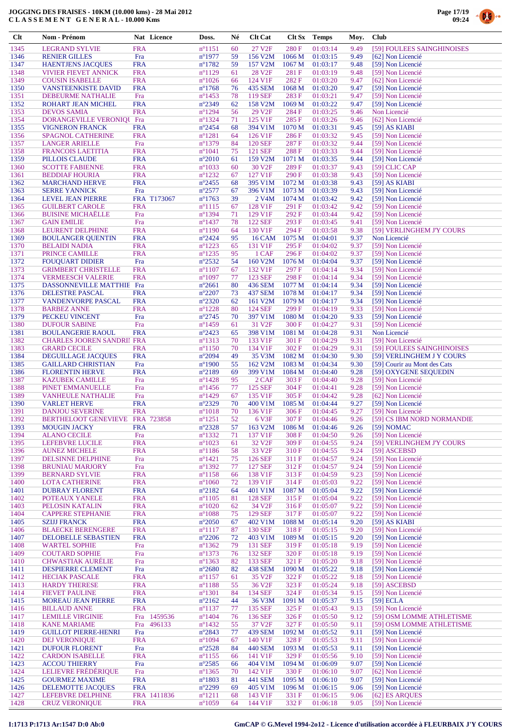

| $Cl$ t       | Nom - Prénom                                         |                          | Nat Licence | Doss.                               | Né       | <b>Clt Cat</b>                | Clt Sx            | <b>Temps</b>         | Moy.         | <b>Club</b>                                |
|--------------|------------------------------------------------------|--------------------------|-------------|-------------------------------------|----------|-------------------------------|-------------------|----------------------|--------------|--------------------------------------------|
| 1345         | <b>LEGRAND SYLVIE</b>                                | <b>FRA</b>               |             | $n^{\circ}1151$                     | 60       | 27 V <sub>2F</sub>            | 280 F             | 01:03:14             | 9.49         | [59] FOULEES SAINGHINOISES                 |
| 1346         | <b>RENIER GILLES</b>                                 | Fra                      |             | $n^{\circ}1977$                     | 59       | 156 V2M                       | 1066 M            | 01:03:15             | 9.49         | [62] Non Licencié                          |
| 1347         | <b>HAENTJENS JACQUES</b>                             | <b>FRA</b>               |             | $n^{\circ}1782$                     | 59       | 157 V2M                       | 1067 M            | 01:03:17             | 9.48         | [59] Non Licencié                          |
| 1348         | <b>VIVIER FIEVET ANNICK</b>                          | <b>FRA</b>               |             | $n^{\circ}1129$                     | 61       | 28 V <sub>2F</sub>            | 281F              | 01:03:19             | 9.48         | [59] Non Licencié                          |
| 1349<br>1350 | <b>COUSIN ISABELLE</b><br><b>VANSTEENKISTE DAVID</b> | <b>FRA</b><br><b>FRA</b> |             | $n^{\circ}1026$<br>$n^{\circ}1768$  | 66<br>76 | 124 V1F<br>435 SEM            | 282F<br>1068 M    | 01:03:20<br>01:03:20 | 9.47<br>9.47 | [62] Non Licencié<br>[59] Non Licencié     |
| 1351         | DEBEURME NATHALIE                                    | Fra                      |             | $n^{\circ}$ 1453                    | 78       | 119 SEF                       | 283F              | 01:03:21             | 9.47         | [59] Non Licencié                          |
| 1352         | ROHART JEAN MICHEL                                   | <b>FRA</b>               |             | $n^{\circ}2349$                     | 62       | 158 V2M                       | 1069 M            | 01:03:22             | 9.47         | [59] Non Licencié                          |
| 1353         | <b>DEVOS SAMIA</b>                                   | <b>FRA</b>               |             | $n^{\circ}1294$                     | 56       | 29 V <sub>2F</sub>            | 284 F             | 01:03:25             | 9.46         | Non Licencié                               |
| 1354         | DORANGEVILLE VERONIQUE Fra                           |                          |             | $n^{\circ}$ 1324                    | 71       | 125 V1F                       | 285F              | 01:03:26             | 9.46         | [62] Non Licencié                          |
| 1355         | <b>VIGNERON FRANCK</b>                               | <b>FRA</b>               |             | $n^{\circ}2454$                     | 68       | 394 V1M                       | 1070 M            | 01:03:31             | 9.45         | $[59]$ AS KIABI                            |
| 1356<br>1357 | <b>SPAGNOL CATHERINE</b><br><b>LANGER ARIELLE</b>    | <b>FRA</b><br>Fra        |             | $n^{\circ}1281$<br>$n^{\circ}$ 1379 | 64<br>84 | 126 V1F<br><b>120 SEF</b>     | 286 F<br>287F     | 01:03:32<br>01:03:32 | 9.45<br>9.44 | [59] Non Licencié<br>[59] Non Licencié     |
| 1358         | <b>FRANCOIS LAETITIA</b>                             | <b>FRA</b>               |             | $n^{\circ}1041$                     | 75       | 121 SEF                       | 288F              | 01:03:33             | 9.44         | [59] Non Licencié                          |
| 1359         | PILLOIS CLAUDE                                       | <b>FRA</b>               |             | $n^{\circ}2010$                     | 61       | 159 V2M                       | 1071 M            | 01:03:35             | 9.44         | [59] Non Licencié                          |
| 1360         | <b>SCOTTE FABIENNE</b>                               | <b>FRA</b>               |             | $n^{\circ}1033$                     | 60       | 30 V <sub>2F</sub>            | 289F              | 01:03:37             | 9.43         | $[59]$ CLIC CAP                            |
| 1361         | <b>BEDDIAF HOURIA</b>                                | <b>FRA</b>               |             | $n^{\circ}$ 1232                    | 67       | 127 V1F                       | 290F              | 01:03:38             | 9.43         | [59] Non Licencié                          |
| 1362         | <b>MARCHAND HERVE</b>                                | <b>FRA</b>               |             | $n^{\circ}2455$                     | 68       | 395 V1M                       | 1072 M            | 01:03:38             | 9.43         | $[59]$ AS KIABI                            |
| 1363<br>1364 | <b>SERRE YANNICK</b><br><b>LEVEL JEAN PIERRE</b>     | Fra                      | FRA T173067 | $n^{\circ}2577$<br>$n^{\circ}1763$  | 67<br>39 | 396 V1M<br>2 V <sub>4</sub> M | 1073 M<br>1074 M  | 01:03:39<br>01:03:42 | 9.43<br>9.42 | [59] Non Licencié<br>[59] Non Licencié     |
| 1365         | <b>GUILBERT CAROLE</b>                               | <b>FRA</b>               |             | $n^{\circ}1115$                     | 67       | 128 V1F                       | 291 F             | 01:03:42             | 9.42         | [59] Non Licencié                          |
| 1366         | <b>BUISINE MICHAËLLE</b>                             | Fra                      |             | $n^{\circ}$ 1394                    | 71       | 129 V1F                       | 292F              | 01:03:44             | 9.42         | [59] Non Licencié                          |
| 1367         | <b>GAIN EMILIE</b>                                   | Fra                      |             | $n^{\circ}$ 1437                    | 78       | <b>122 SEF</b>                | 293F              | 01:03:45             | 9.41         | [59] Non Licencié                          |
| 1368         | <b>LEURENT DELPHINE</b>                              | <b>FRA</b>               |             | $n^{\circ}1190$                     | 64       | 130 V1F                       | 294 F             | 01:03:58             | 9.38         | [59] VERLINGHEM J'Y COURS                  |
| 1369         | <b>BOULANGER QUENTIN</b>                             | <b>FRA</b>               |             | $n^{\circ}2424$                     | 95       | <b>16 CAM</b>                 | 1075 M            | 01:04:01             | 9.37         | Non Licencié                               |
| 1370         | <b>BELAIDI NADIA</b>                                 | <b>FRA</b>               |             | $n^{\circ}1223$                     | 65       | 131 V1F                       | 295F              | 01:04:02             | 9.37         | [59] Non Licencié                          |
| 1371<br>1372 | PRINCE CAMILLE<br><b>FOUQUART DIDIER</b>             | <b>FRA</b><br>Fra        |             | $n^{\circ}1235$<br>$n^{\circ}2532$  | 95<br>54 | 1 CAF<br>160 V2M              | 296F<br>1076 M    | 01:04:02<br>01:04:04 | 9.37<br>9.37 | [59] Non Licencié<br>[59] Non Licencié     |
| 1373         | <b>GRIMBERT CHRISTELLE</b>                           | <b>FRA</b>               |             | $n^{\circ}1107$                     | 67       | 132 V1F                       | 297 F             | 01:04:14             | 9.34         | [59] Non Licencié                          |
| 1374         | <b>VERMEESCH VALERIE</b>                             | <b>FRA</b>               |             | $n^{\circ}1097$                     | 77       | <b>123 SEF</b>                | 298F              | 01:04:14             | 9.34         | [59] Non Licencié                          |
| 1375         | DASSONNEVILLE MATTHIE Fra                            |                          |             | $n^{\circ}2661$                     | 80       | 436 SEM                       | 1077 M            | 01:04:14             | 9.34         | [59] Non Licencié                          |
| 1376         | <b>DELESTRE PASCAL</b>                               | <b>FRA</b>               |             | $n^{\circ}2207$                     | 73       | <b>437 SEM</b>                | 1078 M            | 01:04:17             | 9.34         | [59] Non Licencié                          |
| 1377         | <b>VANDENVORPE PASCAL</b>                            | <b>FRA</b>               |             | $n^{\circ}2320$                     | 62       | 161 V2M                       | 1079 M            | 01:04:17             | 9.34         | [59] Non Licencié                          |
| 1378         | <b>BARBEZ ANNE</b>                                   | <b>FRA</b>               |             | $n^{\circ}$ 1228                    | 80       | <b>124 SEF</b>                | 299F              | 01:04:19             | 9.33         | [59] Non Licencié                          |
| 1379<br>1380 | PECKEU VINCENT<br><b>DUFOUR SABINE</b>               | Fra<br>Fra               |             | $n^{\circ}2745$<br>$n^{\circ}$ 1459 | 70<br>61 | 397 V1M<br>31 V <sub>2F</sub> | 1080 M<br>300F    | 01:04:20<br>01:04:27 | 9.33<br>9.31 | [59] Non Licencié<br>[59] Non Licencié     |
| 1381         | <b>BOULANGERIE RAOUL</b>                             | <b>FRA</b>               |             | $n^{\circ}2423$                     | 65       | 398 V1M                       | 1081 M            | 01:04:28             | 9.31         | Non Licencié                               |
| 1382         | <b>CHARLES JOOREN SANDRII FRA</b>                    |                          |             | $n^{\circ}1313$                     | 70       | 133 V1F                       | 301 F             | 01:04:29             | 9.31         | [59] Non Licencié                          |
| 1383         | <b>GRARD CECILE</b>                                  | <b>FRA</b>               |             | $n^{\circ}1150$                     | 70       | 134 V1F                       | 302F              | 01:04:29             | 9.31         | [59] FOULEES SAINGHINOISES                 |
| 1384         | DEGUILLAGE JACQUES                                   | <b>FRA</b>               |             | $n^{\circ}2094$                     | 49       | 35 V3M                        | 1082 M            | 01:04:30             | 9.30         | [59] VERLINGHEM J Y COURS                  |
| 1385         | <b>GAILLARD CHRISTIAN</b>                            | Fra                      |             | $n^{\circ}1900$                     | 55       | 162 V2M                       | 1083 M            | 01:04:34             | 9.30         | [59] Courir au Mont des Cats               |
| 1386<br>1387 | <b>FLORENTIN HERVE</b><br><b>KAZUBEK CAMILLE</b>     | <b>FRA</b><br>Fra        |             | $n^{\circ}2189$<br>$n^{\circ}$ 1428 | 69<br>95 | 399 V1M<br>2 CAF              | 1084 M<br>303 F   | 01:04:40<br>01:04:40 | 9.28<br>9.28 | [59] OXYGENE SEQUEDIN<br>[59] Non Licencié |
| 1388         | PINET EMMANUELLE                                     | Fra                      |             | $n^{\circ}$ 1456                    | 77       | <b>125 SEF</b>                | 304 F             | 01:04:41             | 9.28         | [59] Non Licencié                          |
| 1389         | <b>VANHEULE NATHALIE</b>                             | Fra                      |             | $n^{\circ}$ 1429                    | 67       | 135 V1F                       | 305F              | 01:04:42             | 9.28         | [62] Non Licencié                          |
| 1390         | <b>VARLET HERVE</b>                                  | <b>FRA</b>               |             | $n^{\circ}2329$                     | 70       | 400 V1M                       | 1085 M            | 01:04:44             | 9.27         | [59] Non Licencié                          |
| 1391         | <b>DANJOU SEVERINE</b>                               | <b>FRA</b>               |             | $n^{\circ}1018$                     | 70       | 136 V1F                       | 306F              | 01:04:45             | 9.27         | [59] Non Licencié                          |
| 1392<br>1393 | BERTHELOOT GENEVIEVE FRA 723858                      | <b>FRA</b>               |             | $n^{\circ}1251$<br>$n^{\circ}2328$  | 52       | 6 V3F<br>163 V2M              | 307 F<br>1086 M   | 01:04:46             | 9.26         | [59] CS IBM NORD NORMANDIE                 |
| 1394         | <b>MOUGIN JACKY</b><br><b>ALANO CECILE</b>           | Fra                      |             | $n^{\circ}$ 1332                    | 57<br>71 | 137 V1F                       | 308 F             | 01:04:46<br>01:04:50 | 9.26<br>9.26 | [59] NOMAC<br>[59] Non Licencié            |
| 1395         | LEFEBVRE LUCILE                                      | <b>FRA</b>               |             | $n^{\circ}1023$                     | 61       | 32 V <sub>2F</sub>            | 309 F             | 01:04:55             | 9.24         | [59] VERLINGHEM J'Y COURS                  |
| 1396         | <b>AUNEZ MICHELE</b>                                 | <b>FRA</b>               |             | $n^{\circ}1186$                     | 58       | 33 V <sub>2F</sub>            | 310 F             | 01:04:55             | 9.24         | [59] ASCEBSD                               |
| 1397         | DELSINNE DELPHINE                                    | Fra                      |             | $n^{\circ}$ 1421                    | 75       | <b>126 SEF</b>                | 311 F             | 01:04:57             | 9.24         | [59] Non Licencié                          |
| 1398         | <b>BRUNIAU MARJORY</b>                               | Fra                      |             | $n^{\circ}$ 1392                    | 77       | <b>127 SEF</b>                | 312 F             | 01:04:57             | 9.24         | [59] Non Licencié                          |
| 1399         | <b>BERNARD SYLVIE</b>                                | <b>FRA</b>               |             | $n^{\circ}1158$                     | 66       | 138 V1F                       | 313F              | 01:04:59             | 9.23         | [59] Non Licencié<br>[59] Non Licencié     |
| 1400<br>1401 | <b>LOTA CATHERINE</b><br><b>DUBRAY FLORENT</b>       | <b>FRA</b><br><b>FRA</b> |             | $n^{\circ}1060$<br>$n^{\circ}2182$  | 72<br>64 | 139 V1F<br>401 V1M            | 314 F<br>1087 M   | 01:05:03<br>01:05:04 | 9.22<br>9.22 | [59] Non Licencié                          |
| 1402         | POTEAUX YANELE                                       | <b>FRA</b>               |             | $n^{\circ}1105$                     | 81       | <b>128 SEF</b>                | 315 F             | 01:05:04             | 9.22         | [59] Non Licencié                          |
| 1403         | PELOSIN KATALIN                                      | <b>FRA</b>               |             | $n^{\circ}1020$                     | 62       | 34 V <sub>2F</sub>            | 316F              | 01:05:07             | 9.22         | [59] Non Licencié                          |
| 1404         | <b>CAPPERE STEPHANIE</b>                             | <b>FRA</b>               |             | $n^{\circ}1088$                     | 75       | <b>129 SEF</b>                | 317 F             | 01:05:07             | 9.22         | [59] Non Licencié                          |
| 1405         | <b>SZIJJ FRANCK</b>                                  | <b>FRA</b>               |             | $n^{\circ}2050$                     | 67       | 402 V1M                       | 1088 M            | 01:05:14             | 9.20         | $[59]$ AS KIABI                            |
| 1406         | <b>BLAECKE BERENGERE</b>                             | <b>FRA</b>               |             | $n^{\circ}1117$                     | 87       | <b>130 SEF</b>                | 318 F             | 01:05:15             | 9.20         | [59] Non Licencié                          |
| 1407<br>1408 | DELOBELLE SEBASTIEN<br><b>WARTEL SOPHIE</b>          | <b>FRA</b><br>Fra        |             | $n^{\circ}2206$<br>$n^{\circ}$ 1362 | 72<br>79 | 403 V1M<br>131 SEF            | 1089 M<br>319F    | 01:05:15<br>01:05:18 | 9.20<br>9.19 | [59] Non Licencié<br>[59] Non Licencié     |
| 1409         | <b>COUTARD SOPHIE</b>                                | Fra                      |             | $n^{\circ}1373$                     | 76       | 132 SEF                       | 320 F             | 01:05:18             | 9.19         | [59] Non Licencié                          |
| 1410         | <b>CHWASTIAK AURÉLIE</b>                             | Fra                      |             | $n^{\circ}$ 1363                    | 82       | 133 SEF                       | 321 F             | 01:05:20             | 9.18         | [59] Non Licencié                          |
| 1411         | <b>DESPIERRE CLEMENT</b>                             | Fra                      |             | $n^{\circ}2680$                     | 82       | 438 SEM                       | 1090 M            | 01:05:22             | 9.18         | [59] Non Licencié                          |
| 1412         | <b>HECIAK PASCALE</b>                                | <b>FRA</b>               |             | $n^{\circ}$ 1157                    | 61       | 35 V <sub>2F</sub>            | 322 F             | 01:05:22             | 9.18         | [59] Non Licencié                          |
| 1413         | <b>HARDY THERESE</b>                                 | <b>FRA</b>               |             | $n^{\circ}1188$                     | 55       | 36 V <sub>2F</sub>            | 323 F             | 01:05:24             | 9.18         | [59] ASCEBSD                               |
| 1414<br>1415 | <b>FIEVET PAULINE</b><br><b>MOREAU JEAN PIERRE</b>   | <b>FRA</b><br><b>FRA</b> |             | $n^{\circ}1301$<br>$n^{\circ}2162$  | 84<br>44 | <b>134 SEF</b><br>36 V3M      | 324 F<br>1091 M   | 01:05:34<br>01:05:37 | 9.15<br>9.15 | [59] Non Licencié<br>$[59]$ ECLA           |
| 1416         | <b>BILLAUD ANNE</b>                                  | <b>FRA</b>               |             | $n^{\circ}1137$                     | 77       | 135 SEF                       | 325 F             | 01:05:43             | 9.13         | [59] Non Licencié                          |
| 1417         | <b>LEMILLE VIRGINIE</b>                              | Fra                      | 1459536     | $n^{\circ}1404$                     | 76       | 136 SEF                       | 326F              | 01:05:50             | 9.12         | [59] OSM LOMME ATHLETISME                  |
| 1418         | <b>KANE MARIAME</b>                                  | Fra                      | 496133      | $n^{\circ}$ 1432                    | 55       | 37 V <sub>2F</sub>            | 327 F             | 01:05:50             | 9.11         | [59] OSM LOMME ATHLETISME                  |
| 1419         | <b>GUILLOT PIERRE-HENRI</b>                          | Fra                      |             | $n^{\circ}2843$                     | 77       | 439 SEM                       | 1092 M            | 01:05:52             | 9.11         | [59] Non Licencié                          |
| 1420         | <b>DEJ VERONIQUE</b>                                 | <b>FRA</b>               |             | $n^{\circ}1094$                     | 67       | 140 V1F                       | 328 F             | 01:05:53             | 9.11         | [59] Non Licencié                          |
| 1421<br>1422 | <b>DUFOUR FLORENT</b><br><b>CARDON ISABELLE</b>      | Fra<br><b>FRA</b>        |             | $n^{\circ}2528$<br>$n^{\circ}$ 1155 | 84<br>66 | <b>440 SEM</b><br>141 V1F     | 1093 M<br>329 F   | 01:05:53<br>01:05:56 | 9.11<br>9.10 | [59] Non Licencié<br>[59] Non Licencié     |
| 1423         | <b>ACCOU THIERRY</b>                                 | Fra                      |             | $n^{\circ}2585$                     | 66       | 404 V1M                       | 1094 M            | 01:06:09             | 9.07         | [59] Non Licencié                          |
| 1424         | LELIEVRE FRÉDÉRIQUE                                  | Fra                      |             | $n^{\circ}$ 1365                    | 70       | 142 V1F                       | 330 F             | 01:06:10             | 9.07         | [62] Non Licencié                          |
| 1425         | <b>GOURMEZ MAXIME</b>                                | <b>FRA</b>               |             | $n^{\circ}1803$                     | 81       | <b>441 SEM</b>                | 1095 M            | 01:06:10             | 9.07         | [59] Non Licencié                          |
| 1426         | DELEMOTTE JACQUES                                    | <b>FRA</b>               |             | $n^{\circ}2299$                     | 69       | 405 V1M                       | 1096 <sub>M</sub> | 01:06:15             | 9.06         | [59] Non Licencié                          |
| 1427         | LEFEBVRE DELPHINE                                    |                          | FRA 1411836 | $n^{\circ}1211$                     | 68       | 143 V1F                       | 331 F             | 01:06:15             | 9.06         | [62] ES ARQUES                             |
| 1428         | <b>CRUZ VERONIQUE</b>                                | <b>FRA</b>               |             | $n^{\circ}1059$                     | 64       | 144 V1F                       | 332F              | 01:06:18             | 9.05         | [59] Non Licencié                          |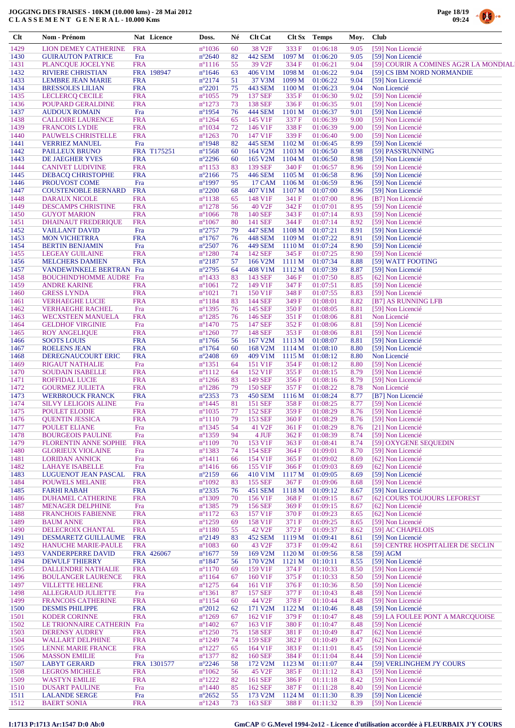

.<br>M

| $Cl$         | <b>Nom - Prénom</b>                                 | Nat Licence               | Doss.                               | Né       | <b>Clt Cat</b>                  | Clt Sx           | <b>Temps</b>         | Moy.         | <b>Club</b>                                                          |
|--------------|-----------------------------------------------------|---------------------------|-------------------------------------|----------|---------------------------------|------------------|----------------------|--------------|----------------------------------------------------------------------|
| 1429         | LION DEMEY CATHERINE                                | <b>FRA</b>                | $n^{\circ}1036$                     | 60       | 38 V <sub>2F</sub>              | 333 F            | 01:06:18             | 9.05         | [59] Non Licencié                                                    |
| 1430         | <b>GUIRAUTON PATRICE</b>                            | Fra                       | $n^{\circ}2640$                     | 82       | <b>442 SEM</b>                  | 1097 M           | 01:06:20             | 9.05         | [59] Non Licencié                                                    |
| 1431<br>1432 | PLANCQUE JOCELYNE<br><b>RIVIERE CHRISTIAN</b>       | <b>FRA</b><br>FRA 198947  | $n^{\circ}1116$<br>$n^{\circ}1646$  | 55<br>63 | 39 V <sub>2F</sub><br>406 V1M   | 334 F<br>1098 M  | 01:06:21<br>01:06:22 | 9.04<br>9.04 | [59] COURIR A COMINES AG2R LA MONDIALI<br>[59] CS IBM NORD NORMANDIE |
| 1433         | <b>LEMBRE JEAN MARIE</b>                            | <b>FRA</b>                | $n^{\circ}2174$                     | 51       | 37 V3M                          | 1099M            | 01:06:22             | 9.04         | [59] Non Licencié                                                    |
| 1434         | <b>BRESSOLES LILIAN</b>                             | <b>FRA</b>                | $n^{\circ}2201$                     | 75       | 443 SEM                         | 1100 M           | 01:06:23             | 9.04         | Non Licencié                                                         |
| 1435         | <b>LECLERCQ CECILE</b>                              | <b>FRA</b>                | $n^{\circ}1055$                     | 79       | <b>137 SEF</b>                  | 335 F            | 01:06:30             | 9.02         | [59] Non Licencié                                                    |
| 1436         | POUPARD GERALDINE                                   | <b>FRA</b>                | $n^{\circ}1273$                     | 73       | 138 SEF                         | 336F             | 01:06:35             | 9.01         | [59] Non Licencié                                                    |
| 1437<br>1438 | <b>AUDOUX ROMAIN</b><br><b>CALLOIRE LAURENCE</b>    | Fra<br><b>FRA</b>         | $n^{\circ}1954$<br>$n^{\circ}1264$  | 76<br>65 | 444 SEM<br>145 V1F              | 1101 M<br>337 F  | 01:06:37<br>01:06:39 | 9.01<br>9.00 | [59] Non Licencié<br>[59] Non Licencié                               |
| 1439         | <b>FRANCOIS LYDIE</b>                               | <b>FRA</b>                | $n^{\circ}1034$                     | 72       | 146 V1F                         | 338F             | 01:06:39             | 9.00         | [59] Non Licencié                                                    |
| 1440         | PAUWELS CHRISTELLE                                  | <b>FRA</b>                | $n^{\circ}1263$                     | 70       | 147 V1F                         | 339 F            | 01:06:40             | 9.00         | [59] Non Licencié                                                    |
| 1441         | <b>VERRIEZ MANUEL</b>                               | Fra                       | $n^{\circ}1948$                     | 82       | 445 SEM                         | 1102 M           | 01:06:45             | 8.99         | [59] Non Licencié                                                    |
| 1442         | PAILLEUX BRUNO                                      | FRA T175251               | $n^{\circ}1568$<br>$n^{\circ}2296$  | 60<br>60 | 164 V2M                         | 1103 M           | 01:06:50             | 8.98         | [59] PASS'RUNNING                                                    |
| 1443<br>1444 | DE JAEGHER YVES<br><b>CANIVET LUDIVINE</b>          | <b>FRA</b><br><b>FRA</b>  | $n^{\circ}1153$                     | 83       | 165 V <sub>2</sub> M<br>139 SEF | 1104 M<br>340 F  | 01:06:50<br>01:06:57 | 8.98<br>8.96 | [59] Non Licencié<br>[59] Non Licencié                               |
| 1445         | <b>DEBACQ CHRISTOPHE</b>                            | <b>FRA</b>                | $n^{\circ}2166$                     | 75       | 446 SEM                         | 1105 M           | 01:06:58             | 8.96         | [59] Non Licencié                                                    |
| 1446         | PROUVOST COME                                       | Fra                       | $n^{\circ}1997$                     | 95       | 17 CAM                          | 1106 M           | 01:06:59             | 8.96         | [59] Non Licencié                                                    |
| 1447         | <b>COUSTENOBLE BERNARD</b>                          | <b>FRA</b>                | $n^{\circ}2200$                     | 68       | 407 V1M                         | 1107 M           | 01:07:00             | 8.96         | [59] Non Licencié                                                    |
| 1448<br>1449 | <b>DARAUX NICOLE</b><br><b>DESCAMPS CHRISTINE</b>   | <b>FRA</b><br><b>FRA</b>  | $n^{\circ}1138$<br>$n^{\circ}1278$  | 65<br>56 | 148 V1F<br>40 V <sub>2F</sub>   | 341 F<br>342 F   | 01:07:00<br>01:07:01 | 8.96<br>8.95 | [B7] Non Licencié<br>[59] Non Licencié                               |
| 1450         | <b>GUYOT MARION</b>                                 | <b>FRA</b>                | $n^{\circ}1066$                     | 78       | <b>140 SEF</b>                  | 343 F            | 01:07:14             | 8.93         | [59] Non Licencié                                                    |
| 1451         | <b>DHAINAUT FREDERIQUE</b>                          | <b>FRA</b>                | $n^{\circ}1067$                     | 80       | 141 SEF                         | 344 F            | 01:07:14             | 8.92         | [59] Non Licencié                                                    |
| 1452         | <b>VAILLANT DAVID</b>                               | Fra                       | $n^{\circ}2757$                     | 79       | 447 SEM                         | 1108 M           | 01:07:21             | 8.91         | [59] Non Licencié                                                    |
| 1453<br>1454 | <b>MON VICHETRRA</b><br><b>BERTIN BENJAMIN</b>      | <b>FRA</b><br>Fra         | $n^{\circ}1767$<br>$n^{\circ}2507$  | 76<br>76 | 448 SEM<br>449 SEM              | 1109 M<br>1110 M | 01:07:22<br>01:07:24 | 8.91<br>8.90 | [59] Non Licencié<br>[59] Non Licencié                               |
| 1455         | <b>LEGEAY GUILAINE</b>                              | <b>FRA</b>                | $n^{\circ}1280$                     | 74       | 142 SEF                         | 345 F            | 01:07:25             | 8.90         | [59] Non Licencié                                                    |
| 1456         | <b>MELCHERS DAMIEN</b>                              | <b>FRA</b>                | $n^{\circ}2187$                     | 57       | 166 V2M                         | 1111 M           | 01:07:34             | 8.88         | [59] WATT FOOTING                                                    |
| 1457         | VANDEWINKELE BERTRAN Fra                            |                           | $n^{\circ}2795$                     | 64       | 408 V1M                         | 1112M            | 01:07:39             | 8.87         | [59] Non Licencié                                                    |
| 1458         | <b>BOUCHIND'HOMME AUDRE Fra</b>                     |                           | $n^{\circ}$ 1433                    | 83       | 143 SEF                         | 346 F            | 01:07:50             | 8.85         | [62] Non Licencié                                                    |
| 1459<br>1460 | <b>ANDRE KARINE</b><br><b>GRESS LYNDA</b>           | <b>FRA</b><br><b>FRA</b>  | $n^{\circ}1061$<br>$n^{\circ}1021$  | 72<br>71 | 149 V1F<br>150 V1F              | 347 F<br>348 F   | 01:07:51<br>01:07:55 | 8.85<br>8.83 | [59] Non Licencié<br>[59] Non Licencié                               |
| 1461         | <b>VERHAEGHE LUCIE</b>                              | <b>FRA</b>                | $n^{\circ}1184$                     | 83       | 144 SEF                         | 349 F            | 01:08:01             | 8.82         | [B7] AS RUNNING LFB                                                  |
| 1462         | <b>VERHAEGHE RACHEL</b>                             | Fra                       | $n^{\circ}$ 1395                    | 76       | 145 SEF                         | 350 F            | 01:08:05             | 8.81         | [59] Non Licencié                                                    |
| 1463         | <b>WECXSTEEN MANUELA</b>                            | <b>FRA</b>                | $n^{\circ}1285$                     | 76       | 146 SEF                         | 351 F            | 01:08:06             | 8.81         | Non Licencié                                                         |
| 1464<br>1465 | <b>GELDHOF VIRGINIE</b><br><b>ROY ANGELIQUE</b>     | Fra<br><b>FRA</b>         | $n^{\circ}$ 1470<br>$n^{\circ}1260$ | 75<br>77 | 147 SEF<br>148 SEF              | 352 F<br>353 F   | 01:08:06<br>01:08:06 | 8.81<br>8.81 | [59] Non Licencié<br>[59] Non Licencié                               |
| 1466         | <b>SOOTS LOUIS</b>                                  | <b>FRA</b>                | $n^{\circ}1766$                     | 56       | 167 V2M                         | 1113 M           | 01:08:07             | 8.81         | [59] Non Licencié                                                    |
| 1467         | <b>ROELENS JEAN</b>                                 | <b>FRA</b>                | $n^{\circ}1764$                     | 60       | 168 V <sub>2</sub> M            | 1114M            | 01:08:10             | 8.80         | [59] Non Licencié                                                    |
| 1468         | DEREGNAUCOURT ERIC                                  | <b>FRA</b>                | $n^{\circ}2408$                     | 69       | 409 V1M                         | 1115 M           | 01:08:12             | 8.80         | Non Licencié                                                         |
| 1469         | <b>RIGAUT NATHALIE</b>                              | Fra                       | $n^{\circ}$ 1351                    | 64       | 151 V1F                         | 354 F            | 01:08:12             | 8.80         | [59] Non Licencié                                                    |
| 1470<br>1471 | <b>SOUDAIN ISABELLE</b><br><b>ROFFIDAL LUCIE</b>    | <b>FRA</b><br><b>FRA</b>  | $n^{\circ}1112$<br>$n^{\circ}$ 1266 | 64<br>83 | 152 V1F<br>149 SEF              | 355F<br>356F     | 01:08:15<br>01:08:16 | 8.79<br>8.79 | [59] Non Licencié<br>[59] Non Licencié                               |
| 1472         | <b>GOURMEZ JULIETA</b>                              | <b>FRA</b>                | $n^{\circ}$ 1286                    | 79       | <b>150 SEF</b>                  | 357 F            | 01:08:22             | 8.78         | Non Licencié                                                         |
| 1473         | <b>WERBROUCK FRANCK</b>                             | <b>FRA</b>                | $n^{\circ}2353$                     | 73       | 450 SEM                         | 1116 M           | 01:08:24             | 8.77         | [B7] Non Licencié                                                    |
| 1474         | <b>SILVY LELIGOIS ALINE</b>                         | Fra                       | $n^{\circ}$ 1445                    | 81       | 151 SEF                         | 358F             | 01:08:25             | 8.77         | [59] Non Licencié                                                    |
| 1475<br>1476 | POULET ELODIE<br><b>QUENTIN JESSICA</b>             | <b>FRA</b><br><b>FRA</b>  | $n^{\circ}1035$<br>$n^{\circ}1110$  | 77<br>79 | 152 SEF<br>153 SEF              | 359F<br>360 F    | 01:08:29<br>01:08:29 | 8.76<br>8.76 | [59] Non Licencié<br>[59] Non Licencié                               |
| 1477         | POULET ELIANE                                       | Fra                       | $n^{\circ}$ 1345                    | 54       | 41 V <sub>2F</sub>              | 361 F            | 01:08:29             | 8.76         | [21] Non Licencié                                                    |
| 1478         | <b>BOURGEOIS PAULINE</b>                            | Fra                       | n°1359                              | 94       | 4 JUF                           | 362 F            | 01:08:39             | 8.74         | [59] Non Licencié                                                    |
| 1479         | <b>FLORENTIN ANNE SOPHIE</b>                        | <b>FRA</b>                | $n^{\circ}1109$                     | 70       | 153 V1F                         | 363 F            | 01:08:41             | 8.74         | [59] OXYGENE SEQUEDIN                                                |
| 1480         | <b>GLORIEUX VIOLAINE</b>                            | Fra<br>Fra                | $n^{\circ}1383$<br>$n^{\circ}1411$  | 74       | <b>154 SEF</b><br>154 V1F       | 364 F<br>365 F   | 01:09:01<br>01:09:02 | 8.70<br>8.69 | [59] Non Licencié<br>[62] Non Licencié                               |
| 1481<br>1482 | <b>LORIDAN ANNICK</b><br><b>LAHAYE ISABELLE</b>     | Fra                       | $n^{\circ}$ 1416                    | 66<br>66 | 155 V1F                         | 366 F            | 01:09:03             | 8.69         | [62] Non Licencié                                                    |
| 1483         | LUGUENOT JEAN PASCAL                                | <b>FRA</b>                | $n^{\circ}2159$                     | 66       | 410 V1M                         | 1117 M           | 01:09:05             | 8.69         | [59] Non Licencié                                                    |
| 1484         | <b>POUWELS MELANIE</b>                              | <b>FRA</b>                | $n^{\circ}1092$                     | 83       | 155 SEF                         | 367 F            | 01:09:06             | 8.68         | [59] Non Licencié                                                    |
| 1485         | <b>FARHI RABAH</b>                                  | <b>FRA</b>                | $n^{\circ}2335$                     | 76       | <b>451 SEM</b>                  | 1118 M           | 01:09:12             | 8.67         | [59] Non Licencié                                                    |
| 1486<br>1487 | <b>DUHAMEL CATHERINE</b><br><b>MENAGER DELPHINE</b> | <b>FRA</b><br>Fra         | $n^{\circ}1309$<br>$n^{\circ}$ 1385 | 70<br>79 | 156 V1F<br>156 SEF              | 368 F<br>369 F   | 01:09:15<br>01:09:15 | 8.67<br>8.67 | [62] COURS TOUJOURS LEFOREST<br>[62] Non Licencié                    |
| 1488         | <b>FRANCHOIS FABIENNE</b>                           | <b>FRA</b>                | $n^{\circ}1172$                     | 63       | 157 V1F                         | 370 F            | 01:09:23             | 8.65         | [62] Non Licencié                                                    |
| 1489         | <b>BAUM ANNE</b>                                    | <b>FRA</b>                | $n^{\circ}$ 1259                    | 69       | 158 V1F                         | 371 F            | 01:09:25             | 8.65         | [59] Non Licencié                                                    |
| 1490         | DELECROIX CHANTAL                                   | <b>FRA</b>                | $n^{\circ}1180$                     | 55       | 42 V <sub>2F</sub>              | 372 F            | 01:09:37             | 8.62         | [59] AC CHAPELOIS                                                    |
| 1491<br>1492 | DESMARETZ GUILLAUME<br><b>HANUCHE MARIE-PAULE</b>   | <b>FRA</b><br><b>FRA</b>  | $n^{\circ}2149$<br>$n^{\circ}1083$  | 83<br>60 | 452 SEM<br>43 V <sub>2F</sub>   | 1119M<br>373 F   | 01:09:41<br>01:09:42 | 8.61<br>8.61 | [59] Non Licencié<br>[59] CENTRE HOSPITALIER DE SECLIN               |
| 1493         | <b>VANDERPERRE DAVID</b>                            | FRA 426067                | $n^{\circ}1677$                     | 59       | 169 V2M                         | 1120 M           | 01:09:56             | 8.58         | $[59]$ AGM                                                           |
| 1494         | <b>DEWULF THIERRY</b>                               | <b>FRA</b>                | $n^{\circ}$ 1847                    | 56       | 170 V2M                         | 1121 M           | 01:10:11             | 8.55         | [59] Non Licencié                                                    |
| 1495         | <b>DALLENDRE NATHALIE</b>                           | <b>FRA</b>                | $n^{\circ}1170$                     | 69       | 159 V1F                         | 374 F            | 01:10:33             | 8.50         | [59] Non Licencié                                                    |
| 1496<br>1497 | <b>BOULANGER LAURENCE</b><br><b>VILLETTE HELENE</b> | <b>FRA</b><br><b>FRA</b>  | $n^{\circ}1164$<br>$n^{\circ}1275$  | 67<br>64 | 160 V1F<br>161 V1F              | 375 F<br>376 F   | 01:10:33<br>01:10:36 | 8.50<br>8.50 | [59] Non Licencié<br>[59] Non Licencié                               |
| 1498         | <b>ALLEGRAUD JULIETTE</b>                           | Fra                       | $n^{\circ}1361$                     | 87       | <b>157 SEF</b>                  | 377 F            | 01:10:43             | 8.48         | [59] Non Licencié                                                    |
| 1499         | <b>FRANCOIS CATHERINE</b>                           | <b>FRA</b>                | $n^{\circ}1154$                     | 60       | 44 V2F                          | 378F             | 01:10:44             | 8.48         | [59] Non Licencié                                                    |
| 1500         | <b>DESMIS PHILIPPE</b>                              | <b>FRA</b>                | $n^{\circ}2012$                     | 62       | 171 V2M                         | 1122M            | 01:10:46             | 8.48         | [59] Non Licencié                                                    |
| 1501         | <b>KODER CORINNE</b>                                | <b>FRA</b>                | $n^{\circ}1269$                     | 67       | 162 V1F                         | 379 F            | 01:10:47             | 8.48         | [59] LA FOULEE PONT A MARCQUOISE                                     |
| 1502<br>1503 | LE TRIONNAIRE CATHERIN Fra<br><b>DERENSY AUDREY</b> | <b>FRA</b>                | $n^{\circ}$ 1402<br>$n^{\circ}1250$ | 67<br>75 | 163 V1F<br><b>158 SEF</b>       | 380 F<br>381 F   | 01:10:47<br>01:10:49 | 8.48<br>8.47 | [59] Non Licencié<br>[62] Non Licencié                               |
| 1504         | <b>WALLART DELPHINE</b>                             | <b>FRA</b>                | $n^{\circ}1249$                     | 74       | 159 SEF                         | 382F             | 01:10:49             | 8.47         | [62] Non Licencié                                                    |
| 1505         | <b>LENNE MARIE FRANCE</b>                           | <b>FRA</b>                | $n^{\circ}1227$                     | 65       | 164 V1F                         | 383F             | 01:11:01             | 8.45         | [59] Non Licencié                                                    |
| 1506         | <b>MASSON EMILIE</b>                                | Fra                       | $n^{\circ}1377$                     | 82       | <b>160 SEF</b>                  | 384 F            | 01:11:04             | 8.44         | [59] Non Licencié                                                    |
| 1507<br>1508 | <b>LABYT GERARD</b><br><b>LEGROS MICHELE</b>        | FRA 1301577<br><b>FRA</b> | $n^{\circ}2246$<br>$n^{\circ}1062$  | 58<br>56 | 172 V <sub>2</sub> M<br>45 V2F  | 1123 M<br>385 F  | 01:11:07<br>01:11:12 | 8.44<br>8.43 | [59] VERLINGHEM J'Y COURS<br>[59] Non Licencié                       |
| 1509         | <b>WASTYN EMILIE</b>                                | <b>FRA</b>                | $n^{\circ}1222$                     | 82       | 161 SEF                         | 386 F            | 01:11:18             | 8.42         | [59] Non Licencié                                                    |
| 1510         | <b>DUSART PAULINE</b>                               | Fra                       | $n^{\circ}$ 1440                    | 85       | 162 SEF                         | 387 F            | 01:11:28             | 8.40         | [59] Non Licencié                                                    |
| 1511         | <b>LALANDE SERGE</b>                                | Fra                       | $n^{\circ}2652$                     | 55       | 173 V2M                         | 1124 M           | 01:11:30             | 8.39         | [59] Non Licencié                                                    |
| 1512         | <b>BAERT SONIA</b>                                  | <b>FRA</b>                | $n^{\circ}1243$                     | 73       | 163 SEF                         | 388 F            | 01:11:32             | 8.39         | [59] Non Licencié                                                    |